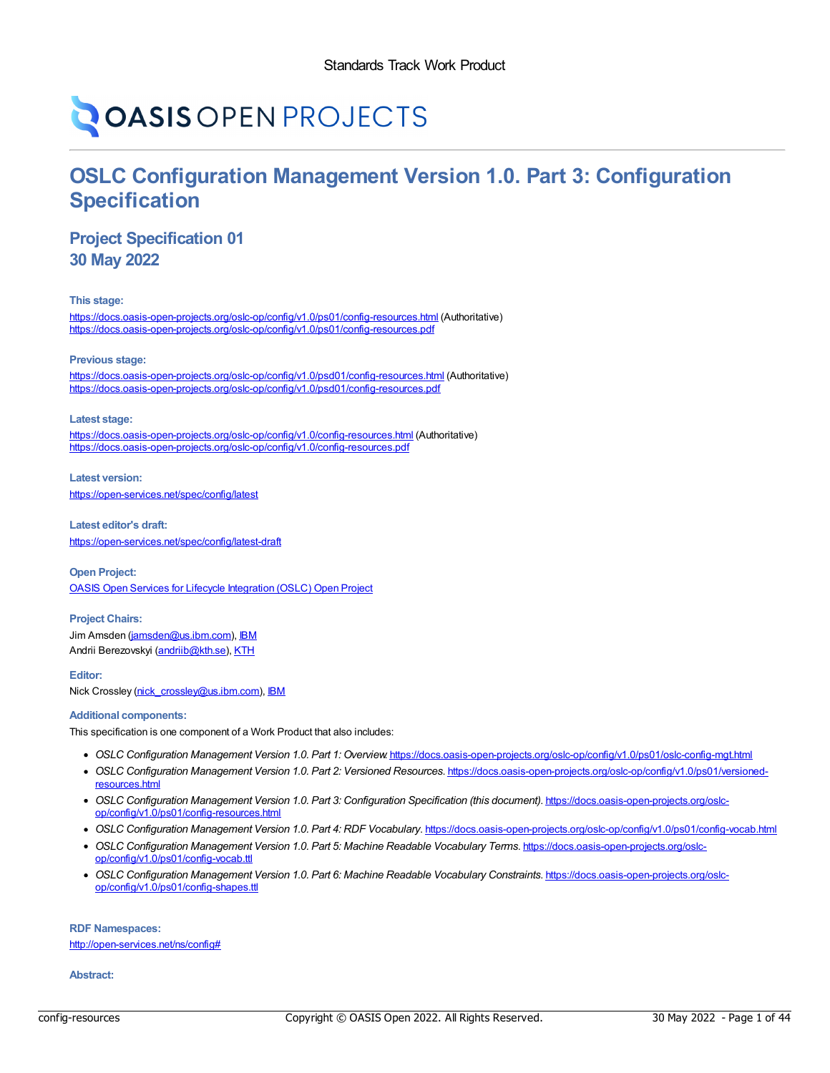# **OASIS OPEN PROJECTS**

# **OSLC Configuration Management Version 1.0. Part 3: Configuration Specification**

# **Project Specification 01 30 May 2022**

**This stage:**

<https://docs.oasis-open-projects.org/oslc-op/config/v1.0/ps01/config-resources.html> (Authoritative) <https://docs.oasis-open-projects.org/oslc-op/config/v1.0/ps01/config-resources.pdf>

**Previous stage:**

<https://docs.oasis-open-projects.org/oslc-op/config/v1.0/psd01/config-resources.html> (Authoritative) <https://docs.oasis-open-projects.org/oslc-op/config/v1.0/psd01/config-resources.pdf>

#### **Latest stage:**

<https://docs.oasis-open-projects.org/oslc-op/config/v1.0/config-resources.html> (Authoritative) <https://docs.oasis-open-projects.org/oslc-op/config/v1.0/config-resources.pdf>

**Latest version:** <https://open-services.net/spec/config/latest>

**Latest editor's draft:** <https://open-services.net/spec/config/latest-draft>

**Open Project:** OASIS Open Services for Lifecycle [Integration](https://open-services.net/about/) (OSLC) Open Project

**Project Chairs:** Jim Amsden [\(jamsden@us.ibm.com](mailto:jamsden@us.ibm.com)), [IBM](https://www.ibm.com/) Andrii Berezovskyi [\(andriib@kth.se](mailto:andriib@kth.se)), [KTH](https://www.kth.se/en)

**Editor:** Nick Crossley [\(nick\\_crossley@us.ibm.com](mailto:nick_crossley@us.ibm.com)), [IBM](https://ibm.com/)

#### **Additional components:**

This specification is one component of a Work Product that also includes:

- *OSLC Configuration Management Version 1.0. Part 1: Overview*. <https://docs.oasis-open-projects.org/oslc-op/config/v1.0/ps01/oslc-config-mgt.html>
- *OSLC Configuration Management Version 1.0. Part 2: Versioned Resources*. [https://docs.oasis-open-projects.org/oslc-op/config/v1.0/ps01/versioned](https://docs.oasis-open-projects.org/oslc-op/config/v1.0/ps01/versioned-resources.html)resources.html
- *OSLC Configuration Management Version 1.0. Part 3: Configuration Specification (this document)*. [https://docs.oasis-open-projects.org/oslc](https://docs.oasis-open-projects.org/oslc-op/config/v1.0/ps01/config-resources.html)op/config/v1.0/ps01/config-resources.html
- *OSLC Configuration Management Version 1.0. Part 4: RDF Vocabulary*. <https://docs.oasis-open-projects.org/oslc-op/config/v1.0/ps01/config-vocab.html>
- *OSLC Configuration Management Version 1.0. Part 5: Machine Readable Vocabulary Terms*. [https://docs.oasis-open-projects.org/oslc](https://docs.oasis-open-projects.org/oslc-op/config/v1.0/ps01/config-vocab.ttl)op/config/v1.0/ps01/config-vocab.ttl
- *OSLC Configuration Management Version 1.0. Part 6: Machine Readable Vocabulary Constraints*. [https://docs.oasis-open-projects.org/oslc](https://docs.oasis-open-projects.org/oslc-op/config/v1.0/ps01/config-shapes.ttl)op/config/v1.0/ps01/config-shapes.ttl

**RDF Namespaces:** <http://open-services.net/ns/config#>

**Abstract:**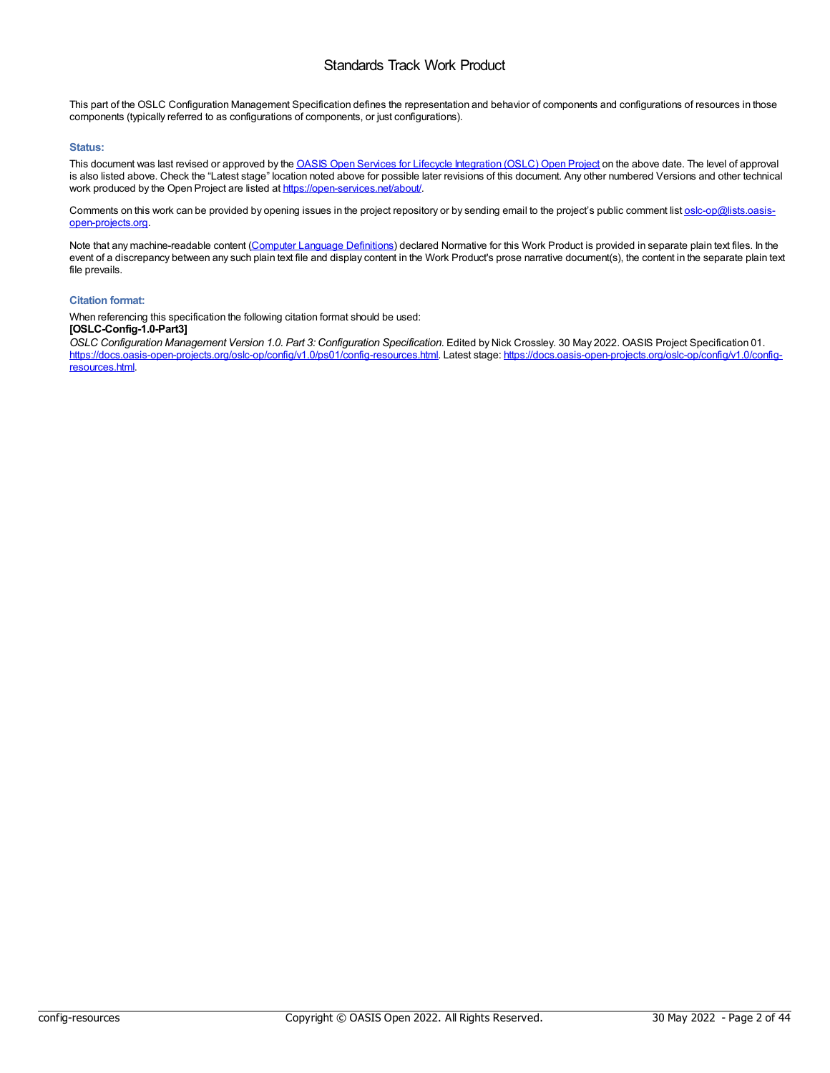This part of the OSLC Configuration Management Specification defines the representation and behavior of components and configurations of resources in those components (typically referred to as configurations of components, or just configurations).

#### **Status:**

This document was last revised or approved by the OASIS Open Services for Lifecycle [Integration](https://open-services.net/about/) (OSLC) Open Project on the above date. The level of approval is also listed above. Check the "Latest stage" location noted above for possible later revisions of this document. Any other numbered Versions and other technical work produced by the Open Project are listed at <https://open-services.net/about/>.

Comments on this work can be provided by opening issues in the project repository or by sending email to the project's public comment list [oslc-op@lists.oasis](mailto:oslc-op@lists.oasis-open-projects.org)open-projects.org.

Note that any machine-readable content (Computer Language [Definitions](https://www.oasis-open.org/policies-guidelines/tc-process-2017-05-26/#wpComponentsCompLang)) declared Normative for this Work Product is provided in separate plain text files. In the event of a discrepancy between any such plain text file and display content in the Work Product's prose narrative document(s), the content in the separate plain text file prevails.

#### **Citation format:**

When referencing this specification the following citation format should be used:

### **[OSLC-Config-1.0-Part3]**

*OSLC Configuration Management Version 1.0. Part 3: Configuration Specification*. Edited by Nick Crossley. 30 May 2022. OASIS Project Specification 01. [https://docs.oasis-open-projects.org/oslc-op/config/v1.0/ps01/config-resources.html.](https://docs.oasis-open-projects.org/oslc-op/config/v1.0/config-resources.html) Latest stage: https://docs.oasis-open-projects.org/oslc-op/config/v1.0/configresources.html.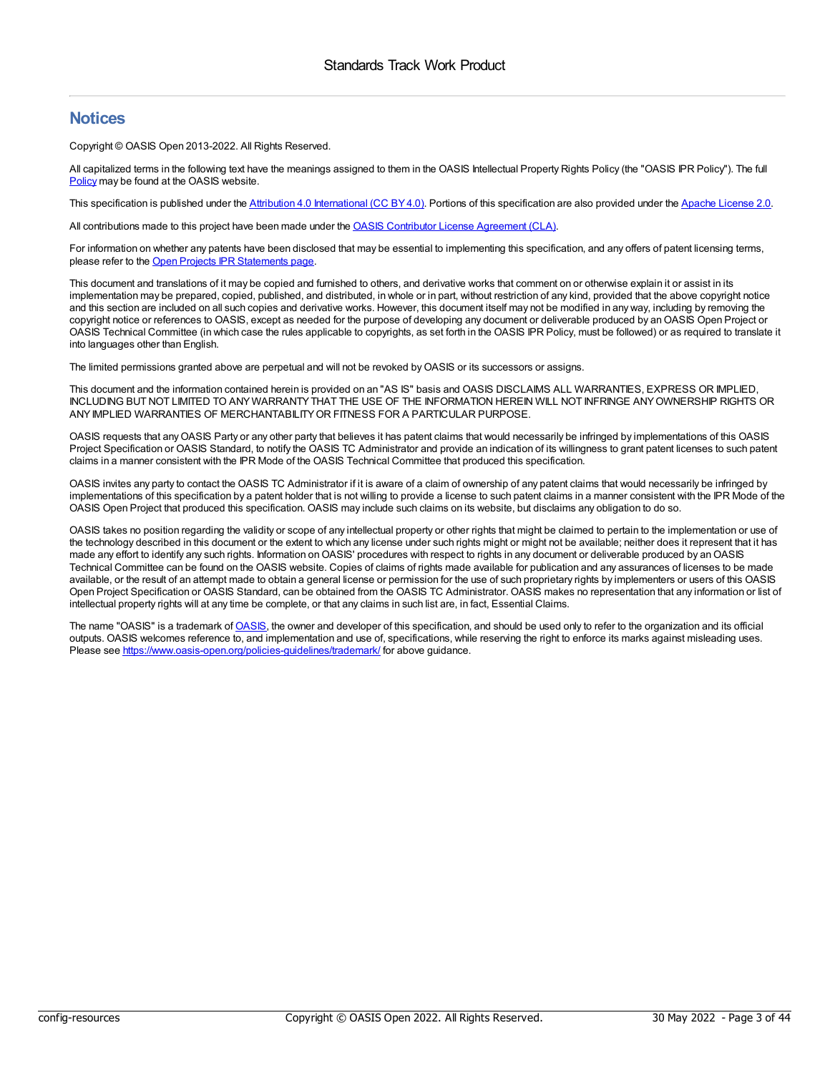### **Notices**

Copyright © OASIS Open 2013-2022. All Rights Reserved.

All capitalized terms in the following text have the meanings assigned to them in the OASIS Intellectual Property Rights Policy (the "OASIS IPR Policy"). The full [Policy](https://www.oasis-open.org/policies-guidelines/ipr/) may be found at the OASIS website.

This specification is published under the Attribution 4.0 [International](https://creativecommons.org/licenses/by/4.0/legalcode) (CC BY4.0). Portions of this specification are also provided under the Apache [License](https://www.apache.org/licenses/LICENSE-2.0) 2.0.

All contributions made to this project have been made under the OASIS Contributor License [Agreement](https://www.oasis-open.org/policies-guidelines/open-projects-process/#individual-cla-exhibit) (CLA).

For information on whether any patents have been disclosed that may be essential to implementing this specification, and any offers of patent licensing terms, please refer to the Open Projects IPR [Statements](https://github.com/oasis-open-projects/administration/blob/master/IPR_STATEMENTS.md#open-services-for-lifecycle-collaboration-oslc-open-project) page.

This document and translations of it may be copied and furnished to others, and derivative works that comment on or otherwise explain it or assist in its implementation may be prepared, copied, published, and distributed, in whole or in part, without restriction of any kind, provided that the above copyright notice and this section are included on all such copies and derivative works. However, this document itself may not be modified in any way, including by removing the copyright notice or references to OASIS, except as needed for the purpose of developing any document or deliverable produced by an OASIS Open Project or OASIS Technical Committee (in which case the rules applicable to copyrights, as set forth in the OASIS IPR Policy, must be followed) or as required to translate it into languages other than English.

The limited permissions granted above are perpetual and will not be revoked by OASIS or its successors or assigns.

This document and the information contained herein is provided on an "AS IS" basis and OASIS DISCLAIMS ALL WARRANTIES, EXPRESS OR IMPLIED, INCLUDING BUT NOT LIMITED TO ANYWARRANTYTHAT THE USE OF THE INFORMATION HEREIN WILL NOT INFRINGE ANYOWNERSHIP RIGHTS OR ANYIMPLIED WARRANTIES OF MERCHANTABILITYOR FITNESS FOR A PARTICULAR PURPOSE.

OASIS requests that any OASIS Party or any other party that believes it has patent claims that would necessarily be infringed by implementations of this OASIS Project Specification or OASIS Standard, to notify the OASIS TC Administrator and provide an indication of its willingness to grant patent licenses to such patent claims in a manner consistent with the IPR Mode of the OASIS Technical Committee that produced this specification.

OASIS invites any party to contact the OASIS TC Administrator if it is aware of a claim of ownership of any patent claims that would necessarily be infringed by implementations of this specification by a patent holder that is not willing to provide a license to such patent claims in a manner consistent with the IPR Mode of the OASIS Open Project that produced this specification. OASIS may include such claims on its website, but disclaims any obligation to do so.

OASIS takes no position regarding the validity or scope of any intellectual property or other rights that might be claimed to pertain to the implementation or use of the technology described in this document or the extent to which any license under such rights might or might not be available; neither does it represent that it has made any effort to identify any such rights. Information on OASIS' procedures with respect to rights in any document or deliverable produced by an OASIS Technical Committee can be found on the OASIS website. Copies of claims of rights made available for publication and any assurances of licenses to be made available, or the result of an attempt made to obtain a general license or permission for the use of such proprietary rights by implementers or users of this OASIS Open Project Specification or OASIS Standard, can be obtained from the OASIS TC Administrator. OASIS makes no representation that any information or list of intellectual property rights will at any time be complete, or that any claims in such list are, in fact, Essential Claims.

The name "[OASIS](https://www.oasis-open.org)" is a trademark of OASIS, the owner and developer of this specification, and should be used only to refer to the organization and its official outputs. OASIS welcomes reference to, and implementation and use of, specifications, while reserving the right to enforce its marks against misleading uses. Please see <https://www.oasis-open.org/policies-guidelines/trademark/> for above guidance.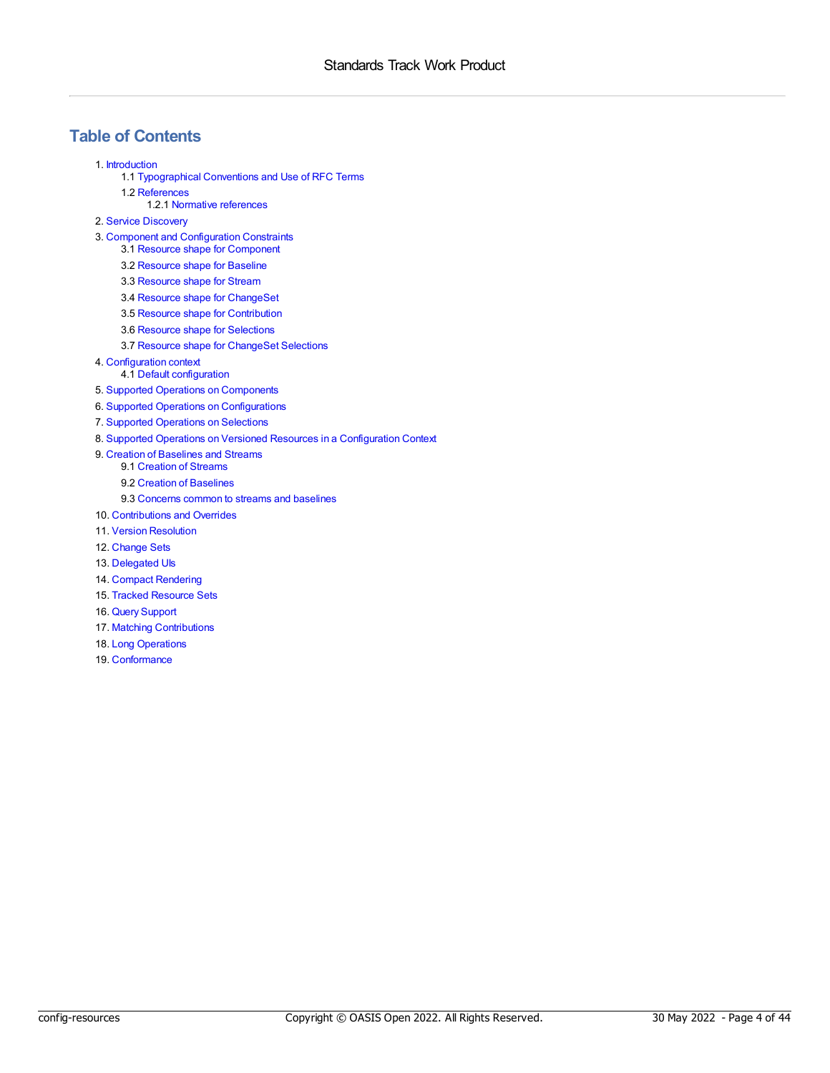# **Table of Contents**

1. [Introduction](#page-4-0)

- 1.1 [Typographical](#page-4-1) Conventions and Use of RFC Terms
- 1.2 [References](#page-4-2)
	- 1.2.1 Normative [references](#page-4-3)
- 2. Service [Discovery](#page-5-0)
- 3. Component and [Configuration](#page-13-0) Constraints
	- 3.1 Resource shape for [Component](#page-7-0)
	- 3.2 [Resource](#page-10-0) shape for Baseline
	- 3.3 [Resource](#page-14-0) shape for Stream
	- 3.4 Resource shape for [ChangeSet](#page-17-0)
	- 3.5 Resource shape for [Contribution](#page-19-0)
	- 3.6 Resource shape for [Selections](#page-20-0)
	- 3.7 Resource shape for [ChangeSet](#page-20-1) Selections
- 4. [Configuration](#page-21-0) context
	- 4.1 Default [configuration](#page-22-0)
- 5. Supported Operations on [Components](#page-23-0)
- 6. Supported Operations on [Configurations](#page-24-0)
- 7. Supported [Operations](#page-25-0) on Selections
- 8. Supported Operations on Versioned Resources in a [Configuration](#page-26-0) Context
- 9. Creation of [Baselines](#page-27-0) and Streams
	- 9.1 [Creation](#page-27-1) of Streams
	- 9.2 Creation of [Baselines](#page-27-2)
	- 9.3 [Concerns](#page-28-0) common to streams and baselines
- 10. [Contributions](#page-29-0) and Overrides
- 11. Version [Resolution](#page-30-0)
- 12. [Change](#page-31-0) Sets
- 13. [Delegated](#page-32-0) Uls
- 14. Compact [Rendering](#page-33-0)
- 15. Tracked [Resource](#page-34-0) Sets
- 16. Query [Support](#page-35-0)
- 17. Matching [Contributions](#page-36-0)
- 18. Long [Operations](#page-37-0)
- 19. [Conformance](#page-40-0)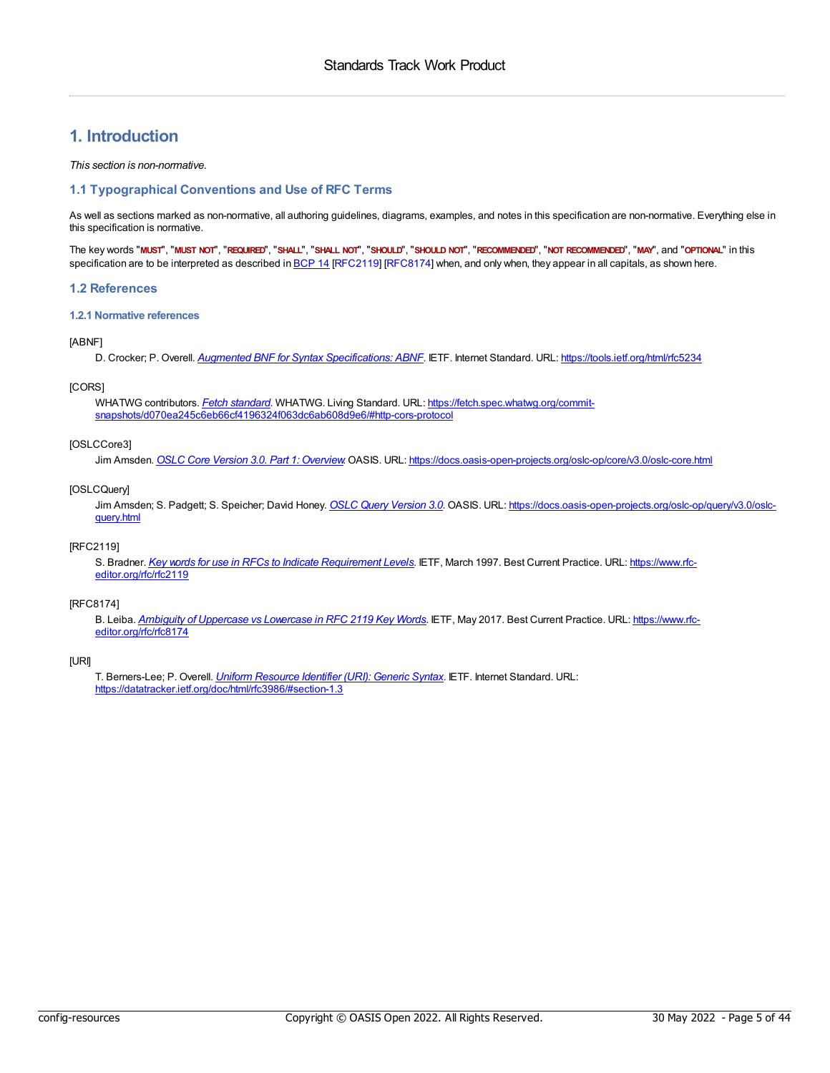# <span id="page-4-0"></span>**1. Introduction**

#### *This section is non-normative.*

#### <span id="page-4-1"></span>**1.1 Typographical Conventions and Use of RFC Terms**

As well as sections marked as non-normative, all authoring guidelines, diagrams, examples, and notes in this specification are non-normative. Everything else in this specification is normative.

The key words "MUST", "MUST NOT", "REQUIRED", "SHALL", "SHALL NOT", "SHOULD", "SHOULD NOT", "RECOMMENDED", "NOT RECOMMENDED", "MAY", and "OPTIONAL" in this specification are to be interpreted as described in [BCP](https://tools.ietf.org/html/bcp14) 14 [\[RFC2119](#page-4-4)] [\[RFC8174](#page-4-5)] when, and only when, they appear in all capitals, as shown here.

#### <span id="page-4-2"></span>**1.2 References**

#### <span id="page-4-3"></span>**1.2.1 Normative references**

#### <span id="page-4-7"></span>[ABNF]

D. Crocker; P. Overell. *Augmented BNF for Syntax [Specifications:](https://tools.ietf.org/html/rfc5234) ABNF*. IETF. Internet Standard. URL: <https://tools.ietf.org/html/rfc5234>

#### <span id="page-4-9"></span>[CORS]

WHATWG contributors. *Fetch [standard](https://fetch.spec.whatwg.org/commit-snapshots/d070ea245c6eb66cf4196324f063dc6ab608d9e6/#http-cors-protocol)*. WHATWG. Living Standard. URL: https://fetch.spec.whatwg.org/commit[snapshots/d070ea245c6eb66cf4196324f063dc6ab608d9e6/#http-cors-protocol](https://fetch.spec.whatwg.org/commit-snapshots/d070ea245c6eb66cf4196324f063dc6ab608d9e6/#http-cors-protocol)

#### <span id="page-4-6"></span>[OSLCCore3]

Jim Amsden. *OSLC Core Version 3.0. Part 1: [Overview](https://docs.oasis-open-projects.org/oslc-op/core/v3.0/oslc-core.html)*. OASIS. URL: <https://docs.oasis-open-projects.org/oslc-op/core/v3.0/oslc-core.html>

#### <span id="page-4-10"></span>[OSLCQuery]

Jim Amsden; S. Padgett; S. Speicher; David Honey. *OSLC Query [Version](https://docs.oasis-open-projects.org/oslc-op/query/v3.0/oslc-query.html) 3.0*. OASIS. URL: [https://docs.oasis-open-projects.org/oslc-op/query/v3.0/oslc](https://docs.oasis-open-projects.org/oslc-op/query/v3.0/oslc-query.html)query.html

#### <span id="page-4-4"></span>[RFC2119]

S. Bradner. *Key words for use in RFCs to Indicate [Requirement](https://www.rfc-editor.org/rfc/rfc2119) Levels*. IETF, March 1997. Best Current Practice. URL: https://www.rfc[editor.org/rfc/rfc2119](https://www.rfc-editor.org/rfc/rfc2119)

#### <span id="page-4-5"></span>[RFC8174]

B. Leiba. *Ambiguity of [Uppercase](https://www.rfc-editor.org/rfc/rfc8174) vs Lowercase in RFC 2119 Key Words*. IETF, May 2017. Best Current Practice. URL: https://www.rfc[editor.org/rfc/rfc8174](https://www.rfc-editor.org/rfc/rfc8174)

#### <span id="page-4-8"></span>[URI]

T. Berners-Lee; P. Overell. *Uniform [Resource](https://datatracker.ietf.org/doc/html/rfc3986/#section-1.3) Identifier (URI): Generic Syntax*. IETF. Internet Standard. URL: <https://datatracker.ietf.org/doc/html/rfc3986/#section-1.3>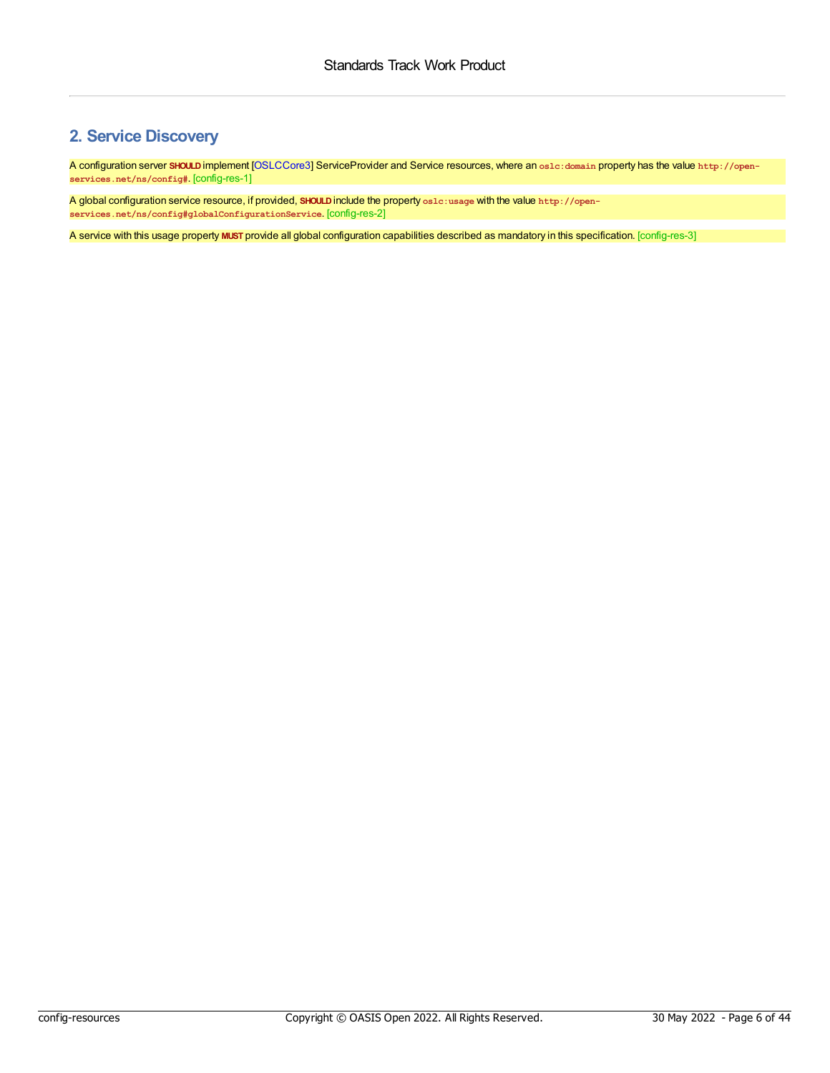# <span id="page-5-0"></span>**2. Service Discovery**

<span id="page-5-1"></span>A configuration server **SHOULD**implement [[OSLCCore3](#page-4-6)] ServiceProvider and Service resources, where an **oslc:domain** property has the value **http://openservices.net/ns/config#**. [config-res-1]

<span id="page-5-2"></span>A global configuration service resource, if provided, **SHOULD**include the property **oslc:usage** with the value **http://openservices.net/ns/config#globalConfigurationService**. [config-res-2]

<span id="page-5-3"></span>A service with this usage property **MUST** provide all global configuration capabilities described as mandatory in this specification. [config-res-3]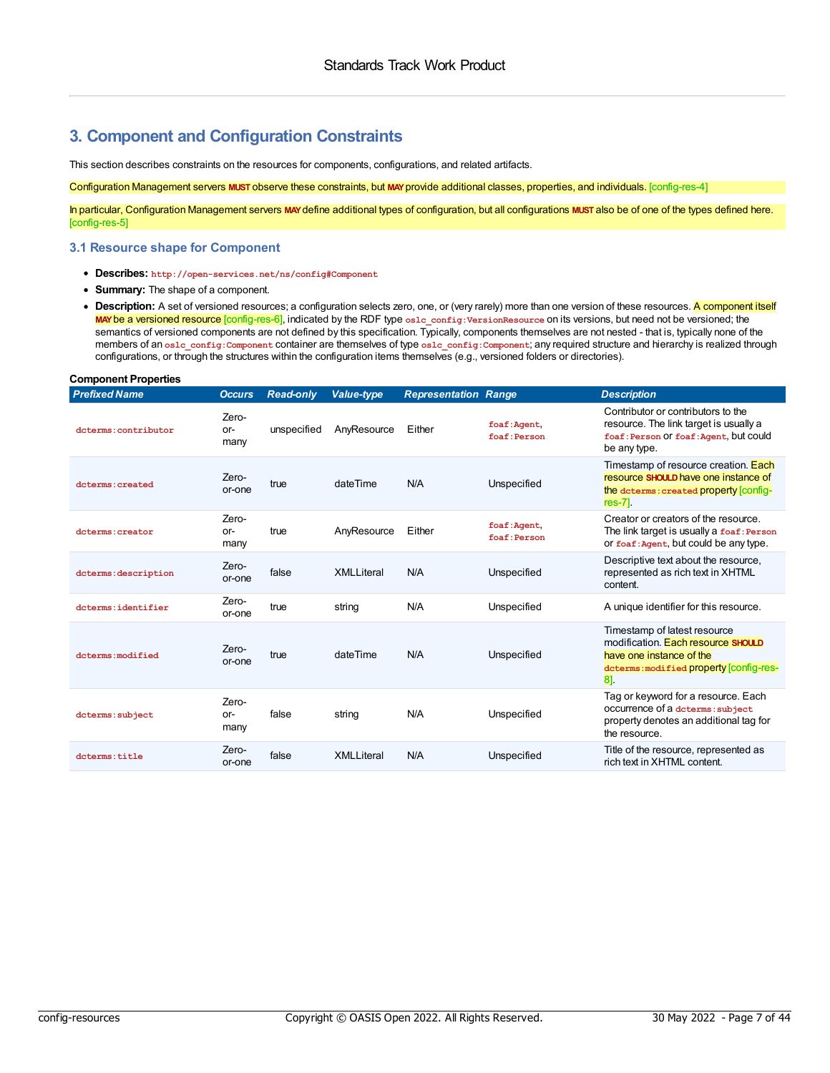### **3. Component and Configuration Constraints**

This section describes constraints on the resources for components, configurations, and related artifacts.

<span id="page-6-0"></span>Configuration Management servers **MUST** observe these constraints, but **MAY**provide additional classes, properties, and individuals. [config-res-4]

<span id="page-6-1"></span>In particular, Configuration Management servers **MAY**define additional types of configuration, but all configurations **MUST** also be of one of the types defined here. [config-res-5]

#### **3.1 Resource shape for Component**

- **Describes: http://open-services.net/ns/config#Component**
- **Summary:** The shape of a component.
- <span id="page-6-2"></span>• Description: A set of versioned resources; a configuration selects zero, one, or (very rarely) more than one version of these resources. A component itself **MAY**be a versioned resource [config-res-6], indicated by the RDF type **oslc\_config:VersionResource** on its versions, but need not be versioned; the semantics of versioned components are not defined by this specification. Typically, components themselves are not nested - that is, typically none of the members of an **oslc\_config:Component** container are themselves of type **oslc\_config:Component**; any required structure and hierarchy is realized through configurations, or through the structures within the configuration items themselves (e.g., versioned folders or directories).

<span id="page-6-4"></span><span id="page-6-3"></span>

| <b>Component Properties</b> |                      |                  |                   |                             |                              |                                                                                                                                                 |  |  |
|-----------------------------|----------------------|------------------|-------------------|-----------------------------|------------------------------|-------------------------------------------------------------------------------------------------------------------------------------------------|--|--|
| <b>Prefixed Name</b>        | <b>Occurs</b>        | <b>Read-only</b> | <b>Value-type</b> | <b>Representation Range</b> |                              | <b>Description</b>                                                                                                                              |  |  |
| dcterms: contributor        | Zero-<br>or-<br>many | unspecified      | AnvResource       | Either                      | foaf: Agent,<br>foaf: Person | Contributor or contributors to the<br>resource. The link target is usually a<br>foaf: Person Of foaf: Agent, but could<br>be any type.          |  |  |
| dcterms: created            | Zero-<br>or-one      | true             | dateTime          | N/A                         | Unspecified                  | Timestamp of resource creation. Each<br>resource SHOULD have one instance of<br>the doterms: created property [config-<br>$res-7$ ].            |  |  |
| dcterms: creator            | Zero-<br>or-<br>many | true             | AnyResource       | Either                      | foaf: Agent,<br>foaf: Person | Creator or creators of the resource<br>The link target is usually a foaf: Person<br>or foaf: Agent, but could be any type.                      |  |  |
| dcterms: description        | Zero-<br>or-one      | false            | <b>XMLLiteral</b> | N/A                         | Unspecified                  | Descriptive text about the resource,<br>represented as rich text in XHTML<br>content.                                                           |  |  |
| dcterms:identifier          | Zero-<br>or-one      | true             | string            | N/A                         | Unspecified                  | A unique identifier for this resource.                                                                                                          |  |  |
| dcterms: modified           | Zero-<br>or-one      | true             | dateTime          | N/A                         | Unspecified                  | Timestamp of latest resource<br>modification. Each resource SHOULD<br>have one instance of the<br>dcterms: modified property [config-res-<br>81 |  |  |
| dcterms: subject            | Zero-<br>or-<br>many | false            | string            | N/A                         | Unspecified                  | Tag or keyword for a resource. Each<br>occurrence of a dcterms: subject<br>property denotes an additional tag for<br>the resource.              |  |  |
| doterms:title               | Zero-<br>or-one      | false            | <b>XMLLiteral</b> | N/A                         | Unspecified                  | Title of the resource, represented as<br>rich text in XHTML content.                                                                            |  |  |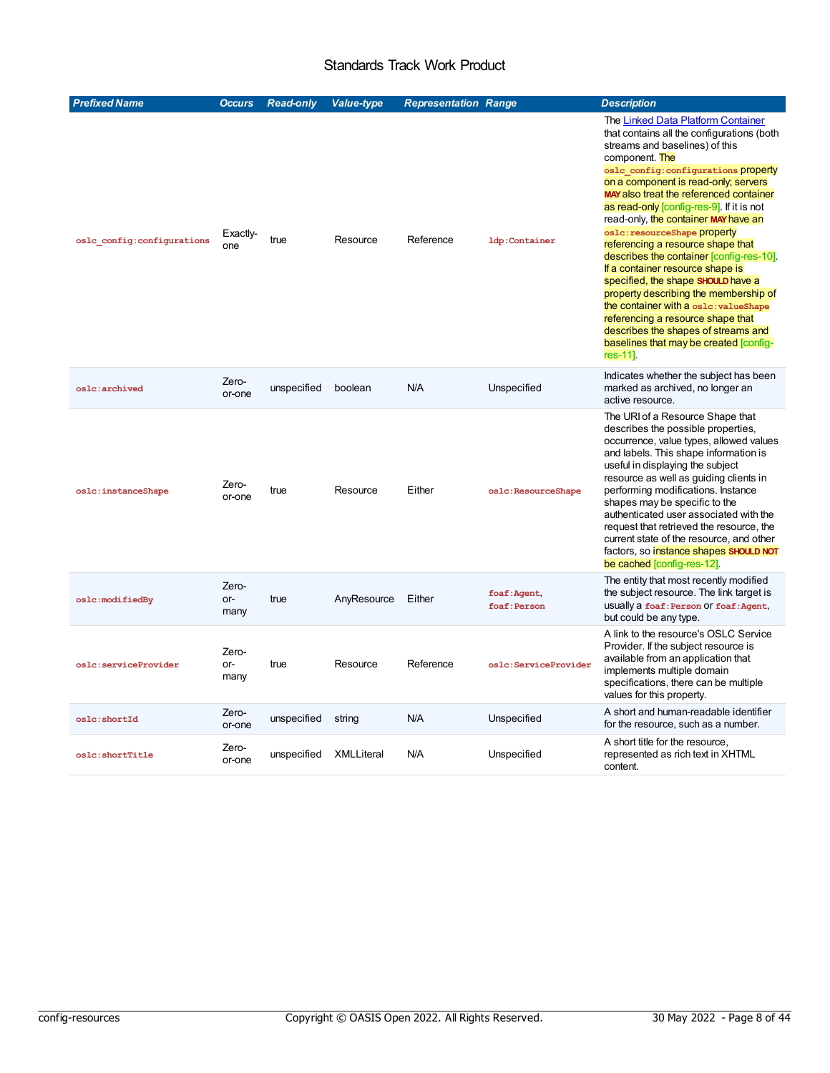<span id="page-7-4"></span><span id="page-7-3"></span><span id="page-7-2"></span><span id="page-7-1"></span><span id="page-7-0"></span>

| <b>Prefixed Name</b>       | <b>Occurs</b>        | <b>Read-only</b> | <b>Value-type</b> | <b>Representation Range</b> |                             | <b>Description</b>                                                                                                                                                                                                                                                                                                                                                                                                                                                                                                                                                                                                                                                                                                                                                  |
|----------------------------|----------------------|------------------|-------------------|-----------------------------|-----------------------------|---------------------------------------------------------------------------------------------------------------------------------------------------------------------------------------------------------------------------------------------------------------------------------------------------------------------------------------------------------------------------------------------------------------------------------------------------------------------------------------------------------------------------------------------------------------------------------------------------------------------------------------------------------------------------------------------------------------------------------------------------------------------|
| oslc config:configurations | Exactly-<br>one      | true             | Resource          | Reference                   | 1dp:Container               | The Linked Data Platform Container<br>that contains all the configurations (both<br>streams and baselines) of this<br>component. The<br>oslc config: configurations property<br>on a component is read-only; servers<br>MAY also treat the referenced container<br>as read-only [config-res-9]. If it is not<br>read-only, the container MAY have an<br>oslc: resourceShape property<br>referencing a resource shape that<br>describes the container [config-res-10].<br>If a container resource shape is<br>specified, the shape SHOULD have a<br>property describing the membership of<br>the container with a oslc: valueShape<br>referencing a resource shape that<br>describes the shapes of streams and<br>baselines that may be created [config-<br>res-11]. |
| oslc:archived              | Zero-<br>or-one      | unspecified      | boolean           | N/A                         | Unspecified                 | Indicates whether the subject has been<br>marked as archived, no longer an<br>active resource.                                                                                                                                                                                                                                                                                                                                                                                                                                                                                                                                                                                                                                                                      |
| oslc:instanceShape         | Zero-<br>or-one      | true             | Resource          | Either                      | oslc:ResourceShape          | The URI of a Resource Shape that<br>describes the possible properties,<br>occurrence, value types, allowed values<br>and labels. This shape information is<br>useful in displaying the subject<br>resource as well as guiding clients in<br>performing modifications. Instance<br>shapes may be specific to the<br>authenticated user associated with the<br>request that retrieved the resource, the<br>current state of the resource, and other<br>factors, so instance shapes SHOULD NOT<br>be cached [config-res-12].                                                                                                                                                                                                                                           |
| oslc:modifiedBy            | Zero-<br>or-<br>many | true             | AnyResource       | Either                      | foaf:Agent,<br>foaf: Person | The entity that most recently modified<br>the subject resource. The link target is<br>usually a foaf: Person Of foaf: Agent,<br>but could be any type.                                                                                                                                                                                                                                                                                                                                                                                                                                                                                                                                                                                                              |
| oslc:serviceProvider       | Zero-<br>or-<br>many | true             | Resource          | Reference                   | oslc:ServiceProvider        | A link to the resource's OSLC Service<br>Provider. If the subject resource is<br>available from an application that<br>implements multiple domain<br>specifications, there can be multiple<br>values for this property.                                                                                                                                                                                                                                                                                                                                                                                                                                                                                                                                             |
| oslc:shortId               | Zero-<br>or-one      | unspecified      | string            | N/A                         | Unspecified                 | A short and human-readable identifier<br>for the resource, such as a number.                                                                                                                                                                                                                                                                                                                                                                                                                                                                                                                                                                                                                                                                                        |
| oslc:shortTitle            | Zero-<br>or-one      | unspecified      | <b>XMLLiteral</b> | N/A                         | Unspecified                 | A short title for the resource,<br>represented as rich text in XHTML<br>content.                                                                                                                                                                                                                                                                                                                                                                                                                                                                                                                                                                                                                                                                                    |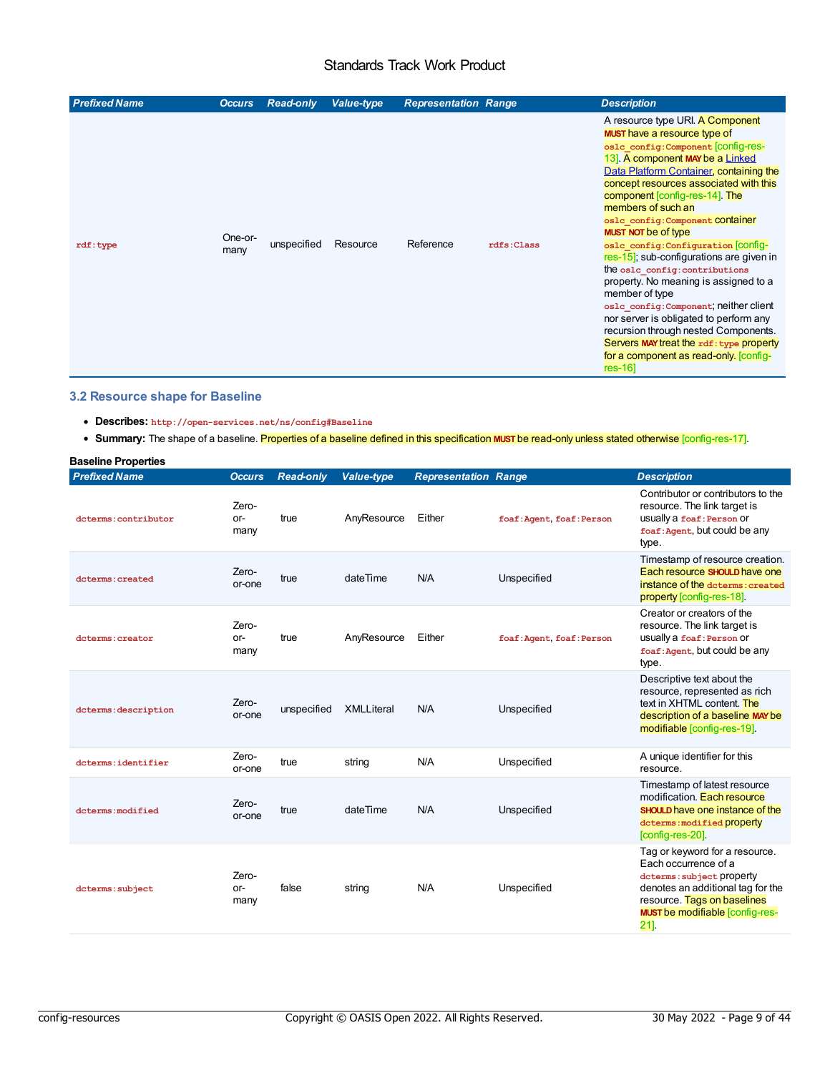<span id="page-8-2"></span><span id="page-8-1"></span><span id="page-8-0"></span>

| <b>Prefixed Name</b> | <b>Occurs</b>   | <b>Read-only</b> | <b>Value-type</b> | <b>Representation Range</b> |            | <b>Description</b>                                                                                                                                                                                                                                                                                                                                                                                                                                                                                                                                                                                                                                                                                                                                                       |
|----------------------|-----------------|------------------|-------------------|-----------------------------|------------|--------------------------------------------------------------------------------------------------------------------------------------------------------------------------------------------------------------------------------------------------------------------------------------------------------------------------------------------------------------------------------------------------------------------------------------------------------------------------------------------------------------------------------------------------------------------------------------------------------------------------------------------------------------------------------------------------------------------------------------------------------------------------|
| $\texttt{rdf: type}$ | One-or-<br>many | unspecified      | Resource          | Reference                   | rdfs:Class | A resource type URI. A Component<br>MUST have a resource type of<br>oslc config: Component [CONfig-res-<br>13] A component MAY be a Linked<br>Data Platform Container, containing the<br>concept resources associated with this<br>component [config-res-14]. The<br>members of such an<br>oslc config: Component COntainer<br><b>MUST NOT be of type</b><br>oslc config: Configuration CONNIG-<br>$res-15$ ; sub-configurations are given in<br>the osle config: contributions<br>property. No meaning is assigned to a<br>member of type<br>osle config: Component; neither client<br>nor server is obligated to perform any<br>recursion through nested Components.<br>Servers MAY treat the rdf: type property<br>for a component as read-only. [config-<br>$res-16$ |

#### **3.2 Resource shape for Baseline**

- <span id="page-8-3"></span>**Describes: http://open-services.net/ns/config#Baseline**
- <span id="page-8-6"></span><span id="page-8-5"></span><span id="page-8-4"></span>**Summary:** The shape of a baseline. Properties of a baseline defined in this specification **MUST** be read-only unless stated otherwise [config-res-17].

<span id="page-8-8"></span><span id="page-8-7"></span>

| <b>Baseline Properties</b> |                      |                  |                   |                             |                           |                                                                                                                                                                                                           |
|----------------------------|----------------------|------------------|-------------------|-----------------------------|---------------------------|-----------------------------------------------------------------------------------------------------------------------------------------------------------------------------------------------------------|
| <b>Prefixed Name</b>       | <b>Occurs</b>        | <b>Read-only</b> | <b>Value-type</b> | <b>Representation Range</b> |                           | <b>Description</b>                                                                                                                                                                                        |
| dcterms: contributor       | Zero-<br>or-<br>many | true             | AnyResource       | Either                      | foaf: Agent, foaf: Person | Contributor or contributors to the<br>resource. The link target is<br>usually a foaf: Person Of<br>foaf: Agent, but could be any<br>type.                                                                 |
| doterms: created           | Zero-<br>or-one      | true             | dateTime          | N/A                         | Unspecified               | Timestamp of resource creation.<br>Each resource SHOULD have one<br>instance of the determs: created<br>property [config-res-18].                                                                         |
| doterms: creator           | Zero-<br>or-<br>many | true             | AnyResource       | Either                      | foaf: Agent, foaf: Person | Creator or creators of the<br>resource. The link target is<br>usually a foaf: Person Or<br>foaf: Agent, but could be any<br>type.                                                                         |
| dcterms: description       | Zero-<br>or-one      | unspecified      | <b>XMLLiteral</b> | N/A                         | Unspecified               | Descriptive text about the<br>resource, represented as rich<br>text in XHTML content. The<br>description of a baseline MAY be<br>modifiable [config-res-19].                                              |
| dcterms: identifier        | Zero-<br>or-one      | true             | string            | N/A                         | Unspecified               | A unique identifier for this<br>resource.                                                                                                                                                                 |
| dcterms: modified          | Zero-<br>or-one      | true             | dateTime          | N/A                         | Unspecified               | Timestamp of latest resource<br>modification. Each resource<br><b>SHOULD</b> have one instance of the<br>dcterms: modified property<br>[config-res-20].                                                   |
| dcterms: subject           | Zero-<br>or-<br>many | false            | string            | N/A                         | Unspecified               | Tag or keyword for a resource.<br>Each occurrence of a<br>dcterms: subject property<br>denotes an additional tag for the<br>resource. Tags on baselines<br><b>MUST be modifiable [config-res-</b><br>21]. |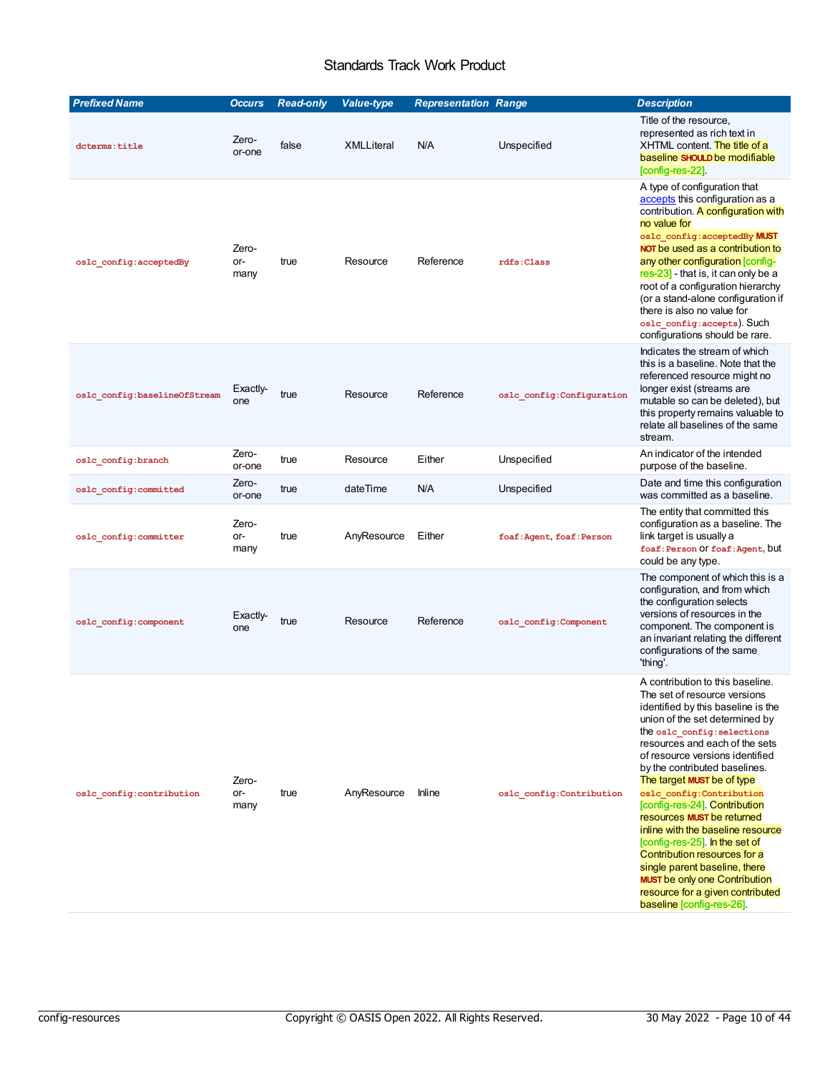<span id="page-9-4"></span><span id="page-9-3"></span><span id="page-9-2"></span><span id="page-9-1"></span><span id="page-9-0"></span>

| <b>Prefixed Name</b>         | <b>Occurs</b>        | <b>Read-only</b> | <b>Value-type</b> | <b>Representation Range</b> |                            | <b>Description</b>                                                                                                                                                                                                                                                                                                                                                                                                                                                                                                                                                                                                                                       |
|------------------------------|----------------------|------------------|-------------------|-----------------------------|----------------------------|----------------------------------------------------------------------------------------------------------------------------------------------------------------------------------------------------------------------------------------------------------------------------------------------------------------------------------------------------------------------------------------------------------------------------------------------------------------------------------------------------------------------------------------------------------------------------------------------------------------------------------------------------------|
| dcterms: title               | Zero-<br>or-one      | false            | <b>XMLLiteral</b> | N/A                         | Unspecified                | Title of the resource,<br>represented as rich text in<br>XHTML content. The title of a<br>baseline SHOULD be modifiable<br>[config-res-22].                                                                                                                                                                                                                                                                                                                                                                                                                                                                                                              |
| oslc_config:acceptedBy       | Zero-<br>or-<br>many | true             | Resource          | Reference                   | rdfs: Class                | A type of configuration that<br>accepts this configuration as a<br>contribution. A configuration with<br>no value for<br>oslc_config:acceptedBy MUST<br>NOT be used as a contribution to<br>any other configuration [config-<br>$res-23$ - that is, it can only be a<br>root of a configuration hierarchy<br>(or a stand-alone configuration if<br>there is also no value for<br>oslc config: accepts). Such<br>configurations should be rare.                                                                                                                                                                                                           |
| oslc config:baselineOfStream | Exactly-<br>one      | true             | Resource          | Reference                   | oslc config: Configuration | Indicates the stream of which<br>this is a baseline. Note that the<br>referenced resource might no<br>longer exist (streams are<br>mutable so can be deleted), but<br>this property remains valuable to<br>relate all baselines of the same<br>stream.                                                                                                                                                                                                                                                                                                                                                                                                   |
| oslc_config:branch           | Zero-<br>or-one      | true             | Resource          | Either                      | Unspecified                | An indicator of the intended<br>purpose of the baseline.                                                                                                                                                                                                                                                                                                                                                                                                                                                                                                                                                                                                 |
| oslc_config:committed        | Zero-<br>or-one      | true             | dateTime          | N/A                         | Unspecified                | Date and time this configuration<br>was committed as a baseline.                                                                                                                                                                                                                                                                                                                                                                                                                                                                                                                                                                                         |
| oslc_config:committer        | Zero-<br>or-<br>many | true             | AnyResource       | Either                      | foaf: Agent, foaf: Person  | The entity that committed this<br>configuration as a baseline. The<br>link target is usually a<br>foaf: Person Of foaf: Agent, but<br>could be any type.                                                                                                                                                                                                                                                                                                                                                                                                                                                                                                 |
| oslc_config:component        | Exactly-<br>one      | true             | Resource          | Reference                   | oslc_config:Component      | The component of which this is a<br>configuration, and from which<br>the configuration selects<br>versions of resources in the<br>component. The component is<br>an invariant relating the different<br>configurations of the same<br>'thing'.                                                                                                                                                                                                                                                                                                                                                                                                           |
| oslc config: contribution    | Zero-<br>or-<br>many | true             | AnyResource       | Inline                      | oslc config: Contribution  | A contribution to this baseline.<br>The set of resource versions<br>identified by this baseline is the<br>union of the set determined by<br>the oslc config: selections<br>resources and each of the sets<br>of resource versions identified<br>by the contributed baselines.<br>The target MUST be of type<br>oslc config: Contribution<br>[config-res-24]. Contribution<br>resources MUST be returned<br>inline with the baseline resource<br>[config-res-25]. In the set of<br>Contribution resources for a<br>single parent baseline, there<br><b>MUST</b> be only one Contribution<br>resource for a given contributed<br>baseline [config-res-26]. |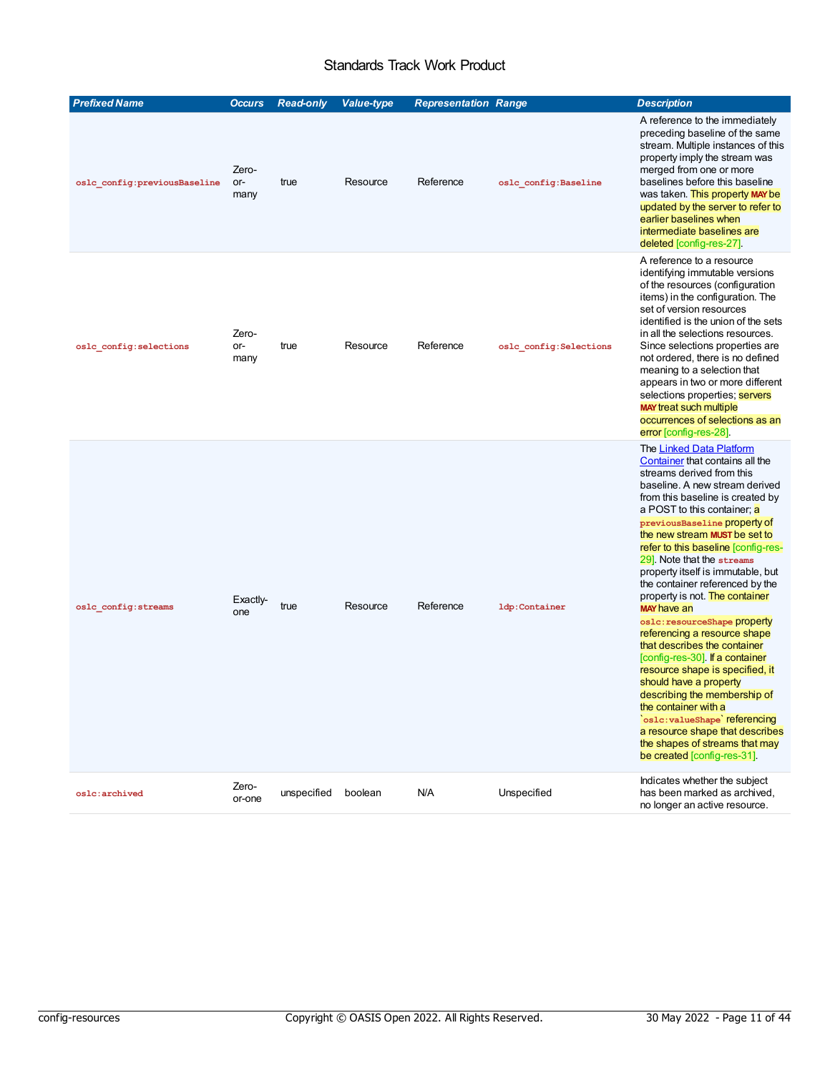<span id="page-10-5"></span><span id="page-10-4"></span><span id="page-10-3"></span><span id="page-10-2"></span><span id="page-10-1"></span><span id="page-10-0"></span>

| <b>Prefixed Name</b>         | <b>Occurs</b>        | <b>Read-only</b> | <b>Value-type</b> | <b>Representation Range</b> |                         | <b>Description</b>                                                                                                                                                                                                                                                                                                                                                                                                                                                                                                                                                                                                                                                                                                                                                                                                                                             |
|------------------------------|----------------------|------------------|-------------------|-----------------------------|-------------------------|----------------------------------------------------------------------------------------------------------------------------------------------------------------------------------------------------------------------------------------------------------------------------------------------------------------------------------------------------------------------------------------------------------------------------------------------------------------------------------------------------------------------------------------------------------------------------------------------------------------------------------------------------------------------------------------------------------------------------------------------------------------------------------------------------------------------------------------------------------------|
| oslc_config:previousBaseline | Zero-<br>or-<br>many | true             | Resource          | Reference                   | oslc config: Baseline   | A reference to the immediately<br>preceding baseline of the same<br>stream. Multiple instances of this<br>property imply the stream was<br>merged from one or more<br>baselines before this baseline<br>was taken. This property MAY be<br>updated by the server to refer to<br>earlier baselines when<br>intermediate baselines are<br>deleted [config-res-27].                                                                                                                                                                                                                                                                                                                                                                                                                                                                                               |
| oslc config: selections      | Zero-<br>or-<br>many | true             | Resource          | Reference                   | oslc config: Selections | A reference to a resource<br>identifying immutable versions<br>of the resources (configuration<br>items) in the configuration. The<br>set of version resources<br>identified is the union of the sets<br>in all the selections resources.<br>Since selections properties are<br>not ordered, there is no defined<br>meaning to a selection that<br>appears in two or more different<br>selections properties; servers<br><b>MAY treat such multiple</b><br>occurrences of selections as an<br>error [config-res-28].                                                                                                                                                                                                                                                                                                                                           |
| oslc config: streams         | Exactly-<br>one      | true             | Resource          | Reference                   | ldp:Container           | The Linked Data Platform<br>Container that contains all the<br>streams derived from this<br>baseline. A new stream derived<br>from this baseline is created by<br>a POST to this container; a<br>previousBaseline property of<br>the new stream MUST be set to<br>refer to this baseline [config-res-<br>29] Note that the streams<br>property itself is immutable, but<br>the container referenced by the<br>property is not. The container<br><b>MAY</b> have an<br>os1c: resourceShape property<br>referencing a resource shape<br>that describes the container<br>[config-res-30]. If a container<br>resource shape is specified, it<br>should have a property<br>describing the membership of<br>the container with a<br>oslc: valueShape referencing<br>a resource shape that describes<br>the shapes of streams that may<br>be created [config-res-31]. |
| oslc:archived                | Zero-<br>or-one      | unspecified      | boolean           | N/A                         | Unspecified             | Indicates whether the subject<br>has been marked as archived,<br>no longer an active resource.                                                                                                                                                                                                                                                                                                                                                                                                                                                                                                                                                                                                                                                                                                                                                                 |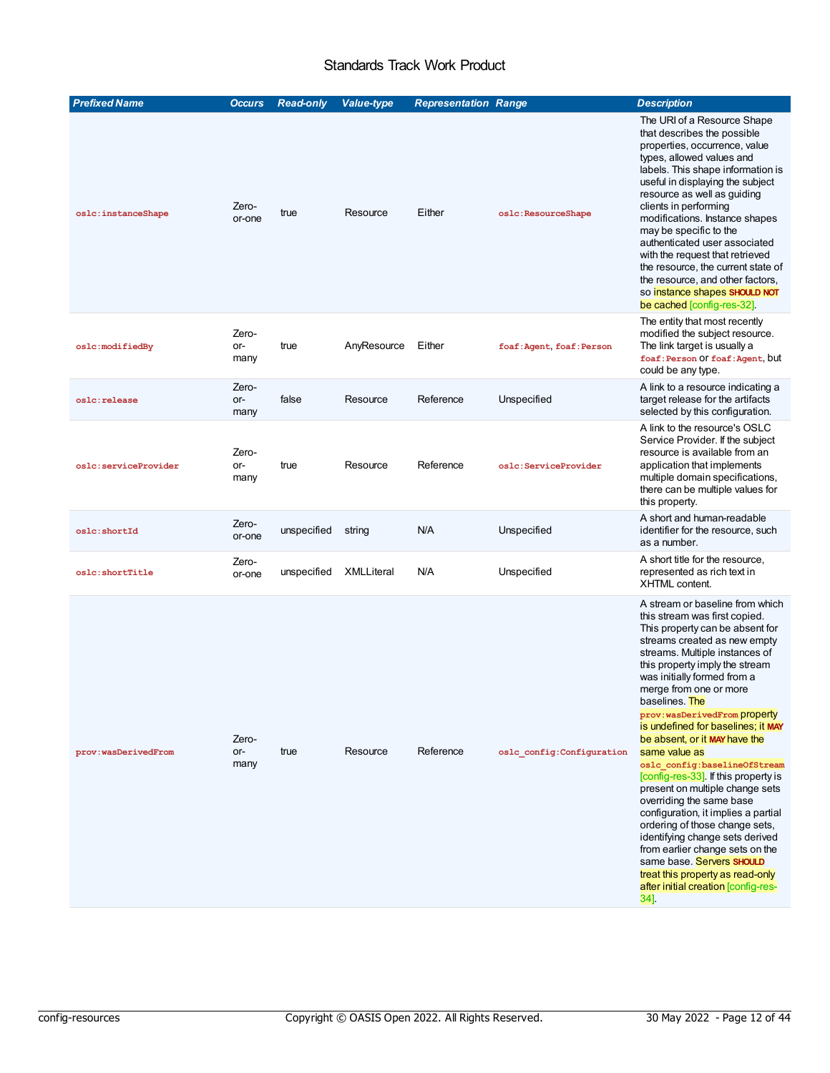<span id="page-11-2"></span><span id="page-11-1"></span><span id="page-11-0"></span>

| <b>Prefixed Name</b> | <b>Occurs</b>        | <b>Read-only</b> | <b>Value-type</b> | <b>Representation Range</b> |                            | <b>Description</b>                                                                                                                                                                                                                                                                                                                                                                                                                                                                                                                                                                                                                                                                                                                                                                                               |
|----------------------|----------------------|------------------|-------------------|-----------------------------|----------------------------|------------------------------------------------------------------------------------------------------------------------------------------------------------------------------------------------------------------------------------------------------------------------------------------------------------------------------------------------------------------------------------------------------------------------------------------------------------------------------------------------------------------------------------------------------------------------------------------------------------------------------------------------------------------------------------------------------------------------------------------------------------------------------------------------------------------|
| oslc:instanceShape   | Zero-<br>or-one      | true             | Resource          | Either                      | oslc:ResourceShape         | The URI of a Resource Shape<br>that describes the possible<br>properties, occurrence, value<br>types, allowed values and<br>labels. This shape information is<br>useful in displaying the subject<br>resource as well as guiding<br>clients in performing<br>modifications. Instance shapes<br>may be specific to the<br>authenticated user associated<br>with the request that retrieved<br>the resource, the current state of<br>the resource, and other factors,<br>so instance shapes SHOULD NOT<br>be cached [config-res-32].                                                                                                                                                                                                                                                                               |
| oslc:modifiedBy      | Zero-<br>or-<br>many | true             | AnyResource       | Either                      | foaf: Agent, foaf: Person  | The entity that most recently<br>modified the subject resource.<br>The link target is usually a<br>foaf: Person Of foaf: Agent, but<br>could be any type.                                                                                                                                                                                                                                                                                                                                                                                                                                                                                                                                                                                                                                                        |
| oslc:release         | Zero-<br>or-<br>many | false            | Resource          | Reference                   | Unspecified                | A link to a resource indicating a<br>target release for the artifacts<br>selected by this configuration.                                                                                                                                                                                                                                                                                                                                                                                                                                                                                                                                                                                                                                                                                                         |
| oslc:serviceProvider | Zero-<br>or-<br>many | true             | Resource          | Reference                   | oslc:ServiceProvider       | A link to the resource's OSLC<br>Service Provider. If the subject<br>resource is available from an<br>application that implements<br>multiple domain specifications,<br>there can be multiple values for<br>this property.                                                                                                                                                                                                                                                                                                                                                                                                                                                                                                                                                                                       |
| oslc:shortId         | Zero-<br>or-one      | unspecified      | string            | N/A                         | Unspecified                | A short and human-readable<br>identifier for the resource, such<br>as a number.                                                                                                                                                                                                                                                                                                                                                                                                                                                                                                                                                                                                                                                                                                                                  |
| oslc:shortTitle      | Zero-<br>or-one      | unspecified      | <b>XMLLiteral</b> | N/A                         | Unspecified                | A short title for the resource,<br>represented as rich text in<br>XHTML content.                                                                                                                                                                                                                                                                                                                                                                                                                                                                                                                                                                                                                                                                                                                                 |
| prov:wasDerivedFrom  | Zero-<br>or-<br>many | true             | Resource          | Reference                   | oslc config: Configuration | A stream or baseline from which<br>this stream was first copied.<br>This property can be absent for<br>streams created as new empty<br>streams. Multiple instances of<br>this property imply the stream<br>was initially formed from a<br>merge from one or more<br>baselines. The<br>prov: wasDerivedFrom property<br>is undefined for baselines; it MAY<br>be absent, or it MAY have the<br>same value as<br>oslc config:baselineOfStream<br>[config-res-33]. If this property is<br>present on multiple change sets<br>overriding the same base<br>configuration, it implies a partial<br>ordering of those change sets,<br>identifying change sets derived<br>from earlier change sets on the<br>same base. Servers SHOULD<br>treat this property as read-only<br>after initial creation [config-res-<br>34] |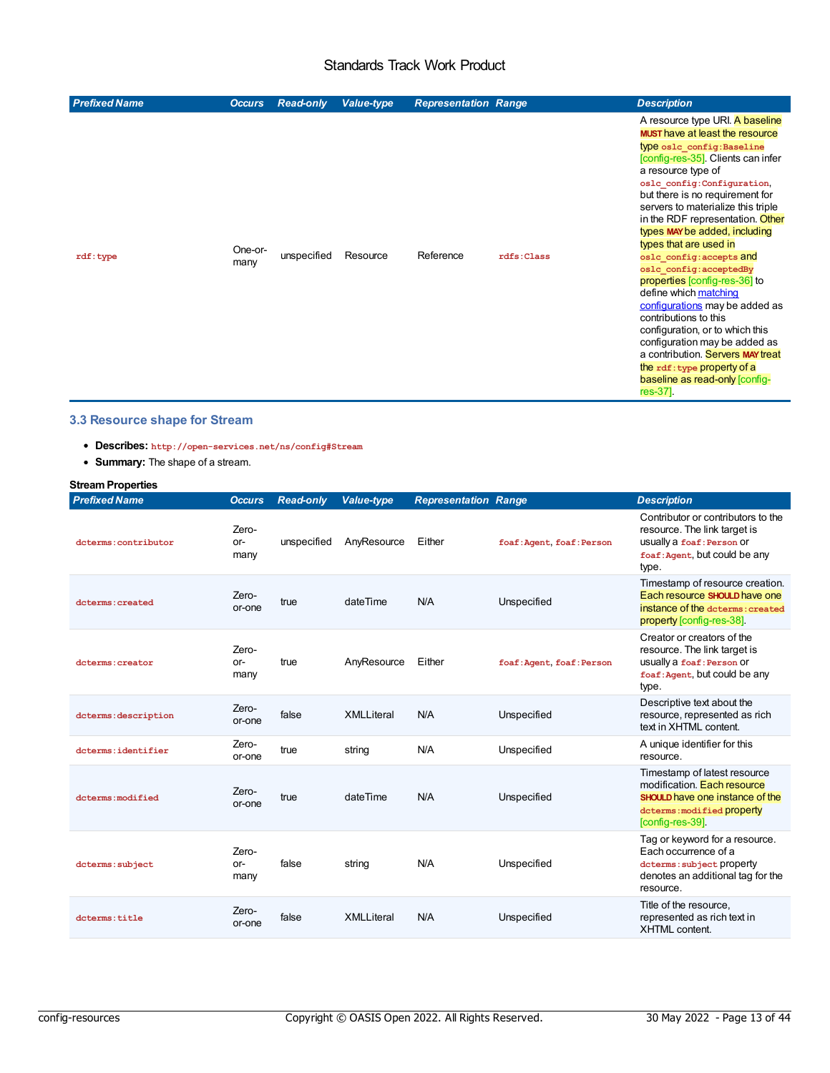<span id="page-12-1"></span><span id="page-12-0"></span>

| <b>Prefixed Name</b> | <b>Occurs</b>   | <b>Read-only</b> | <b>Value-type</b> | <b>Representation Range</b> |            | <b>Description</b>                                                                                                                                                                                                                                                                                                                                                                                                                                                                                                                                                                                                                                                                                                                           |
|----------------------|-----------------|------------------|-------------------|-----------------------------|------------|----------------------------------------------------------------------------------------------------------------------------------------------------------------------------------------------------------------------------------------------------------------------------------------------------------------------------------------------------------------------------------------------------------------------------------------------------------------------------------------------------------------------------------------------------------------------------------------------------------------------------------------------------------------------------------------------------------------------------------------------|
| rdf:type             | One-or-<br>many | unspecified      | Resource          | Reference                   | rdfs:Class | A resource type URI. A baseline<br><b>MUST</b> have at least the resource<br>type oslc config: Baseline<br>[config-res-35]. Clients can infer<br>a resource type of<br>oslc config: Configuration,<br>but there is no requirement for<br>servers to materialize this triple<br>in the RDF representation. Other<br>types MAY be added, including<br>types that are used in<br>oslc config: accepts and<br>oslc config: acceptedBy<br>properties [config-res-36] to<br>define which matching<br>configurations may be added as<br>contributions to this<br>configuration, or to which this<br>configuration may be added as<br>a contribution. Servers MAY treat<br>the rdf: type property of a<br>baseline as read-only [config-<br>res-37]. |

### **3.3 Resource shape for Stream**

- <span id="page-12-2"></span>**Describes: http://open-services.net/ns/config#Stream**
- <span id="page-12-3"></span>**Summary:** The shape of a stream.

# **Stream Properties**

<span id="page-12-4"></span>

| <b>Prefixed Name</b> | <b>Occurs</b>          | <b>Read-only</b> | <b>Value-type</b> | <b>Representation Range</b> |                           | <b>Description</b>                                                                                                                                      |
|----------------------|------------------------|------------------|-------------------|-----------------------------|---------------------------|---------------------------------------------------------------------------------------------------------------------------------------------------------|
| dcterms: contributor | Zero-<br>$or-$<br>many | unspecified      | AnyResource       | Either                      | foaf: Agent, foaf: Person | Contributor or contributors to the<br>resource. The link target is<br>usually a foaf: Person Of<br>foaf: Agent, but could be any<br>type.               |
| doterms: created     | Zero-<br>or-one        | true             | dateTime          | N/A                         | Unspecified               | Timestamp of resource creation.<br>Each resource SHOULD have one<br>instance of the determs: created<br>property [config-res-38].                       |
| doterms: creator     | Zero-<br>$or-$<br>many | true             | AnyResource       | Either                      | foaf: Agent, foaf: Person | Creator or creators of the<br>resource. The link target is<br>usually a foaf: Person Of<br>foaf: Agent, but could be any<br>type.                       |
| dcterms: description | Zero-<br>or-one        | false            | <b>XMLLiteral</b> | N/A                         | Unspecified               | Descriptive text about the<br>resource, represented as rich<br>text in XHTML content.                                                                   |
| dcterms: identifier  | Zero-<br>or-one        | true             | string            | N/A                         | Unspecified               | A unique identifier for this<br>resource.                                                                                                               |
| dcterms: modified    | Zero-<br>or-one        | true             | dateTime          | N/A                         | Unspecified               | Timestamp of latest resource<br>modification. Each resource<br><b>SHOULD</b> have one instance of the<br>dcterms: modified property<br>[config-res-39]. |
| dcterms: subject     | Zero-<br>or-<br>many   | false            | string            | N/A                         | Unspecified               | Tag or keyword for a resource.<br>Each occurrence of a<br>dcterms: subject property<br>denotes an additional tag for the<br>resource.                   |
| dcterms: title       | Zero-<br>or-one        | false            | <b>XMLLiteral</b> | N/A                         | Unspecified               | Title of the resource,<br>represented as rich text in<br><b>XHTML</b> content.                                                                          |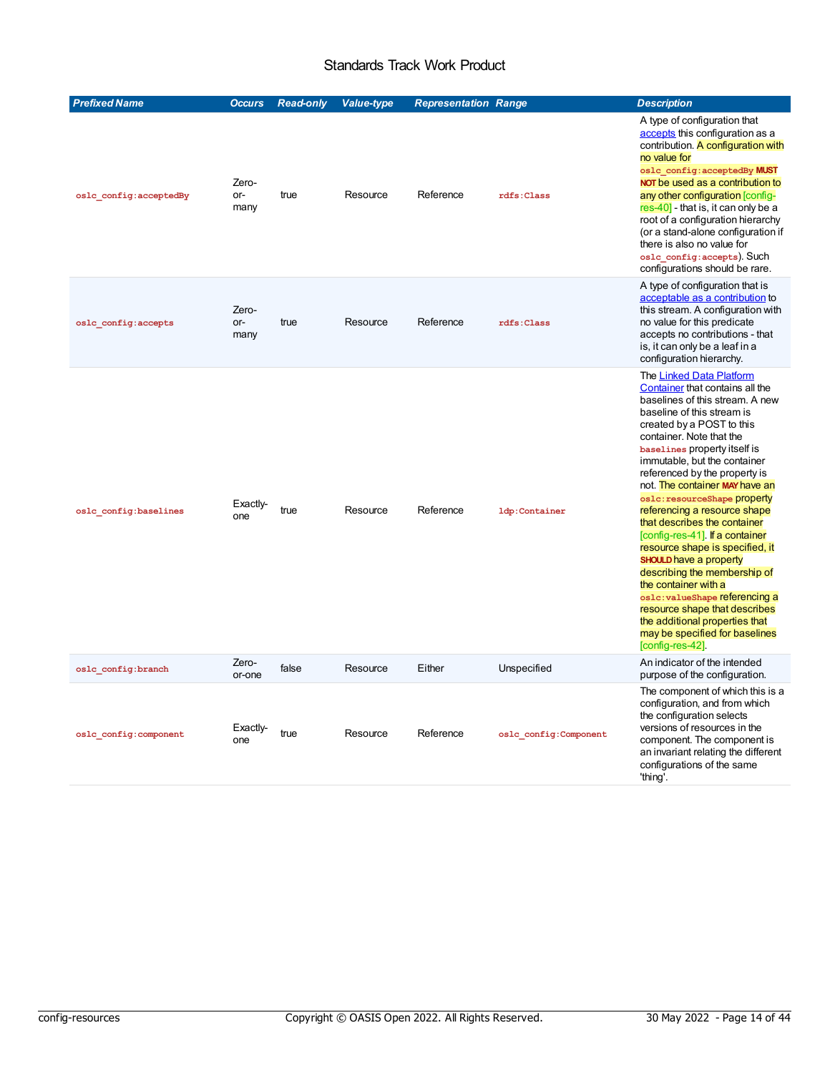<span id="page-13-3"></span><span id="page-13-2"></span><span id="page-13-1"></span><span id="page-13-0"></span>

| <b>Prefixed Name</b>   | <b>Occurs</b>        | <b>Read-only</b> | <b>Value-type</b> | <b>Representation Range</b> |                        | <b>Description</b>                                                                                                                                                                                                                                                                                                                                                                                                                                                                                                                                                                                                                                                                                                                                |
|------------------------|----------------------|------------------|-------------------|-----------------------------|------------------------|---------------------------------------------------------------------------------------------------------------------------------------------------------------------------------------------------------------------------------------------------------------------------------------------------------------------------------------------------------------------------------------------------------------------------------------------------------------------------------------------------------------------------------------------------------------------------------------------------------------------------------------------------------------------------------------------------------------------------------------------------|
| oslc config:acceptedBy | Zero-<br>or-<br>many | true             | Resource          | Reference                   | rdfs:Class             | A type of configuration that<br>accepts this configuration as a<br>contribution. A configuration with<br>no value for<br>oslc config: acceptedBy MUST<br>NOT be used as a contribution to<br>any other configuration [config-<br>$res-40$ ] - that is, it can only be a<br>root of a configuration hierarchy<br>(or a stand-alone configuration if<br>there is also no value for<br>oslc config: accepts). Such<br>configurations should be rare.                                                                                                                                                                                                                                                                                                 |
| oslc config:accepts    | Zero-<br>or-<br>many | true             | Resource          | Reference                   | rdfs:Class             | A type of configuration that is<br>acceptable as a contribution to<br>this stream. A configuration with<br>no value for this predicate<br>accepts no contributions - that<br>is, it can only be a leaf in a<br>configuration hierarchy.                                                                                                                                                                                                                                                                                                                                                                                                                                                                                                           |
| oslc config:baselines  | Exactiv-<br>one      | true             | Resource          | Reference                   | ldp:Container          | The Linked Data Platform<br>Container that contains all the<br>baselines of this stream. A new<br>baseline of this stream is<br>created by a POST to this<br>container. Note that the<br>baselines property itself is<br>immutable, but the container<br>referenced by the property is<br>not. The container MAY have an<br>oslc: resourceShape property<br>referencing a resource shape<br>that describes the container<br>config-res-41]. If a container<br>resource shape is specified, it<br><b>SHOULD</b> have a property<br>describing the membership of<br>the container with a<br>os1c: valueShape referencing a<br>resource shape that describes<br>the additional properties that<br>may be specified for baselines<br>[config-res-42]. |
| oslc config:branch     | Zero-<br>or-one      | false            | Resource          | Either                      | Unspecified            | An indicator of the intended<br>purpose of the configuration.                                                                                                                                                                                                                                                                                                                                                                                                                                                                                                                                                                                                                                                                                     |
| oslc config: component | Exactly-<br>one      | true             | Resource          | Reference                   | oslc config: Component | The component of which this is a<br>configuration, and from which<br>the configuration selects<br>versions of resources in the<br>component. The component is<br>an invariant relating the different<br>configurations of the same<br>'thing'.                                                                                                                                                                                                                                                                                                                                                                                                                                                                                                    |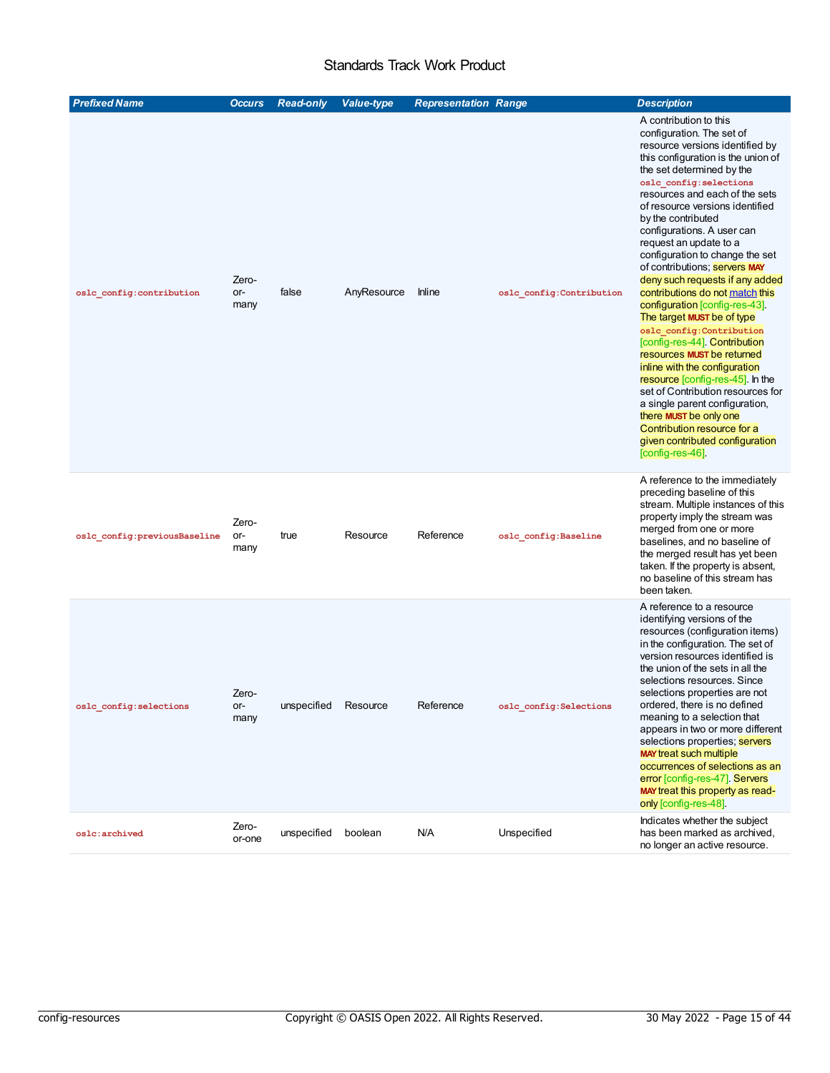<span id="page-14-6"></span><span id="page-14-5"></span><span id="page-14-4"></span><span id="page-14-3"></span><span id="page-14-2"></span><span id="page-14-1"></span><span id="page-14-0"></span>

| <b>Prefixed Name</b>         | <b>Occurs</b>        | <b>Read-only</b> | <b>Value-type</b> | <b>Representation Range</b> |                          | <b>Description</b>                                                                                                                                                                                                                                                                                                                                                                                                                                                                                                                                                                                                                                                                                                                                                                                                                                                                                              |
|------------------------------|----------------------|------------------|-------------------|-----------------------------|--------------------------|-----------------------------------------------------------------------------------------------------------------------------------------------------------------------------------------------------------------------------------------------------------------------------------------------------------------------------------------------------------------------------------------------------------------------------------------------------------------------------------------------------------------------------------------------------------------------------------------------------------------------------------------------------------------------------------------------------------------------------------------------------------------------------------------------------------------------------------------------------------------------------------------------------------------|
| oslc_config:contribution     | Zero-<br>or-<br>many | false            | AnyResource       | <b>Inline</b>               | oslc_config:Contribution | A contribution to this<br>configuration. The set of<br>resource versions identified by<br>this configuration is the union of<br>the set determined by the<br>oslc config: selections<br>resources and each of the sets<br>of resource versions identified<br>by the contributed<br>configurations. A user can<br>request an update to a<br>configuration to change the set<br>of contributions; <b>Servers MAY</b><br>deny such requests if any added<br>contributions do not match this<br>configuration [config-res-43].<br>The target MUST be of type<br>oslc config: Contribution<br>[config-res-44] Contribution<br>resources MUST be returned<br>inline with the configuration<br>resource [config-res-45]. In the<br>set of Contribution resources for<br>a single parent configuration,<br>there MUST be only one<br>Contribution resource for a<br>given contributed configuration<br>[config-res-46]. |
| oslc_config:previousBaseline | Zero-<br>or-<br>many | true             | Resource          | Reference                   | oslc_config:Baseline     | A reference to the immediately<br>preceding baseline of this<br>stream. Multiple instances of this<br>property imply the stream was<br>merged from one or more<br>baselines, and no baseline of<br>the merged result has yet been<br>taken. If the property is absent,<br>no baseline of this stream has<br>been taken.                                                                                                                                                                                                                                                                                                                                                                                                                                                                                                                                                                                         |
| oslc config: selections      | Zero-<br>or-<br>many | unspecified      | Resource          | Reference                   | oslc_config:Selections   | A reference to a resource<br>identifying versions of the<br>resources (configuration items)<br>in the configuration. The set of<br>version resources identified is<br>the union of the sets in all the<br>selections resources. Since<br>selections properties are not<br>ordered, there is no defined<br>meaning to a selection that<br>appears in two or more different<br>selections properties; servers<br><b>MAY treat such multiple</b><br>occurrences of selections as an<br>error [config-res-47]. Servers<br>MAY treat this property as read-<br>only [config-res-48].                                                                                                                                                                                                                                                                                                                                 |
| oslc:archived                | Zero-<br>or-one      | unspecified      | boolean           | N/A                         | Unspecified              | Indicates whether the subject<br>has been marked as archived,<br>no longer an active resource.                                                                                                                                                                                                                                                                                                                                                                                                                                                                                                                                                                                                                                                                                                                                                                                                                  |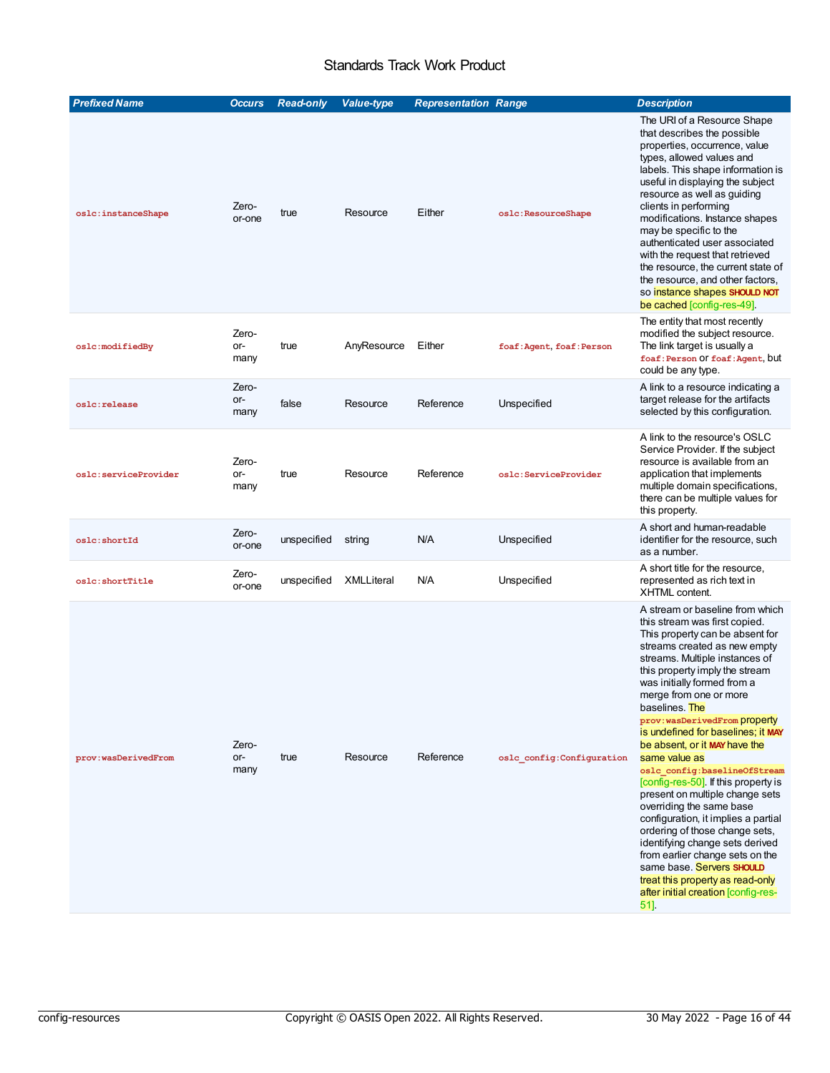<span id="page-15-2"></span><span id="page-15-1"></span><span id="page-15-0"></span>

| <b>Prefixed Name</b> | <b>Occurs</b>        | <b>Read-only</b> | <b>Value-type</b> | <b>Representation Range</b> |                            | <b>Description</b>                                                                                                                                                                                                                                                                                                                                                                                                                                                                                                                                                                                                                                                                                                                                                                                              |
|----------------------|----------------------|------------------|-------------------|-----------------------------|----------------------------|-----------------------------------------------------------------------------------------------------------------------------------------------------------------------------------------------------------------------------------------------------------------------------------------------------------------------------------------------------------------------------------------------------------------------------------------------------------------------------------------------------------------------------------------------------------------------------------------------------------------------------------------------------------------------------------------------------------------------------------------------------------------------------------------------------------------|
| oslc:instanceShape   | Zero-<br>or-one      | true             | Resource          | Either                      | oslc:ResourceShape         | The URI of a Resource Shape<br>that describes the possible<br>properties, occurrence, value<br>types, allowed values and<br>labels. This shape information is<br>useful in displaying the subject<br>resource as well as guiding<br>clients in performing<br>modifications. Instance shapes<br>may be specific to the<br>authenticated user associated<br>with the request that retrieved<br>the resource, the current state of<br>the resource, and other factors,<br>so instance shapes SHOULD NOT<br>be cached [config-res-49].                                                                                                                                                                                                                                                                              |
| oslc:modifiedBy      | Zero-<br>or-<br>many | true             | AnyResource       | Either                      | foaf: Agent, foaf: Person  | The entity that most recently<br>modified the subject resource.<br>The link target is usually a<br>foaf: Person Of foaf: Agent, but<br>could be any type.                                                                                                                                                                                                                                                                                                                                                                                                                                                                                                                                                                                                                                                       |
| oslc:release         | Zero-<br>or-<br>many | false            | Resource          | Reference                   | Unspecified                | A link to a resource indicating a<br>target release for the artifacts<br>selected by this configuration.                                                                                                                                                                                                                                                                                                                                                                                                                                                                                                                                                                                                                                                                                                        |
| oslc:serviceProvider | Zero-<br>or-<br>many | true             | Resource          | Reference                   | oslc:ServiceProvider       | A link to the resource's OSLC<br>Service Provider. If the subject<br>resource is available from an<br>application that implements<br>multiple domain specifications,<br>there can be multiple values for<br>this property.                                                                                                                                                                                                                                                                                                                                                                                                                                                                                                                                                                                      |
| oslc:shortId         | Zero-<br>or-one      | unspecified      | string            | N/A                         | Unspecified                | A short and human-readable<br>identifier for the resource, such<br>as a number.                                                                                                                                                                                                                                                                                                                                                                                                                                                                                                                                                                                                                                                                                                                                 |
| oslc: shortTitle     | Zero-<br>or-one      | unspecified      | <b>XMLLiteral</b> | N/A                         | Unspecified                | A short title for the resource,<br>represented as rich text in<br><b>XHTML</b> content.                                                                                                                                                                                                                                                                                                                                                                                                                                                                                                                                                                                                                                                                                                                         |
| prov:wasDerivedFrom  | Zero-<br>or-<br>many | true             | Resource          | Reference                   | oslc config: Configuration | A stream or baseline from which<br>this stream was first copied.<br>This property can be absent for<br>streams created as new empty<br>streams. Multiple instances of<br>this property imply the stream<br>was initially formed from a<br>merge from one or more<br>baselines. The<br>prov: wasDerivedFrom property<br>is undefined for baselines; it MAY<br>be absent, or it MAY have the<br>same value as<br>oslc config:baselineOfStream<br>config-res-50] If this property is<br>present on multiple change sets<br>overriding the same base<br>configuration, it implies a partial<br>ordering of those change sets,<br>identifying change sets derived<br>from earlier change sets on the<br>same base. Servers SHOULD<br>treat this property as read-only<br>after initial creation [config-res-<br>51]. |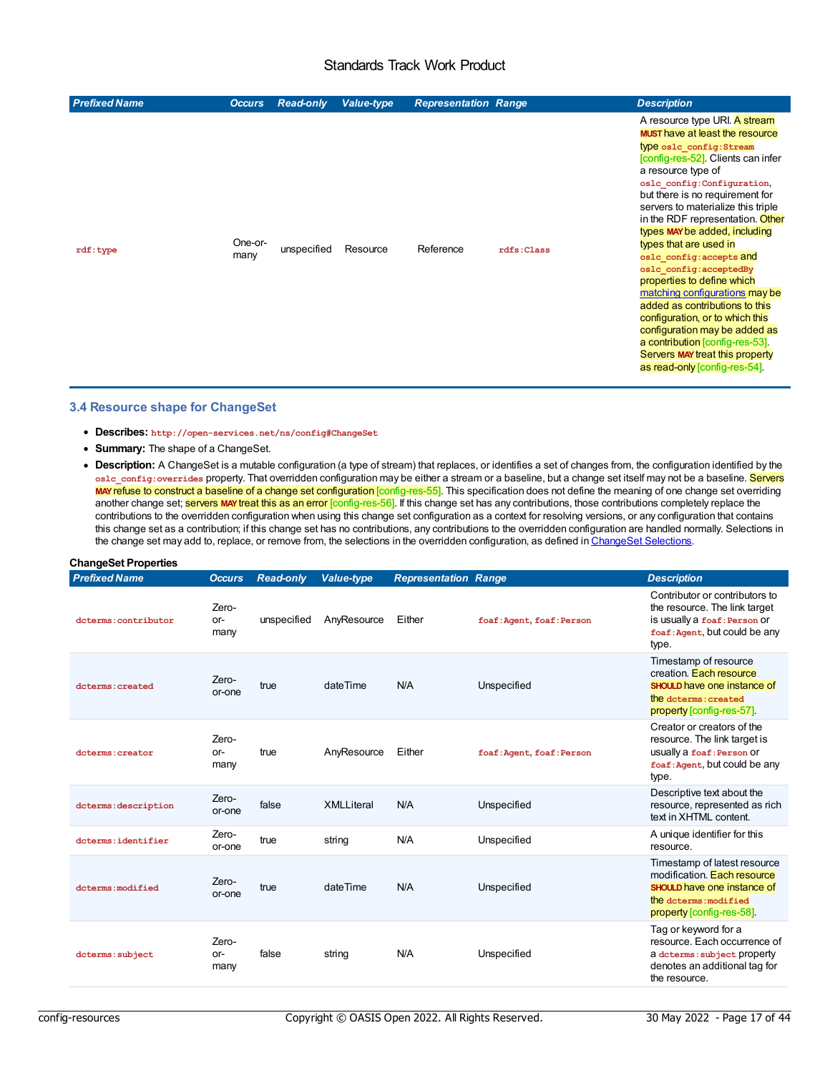<span id="page-16-1"></span><span id="page-16-0"></span>

| <b>Prefixed Name</b> | <b>Occurs</b>   | <b>Read-only</b> | <b>Value-type</b> | <b>Representation Range</b> |            | <b>Description</b>                                                                                                                                                                                                                                                                                                                                                                                                                                                                                                                                                                                                                                                                                       |
|----------------------|-----------------|------------------|-------------------|-----------------------------|------------|----------------------------------------------------------------------------------------------------------------------------------------------------------------------------------------------------------------------------------------------------------------------------------------------------------------------------------------------------------------------------------------------------------------------------------------------------------------------------------------------------------------------------------------------------------------------------------------------------------------------------------------------------------------------------------------------------------|
| rdf:type             | One-or-<br>many | unspecified      | Resource          | Reference                   | rdfs:Class | A resource type URI. A stream<br><b>MUST</b> have at least the resource<br>type oslc config: Stream<br>config-res-52]. Clients can infer<br>a resource type of<br>oslc config:Configuration,<br>but there is no requirement for<br>servers to materialize this triple<br>in the RDF representation. Other<br>types MAY be added, including<br>types that are used in<br>oslc config: accepts and<br>oslc config: acceptedBy<br>properties to define which<br>matching configurations may be<br>added as contributions to this<br>configuration, or to which this<br>configuration may be added as<br>a contribution [config-res-53].<br>Servers MAY treat this property<br>as read-only [config-res-54]. |

#### **3.4 Resource shape for ChangeSet**

- <span id="page-16-2"></span>**Describes: http://open-services.net/ns/config#ChangeSet**
- **Summary:** The shape of a ChangeSet.
- <span id="page-16-4"></span><span id="page-16-3"></span>**Description:** A ChangeSet is a mutable configuration (a type of stream) that replaces, or identifies a set of changes from, the configuration identified by the **oslc\_config:overrides** property. That overridden configuration may be either a stream or a baseline, but a change set itself may not be a baseline. Servers **MAY**refuse to construct a baseline of a change set configuration [config-res-55]. This specification does not define the meaning of one change set overriding another change set; **servers MAY treat this as an error** [config-res-56]. If this change set has any contributions, those contributions completely replace the contributions to the overridden configuration when using this change set configuration as a context for resolving versions, or any configuration that contains this change set as a contribution; if this change set has no contributions, any contributions to the overridden configuration are handled normally. Selections in the change set may add to, replace, or remove from, the selections in the overridden configuration, as defined in ChangeSet Selections.

#### **ChangeSet Properties**

<span id="page-16-6"></span><span id="page-16-5"></span>

| <b>Prefixed Name</b> | <b>Occurs</b>          | <b>Read-only</b> | <b>Value-type</b> | <b>Representation Range</b> |                           | <b>Description</b>                                                                                                                                     |
|----------------------|------------------------|------------------|-------------------|-----------------------------|---------------------------|--------------------------------------------------------------------------------------------------------------------------------------------------------|
| dcterms: contributor | Zero-<br>or-<br>many   | unspecified      | AnyResource       | Either                      | foaf: Agent, foaf: Person | Contributor or contributors to<br>the resource. The link target<br>is usually a foaf: Person Or<br>foaf: Agent, but could be any<br>type.              |
| dcterms: created     | Zero-<br>or-one        | true             | dateTime          | N/A                         | Unspecified               | Timestamp of resource<br>creation. Each resource<br><b>SHOULD</b> have one instance of<br>the determs: created<br>property [config-res-57].            |
| dcterms: creator     | Zero-<br>or-<br>many   | true             | AnyResource       | Either                      | foaf: Agent, foaf: Person | Creator or creators of the<br>resource. The link target is<br>usually a foaf: Person Or<br>foaf: Agent, but could be any<br>type.                      |
| dcterms: description | Zero-<br>or-one        | false            | <b>XMLLiteral</b> | N/A                         | Unspecified               | Descriptive text about the<br>resource, represented as rich<br>text in XHTML content.                                                                  |
| dcterms:identifier   | Zero-<br>or-one        | true             | string            | N/A                         | Unspecified               | A unique identifier for this<br>resource.                                                                                                              |
| dcterms: modified    | Zero-<br>or-one        | true             | dateTime          | N/A                         | Unspecified               | Timestamp of latest resource<br>modification. Each resource<br><b>SHOULD</b> have one instance of<br>the determs: modified<br>property [config-res-58] |
| dcterms: subject     | Zero-<br>$or-$<br>many | false            | string            | N/A                         | Unspecified               | Tag or keyword for a<br>resource. Each occurrence of<br>a determs: subject property<br>denotes an additional tag for<br>the resource.                  |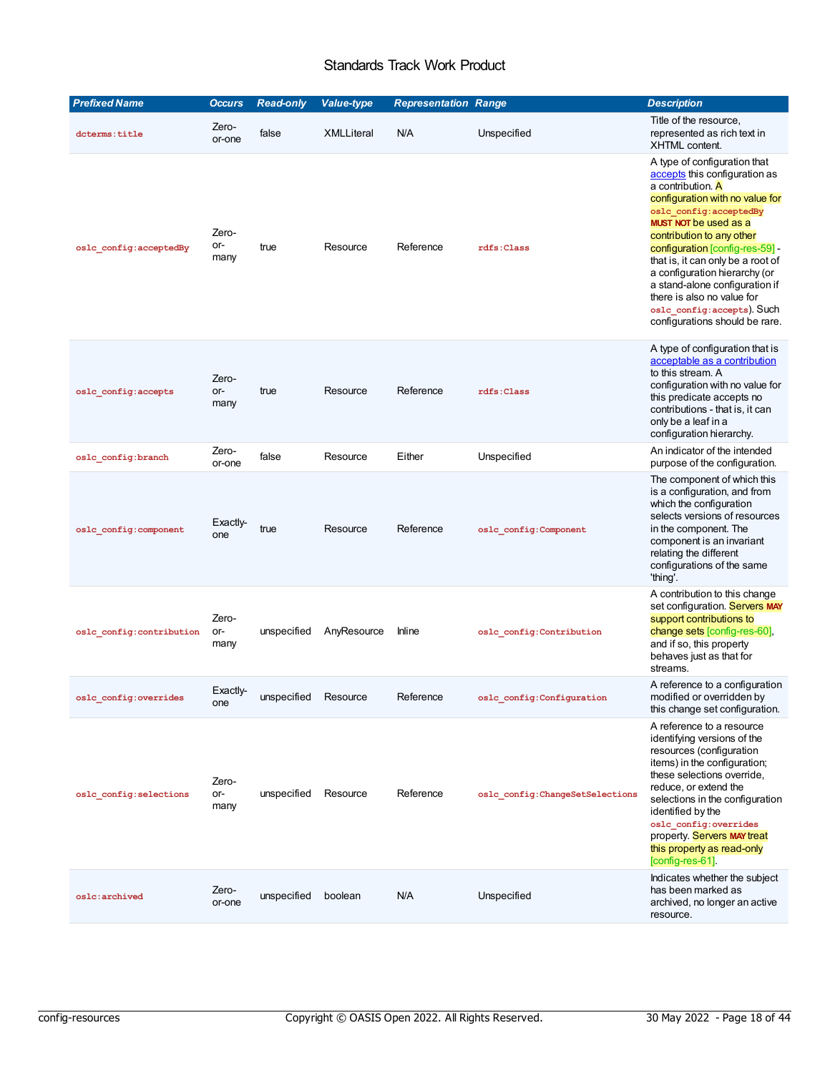<span id="page-17-3"></span><span id="page-17-2"></span><span id="page-17-1"></span><span id="page-17-0"></span>

| <b>Prefixed Name</b>     | <b>Occurs</b>        | <b>Read-only</b> | <b>Value-type</b> | <b>Representation Range</b> |                                  | <b>Description</b>                                                                                                                                                                                                                                                                                                                                                                                                                                     |
|--------------------------|----------------------|------------------|-------------------|-----------------------------|----------------------------------|--------------------------------------------------------------------------------------------------------------------------------------------------------------------------------------------------------------------------------------------------------------------------------------------------------------------------------------------------------------------------------------------------------------------------------------------------------|
| dcterms: title           | Zero-<br>or-one      | false            | <b>XMLLiteral</b> | N/A                         | Unspecified                      | Title of the resource,<br>represented as rich text in<br>XHTML content.                                                                                                                                                                                                                                                                                                                                                                                |
| oslc_config:acceptedBy   | Zero-<br>or-<br>many | true             | Resource          | Reference                   | rdfs:Class                       | A type of configuration that<br>accepts this configuration as<br>a contribution. A<br>configuration with no value for<br>oslc_config:acceptedBy<br><b>MUST NOT be used as a</b><br>contribution to any other<br>configuration [config-res-59] -<br>that is, it can only be a root of<br>a configuration hierarchy (or<br>a stand-alone configuration if<br>there is also no value for<br>oslc config: accepts). Such<br>configurations should be rare. |
| oslc_config:accepts      | Zero-<br>or-<br>many | true             | Resource          | Reference                   | rdfs: Class                      | A type of configuration that is<br>acceptable as a contribution<br>to this stream. A<br>configuration with no value for<br>this predicate accepts no<br>contributions - that is, it can<br>only be a leaf in a<br>configuration hierarchy.                                                                                                                                                                                                             |
| oslc_config:branch       | Zero-<br>or-one      | false            | Resource          | Either                      | Unspecified                      | An indicator of the intended<br>purpose of the configuration.                                                                                                                                                                                                                                                                                                                                                                                          |
| oslc_config:component    | Exactly-<br>one      | true             | Resource          | Reference                   | oslc config: Component           | The component of which this<br>is a configuration, and from<br>which the configuration<br>selects versions of resources<br>in the component. The<br>component is an invariant<br>relating the different<br>configurations of the same<br>'thing'.                                                                                                                                                                                                      |
| oslc_config:contribution | Zero-<br>or-<br>many | unspecified      | AnyResource       | <b>Inline</b>               | oslc config: Contribution        | A contribution to this change<br>set configuration. Servers MAY<br>support contributions to<br>change sets [config-res-60],<br>and if so, this property<br>behaves just as that for<br>streams.                                                                                                                                                                                                                                                        |
| oslc_config:overrides    | Exactly-<br>one      | unspecified      | Resource          | Reference                   | oslc_config:Configuration        | A reference to a configuration<br>modified or overridden by<br>this change set configuration.                                                                                                                                                                                                                                                                                                                                                          |
| oslc config: selections  | Zero-<br>or-<br>many | unspecified      | Resource          | Reference                   | oslc config: ChangeSetSelections | A reference to a resource<br>identifying versions of the<br>resources (configuration<br>items) in the configuration;<br>these selections override,<br>reduce, or extend the<br>selections in the configuration<br>identified by the<br>oslc_config:overrides<br>property. Servers MAY treat<br>this property as read-only<br>$[config-res-61]$ .                                                                                                       |
| oslc:archived            | Zero-<br>or-one      | unspecified      | boolean           | N/A                         | Unspecified                      | Indicates whether the subject<br>has been marked as<br>archived, no longer an active<br>resource.                                                                                                                                                                                                                                                                                                                                                      |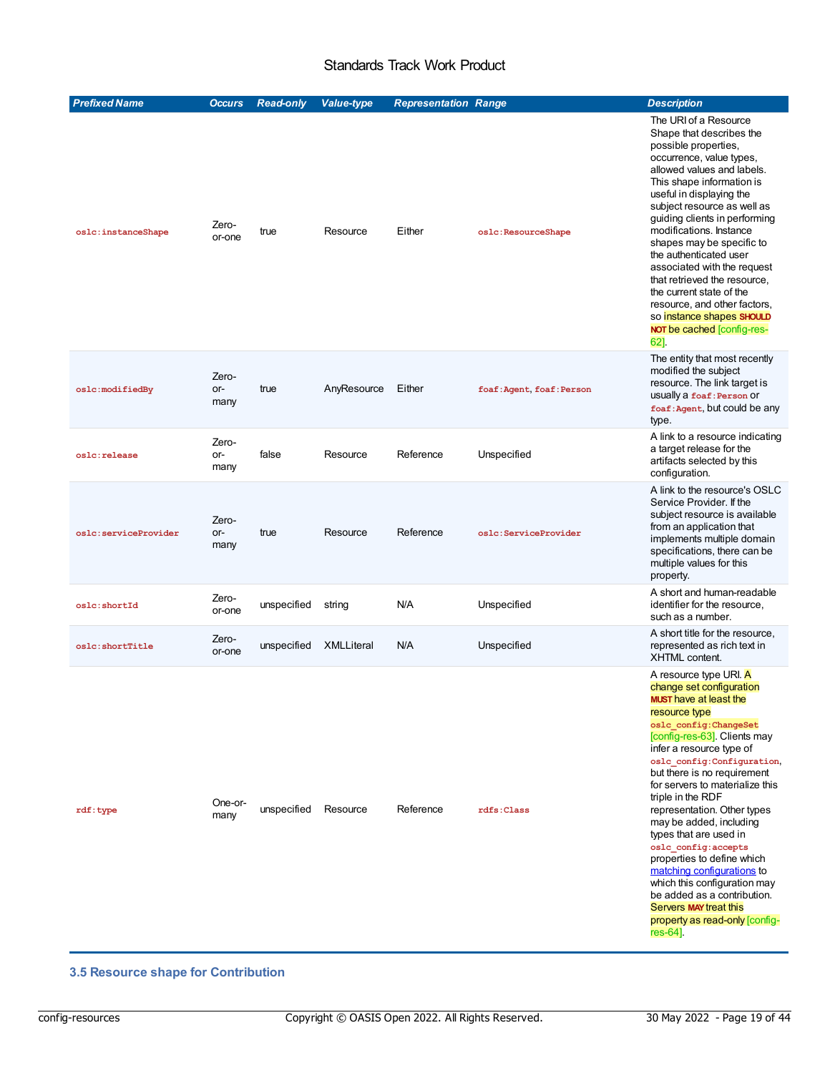<span id="page-18-0"></span>

| <b>Prefixed Name</b> | <b>Occurs</b>        | <b>Read-only</b> | <b>Value-type</b> | <b>Representation Range</b> |                           | <b>Description</b>                                                                                                                                                                                                                                                                                                                                                                                                                                                                                                                                                                                                                     |
|----------------------|----------------------|------------------|-------------------|-----------------------------|---------------------------|----------------------------------------------------------------------------------------------------------------------------------------------------------------------------------------------------------------------------------------------------------------------------------------------------------------------------------------------------------------------------------------------------------------------------------------------------------------------------------------------------------------------------------------------------------------------------------------------------------------------------------------|
| oslc:instanceShape   | Zero-<br>or-one      | true             | Resource          | Either                      | oslc:ResourceShape        | The URI of a Resource<br>Shape that describes the<br>possible properties,<br>occurrence, value types,<br>allowed values and labels.<br>This shape information is<br>useful in displaying the<br>subject resource as well as<br>guiding clients in performing<br>modifications. Instance<br>shapes may be specific to<br>the authenticated user<br>associated with the request<br>that retrieved the resource,<br>the current state of the<br>resource, and other factors,<br>so instance shapes SHOULD<br><b>NOT be cached [config-res-</b><br>62].                                                                                    |
| oslc:modifiedBy      | Zero-<br>or-<br>many | true             | AnyResource       | Either                      | foaf: Agent, foaf: Person | The entity that most recently<br>modified the subject<br>resource. The link target is<br>usually a foaf: Person Or<br>foaf: Agent, but could be any<br>type.                                                                                                                                                                                                                                                                                                                                                                                                                                                                           |
| oslc:release         | Zero-<br>or-<br>many | false            | Resource          | Reference                   | Unspecified               | A link to a resource indicating<br>a target release for the<br>artifacts selected by this<br>configuration.                                                                                                                                                                                                                                                                                                                                                                                                                                                                                                                            |
| oslc:serviceProvider | Zero-<br>or-<br>many | true             | Resource          | Reference                   | oslc:ServiceProvider      | A link to the resource's OSLC<br>Service Provider. If the<br>subject resource is available<br>from an application that<br>implements multiple domain<br>specifications, there can be<br>multiple values for this<br>property.                                                                                                                                                                                                                                                                                                                                                                                                          |
| oslc:shortId         | Zero-<br>or-one      | unspecified      | string            | N/A                         | Unspecified               | A short and human-readable<br>identifier for the resource,<br>such as a number.                                                                                                                                                                                                                                                                                                                                                                                                                                                                                                                                                        |
| oslc:shortTitle      | Zero-<br>or-one      | unspecified      | <b>XMLLiteral</b> | N/A                         | Unspecified               | A short title for the resource,<br>represented as rich text in<br><b>XHTML</b> content.                                                                                                                                                                                                                                                                                                                                                                                                                                                                                                                                                |
| rdf:type             | One-or-<br>many      | unspecified      | Resource          | Reference                   | rdfs:Class                | A resource type URI. A<br>change set configuration<br><b>MUST</b> have at least the<br>resource type<br>oslc config: ChangeSet<br>[config-res-63]. Clients may<br>infer a resource type of<br>oslc config: Configuration,<br>but there is no requirement<br>for servers to materialize this<br>triple in the RDF<br>representation. Other types<br>may be added, including<br>types that are used in<br>oslc config: accepts<br>properties to define which<br>matching configurations to<br>which this configuration may<br>be added as a contribution.<br><b>Servers MAY treat this</b><br>property as read-only [config-<br>res-64]. |

### <span id="page-18-2"></span><span id="page-18-1"></span>**3.5 Resource shape for Contribution**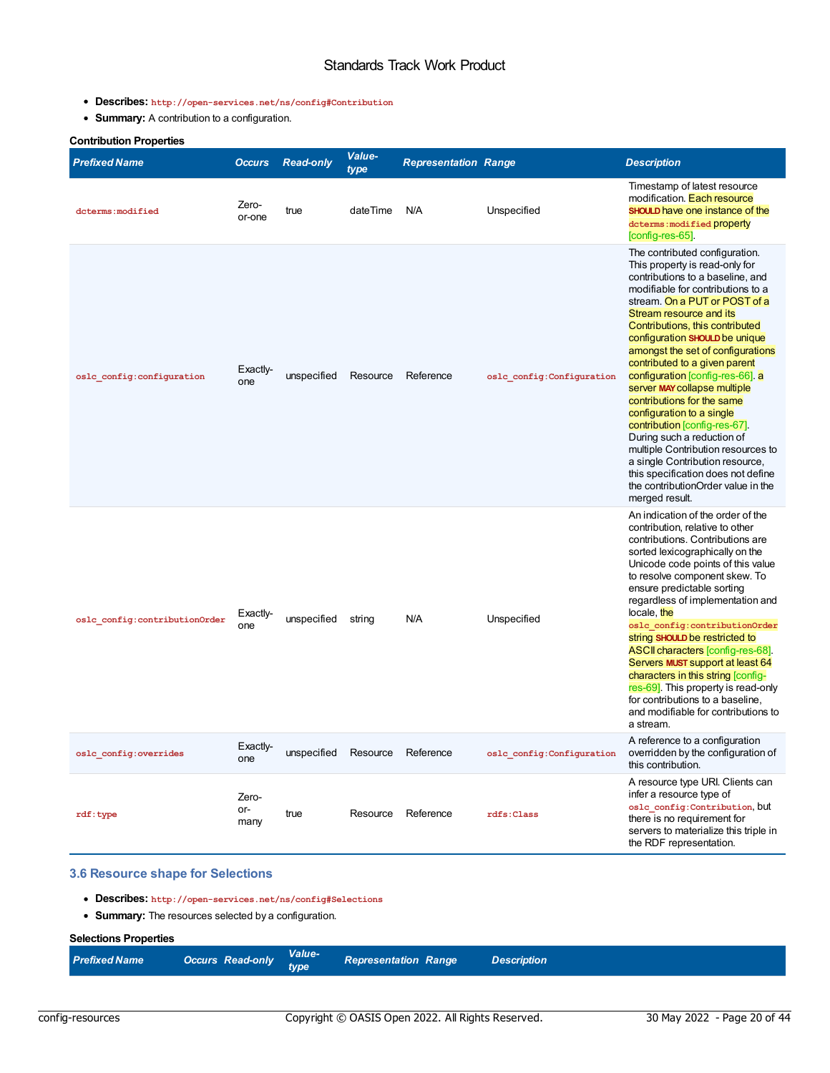- <span id="page-19-0"></span>**Describes: http://open-services.net/ns/config#Contribution**
- <span id="page-19-3"></span><span id="page-19-2"></span><span id="page-19-1"></span>**Summary:** A contribution to a configuration.

| <b>Contribution Properties</b> |                      |                  |                |                             |                            |                                                                                                                                                                                                                                                                                                                                                                                                                                                                                                                                                                                                                                                                                                                        |
|--------------------------------|----------------------|------------------|----------------|-----------------------------|----------------------------|------------------------------------------------------------------------------------------------------------------------------------------------------------------------------------------------------------------------------------------------------------------------------------------------------------------------------------------------------------------------------------------------------------------------------------------------------------------------------------------------------------------------------------------------------------------------------------------------------------------------------------------------------------------------------------------------------------------------|
| Prefixed Name                  | <b>Occurs</b>        | <b>Read-only</b> | Value-<br>type | <b>Representation Range</b> |                            | <b>Description</b>                                                                                                                                                                                                                                                                                                                                                                                                                                                                                                                                                                                                                                                                                                     |
| dcterms: modified              | Zero-<br>or-one      | true             | dateTime       | N/A                         | Unspecified                | Timestamp of latest resource<br>modification. Each resource<br><b>SHOULD</b> have one instance of the<br>dcterms: modified property<br>[config-res-65].                                                                                                                                                                                                                                                                                                                                                                                                                                                                                                                                                                |
| oslc config: configuration     | Exactly-<br>one      | unspecified      | Resource       | Reference                   | oslc config: Configuration | The contributed configuration.<br>This property is read-only for<br>contributions to a baseline, and<br>modifiable for contributions to a<br>stream. On a PUT or POST of a<br>Stream resource and its<br>Contributions, this contributed<br>configuration SHOULD be unique<br>amongst the set of configurations<br>contributed to a given parent<br>configuration [config-res-66]. a<br>server MAY collapse multiple<br>contributions for the same<br>configuration to a single<br>contribution [config-res-67].<br>During such a reduction of<br>multiple Contribution resources to<br>a single Contribution resource,<br>this specification does not define<br>the contribution Order value in the<br>merged result. |
| oslc config: contributionOrder | Exactly-<br>one      | unspecified      | string         | N/A                         | Unspecified                | An indication of the order of the<br>contribution, relative to other<br>contributions. Contributions are<br>sorted lexicographically on the<br>Unicode code points of this value<br>to resolve component skew. To<br>ensure predictable sorting<br>regardless of implementation and<br>locale, the<br>oslc config: contributionOrder<br>string <b>SHOULD</b> be restricted to<br>ASCII characters [config-res-68].<br>Servers MUST support at least 64<br>characters in this string [config-<br>res-69. This property is read-only<br>for contributions to a baseline,<br>and modifiable for contributions to<br>a stream.                                                                                             |
| oslc config: overrides         | Exactly-<br>one      | unspecified      | Resource       | Reference                   | oslc config: Configuration | A reference to a configuration<br>overridden by the configuration of<br>this contribution.                                                                                                                                                                                                                                                                                                                                                                                                                                                                                                                                                                                                                             |
| rdf:type                       | Zero-<br>or-<br>many | true             | Resource       | Reference                   | rdfs: Class                | A resource type URI. Clients can<br>infer a resource type of<br>osle config: Contribution, but<br>there is no requirement for<br>servers to materialize this triple in<br>the RDF representation.                                                                                                                                                                                                                                                                                                                                                                                                                                                                                                                      |

### **3.6 Resource shape for Selections**

- <span id="page-19-5"></span><span id="page-19-4"></span>**Describes: http://open-services.net/ns/config#Selections**
- **Summary:** The resources selected by a configuration.

### **Selections Properties**

| <b>Value-</b><br><b>Occurs Read-only</b><br><b>Representation Range</b><br><b>Prefixed Name</b><br>type | <b>Description</b> |
|---------------------------------------------------------------------------------------------------------|--------------------|
|---------------------------------------------------------------------------------------------------------|--------------------|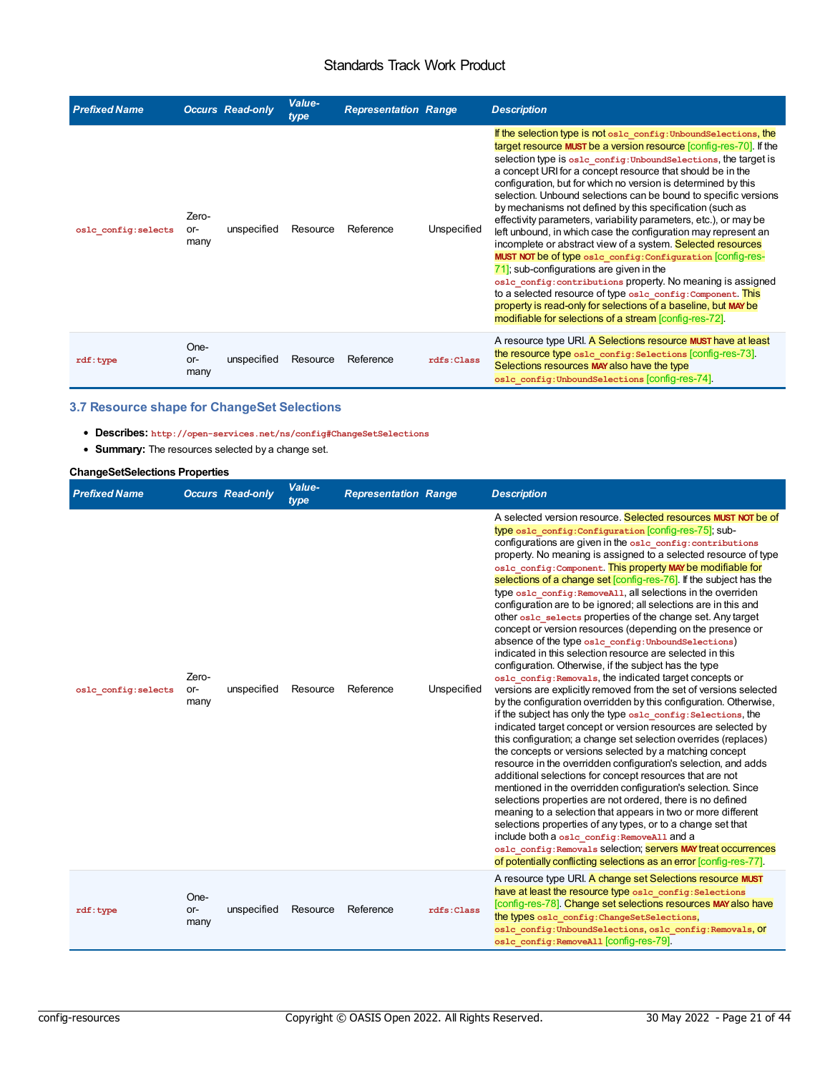<span id="page-20-3"></span><span id="page-20-2"></span><span id="page-20-0"></span>

| <b>Prefixed Name</b> |                      | <b>Occurs Read-only</b> | Value-<br>type | <b>Representation Range</b> |             | <b>Description</b>                                                                                                                                                                                                                                                                                                                                                                                                                                                                                                                                                                                                                                                                                                                                                                                                                                                                                                                                                                                                                                             |
|----------------------|----------------------|-------------------------|----------------|-----------------------------|-------------|----------------------------------------------------------------------------------------------------------------------------------------------------------------------------------------------------------------------------------------------------------------------------------------------------------------------------------------------------------------------------------------------------------------------------------------------------------------------------------------------------------------------------------------------------------------------------------------------------------------------------------------------------------------------------------------------------------------------------------------------------------------------------------------------------------------------------------------------------------------------------------------------------------------------------------------------------------------------------------------------------------------------------------------------------------------|
| oslc config: selects | Zero-<br>or-<br>many | unspecified             | Resource       | Reference                   | Unspecified | If the selection type is not osle config: UnboundSelections, the<br>target resource MUST be a version resource [config-res-70]. If the<br>selection type is osle config: UnboundSelections, the target is<br>a concept URI for a concept resource that should be in the<br>configuration, but for which no version is determined by this<br>selection. Unbound selections can be bound to specific versions<br>by mechanisms not defined by this specification (such as<br>effectivity parameters, variability parameters, etc.), or may be<br>left unbound, in which case the configuration may represent an<br>incomplete or abstract view of a system. Selected resources<br>MUST NOT be of type oslc config: Configuration [CONTig-res-<br>$\overline{71}$ ; sub-configurations are given in the<br>osle config: contributions property. No meaning is assigned<br>to a selected resource of type osle config: Component. This<br>property is read-only for selections of a baseline, but MAY be<br>modifiable for selections of a stream [config-res-72]. |
| rdf:type             | One-<br>or-<br>many  | unspecified             | Resource       | Reference                   | rdfs: Class | A resource type URI. A Selections resource MUST have at least<br>the resource type osle config: Selections [config-res-73].<br>Selections resources MAY also have the type<br>oslc config: UnboundSelections [CONTig-res-74].                                                                                                                                                                                                                                                                                                                                                                                                                                                                                                                                                                                                                                                                                                                                                                                                                                  |

### <span id="page-20-1"></span>**3.7 Resource shape for ChangeSet Selections**

<span id="page-20-6"></span><span id="page-20-5"></span><span id="page-20-4"></span>**Describes: http://open-services.net/ns/config#ChangeSetSelections**

<span id="page-20-8"></span><span id="page-20-7"></span>**Summary:** The resources selected by a change set.

### **ChangeSetSelections Properties**

<span id="page-20-11"></span><span id="page-20-10"></span><span id="page-20-9"></span>

| <b>Prefixed Name</b> |                      | <b>Occurs Read-only</b> | Value-<br>type | <b>Representation Range</b> |             | <b>Description</b>                                                                                                                                                                                                                                                                                                                                                                                                                                                                                                                                                                                                                                                                                                                                                                                                                                                                                                                                                                                                                                                                                                                                                                                                                                                                                                                                                                                                                                                                                                                                                                                                                                                                                                                                                                                                                                                                                |
|----------------------|----------------------|-------------------------|----------------|-----------------------------|-------------|---------------------------------------------------------------------------------------------------------------------------------------------------------------------------------------------------------------------------------------------------------------------------------------------------------------------------------------------------------------------------------------------------------------------------------------------------------------------------------------------------------------------------------------------------------------------------------------------------------------------------------------------------------------------------------------------------------------------------------------------------------------------------------------------------------------------------------------------------------------------------------------------------------------------------------------------------------------------------------------------------------------------------------------------------------------------------------------------------------------------------------------------------------------------------------------------------------------------------------------------------------------------------------------------------------------------------------------------------------------------------------------------------------------------------------------------------------------------------------------------------------------------------------------------------------------------------------------------------------------------------------------------------------------------------------------------------------------------------------------------------------------------------------------------------------------------------------------------------------------------------------------------------|
| oslc config: selects | Zero-<br>or-<br>many | unspecified             | Resource       | Reference                   | Unspecified | A selected version resource. Selected resources MUST NOT be of<br>type oslc config: Configuration [CONTig-res-75]; sub-<br>configurations are given in the osle config: contributions<br>property. No meaning is assigned to a selected resource of type<br>osle config: Component. This property MAY be modifiable for<br>selections of a change set [config-res-76]. If the subject has the<br>type oslc config: RemoveA11, all selections in the overriden<br>configuration are to be ignored; all selections are in this and<br>other osld selects properties of the change set. Any target<br>concept or version resources (depending on the presence or<br>absence of the type oslc config: UnboundSelections)<br>indicated in this selection resource are selected in this<br>configuration. Otherwise, if the subject has the type<br>osle config: Removals, the indicated target concepts or<br>versions are explicitly removed from the set of versions selected<br>by the configuration overridden by this configuration. Otherwise,<br>if the subject has only the type osle config: Selections, the<br>indicated target concept or version resources are selected by<br>this configuration; a change set selection overrides (replaces)<br>the concepts or versions selected by a matching concept<br>resource in the overridden configuration's selection, and adds<br>additional selections for concept resources that are not<br>mentioned in the overridden configuration's selection. Since<br>selections properties are not ordered, there is no defined<br>meaning to a selection that appears in two or more different<br>selections properties of any types, or to a change set that<br>include both a oslc_config: RemoveAll and a<br>oslc config: Removals selection; servers MAY treat occurrences<br>of potentially conflicting selections as an error [config-res-77]. |
| rdf:type             | One-<br>or-<br>many  | unspecified             | Resource       | Reference                   | rdfs: Class | A resource type URI. A change set Selections resource MUST<br>have at least the resource type osle config: Selections<br>[config-res-78]. Change set selections resources MAY also have<br>the types oslc config: ChangeSetSelections,<br>oslc config: UnboundSelections, oslc config: Removals, Of<br>oslc config: RemoveAll [CONTig-res-79].                                                                                                                                                                                                                                                                                                                                                                                                                                                                                                                                                                                                                                                                                                                                                                                                                                                                                                                                                                                                                                                                                                                                                                                                                                                                                                                                                                                                                                                                                                                                                    |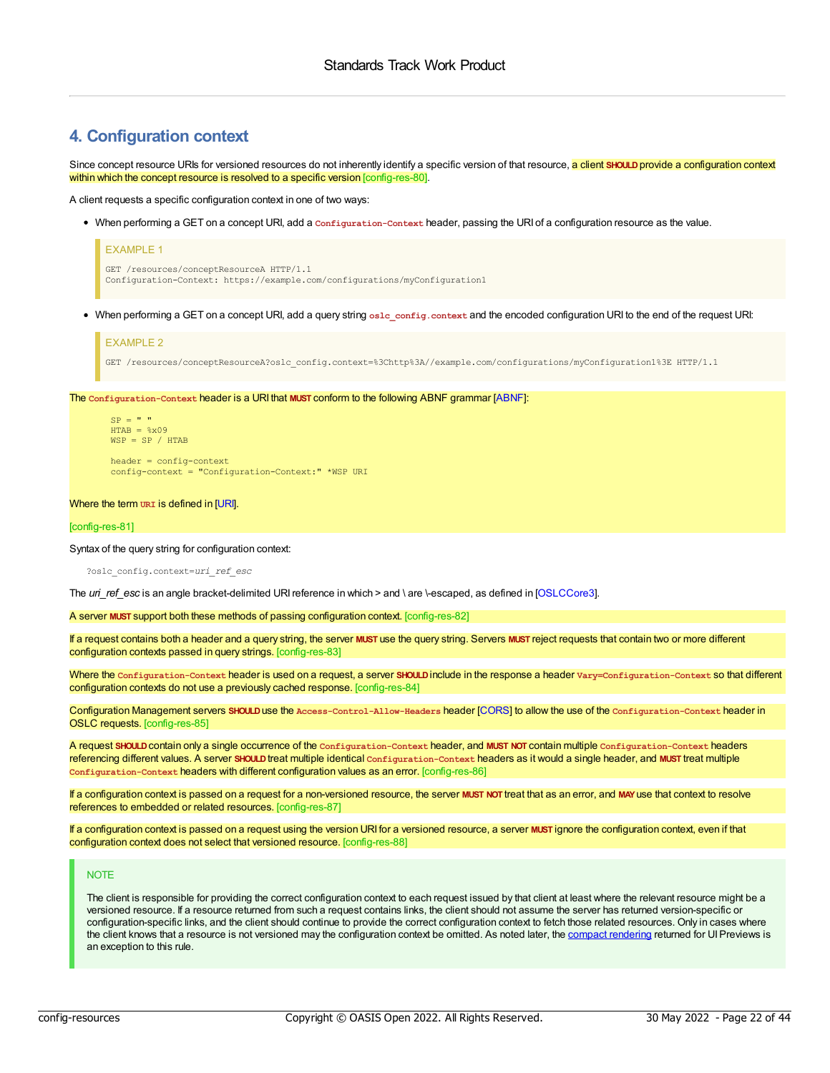### <span id="page-21-0"></span>**4. Configuration context**

<span id="page-21-1"></span>Since concept resource URIs for versioned resources do not inherently identify a specific version of that resource, a client SHOULD provide a configuration context within which the concept resource is resolved to a specific version [config-res-80].

A client requests a specific configuration context in one of two ways:

When performing a GET on a concept URI, add a **Configuration-Context** header, passing the URI of a configuration resource as the value.

| <b>EXAMPLE 1</b>                                                           |
|----------------------------------------------------------------------------|
| GET /resources/conceptResourceA HTTP/1.1                                   |
| Configuration-Context: https://example.com/configurations/myConfiguration1 |

When performing a GET on a concept URI, add a query string **oslc\_config.context** and the encoded configuration URI to the end of the request URI:

#### EXAMPLE 2

GET /resources/conceptResourceA?oslc\_config.context=%3Chttp%3A//example.com/configurations/myConfiguration1%3E HTTP/1.1

<span id="page-21-2"></span>The **Configuration-Context** header is a URI that **MUST** conform to the following ABNF grammar [\[ABNF](#page-4-7)]:

```
SP = " " "HTAB = <math>\frac{6}{3} \times 09WSP = SP / HTAB
```
header = config-context config-context = "Configuration-Context:" \*WSP URI

#### Where the term **URI** is defined in [\[URI](#page-4-8)].

#### [config-res-81]

Syntax of the query string for configuration context:

?oslc\_config.context=*uri\_ref\_esc*

The *uri* ref esc is an angle bracket-delimited URI reference in which > and \ are \-escaped, as defined in [\[OSLCCore3](#page-4-6)].

<span id="page-21-3"></span>A server **MUST** support both these methods of passing configuration context. [config-res-82]

<span id="page-21-4"></span>If a request contains both a header and a query string, the server **MUST** use the query string. Servers **MUST** reject requests that contain two or more different configuration contexts passed in query strings. [config-res-83]

<span id="page-21-5"></span>Where the **Configuration-Context** header is used on a request, a server **SHOULD**include in the response a header **Vary=Configuration-Context** so that different configuration contexts do not use a previously cached response. [config-res-84]

<span id="page-21-6"></span>Configuration Management servers **SHOULD**use the **Access-Control-Allow-Headers** header [\[CORS](#page-4-9)] to allow the use of the **Configuration-Context** header in OSLC requests. [config-res-85]

<span id="page-21-7"></span>A request **SHOULD**contain only a single occurrence of the **Configuration-Context** header, and **MUST NOT** contain multiple **Configuration-Context** headers referencing different values. A server **SHOULD**treat multiple identical **Configuration-Context** headers as it would a single header, and **MUST** treat multiple **Configuration-Context** headers with different configuration values as an error. [config-res-86]

<span id="page-21-8"></span>If a configuration context is passed on a request for a non-versioned resource, the server **MUST NOT** treat that as an error, and **MAY**use that context to resolve references to embedded or related resources. [config-res-87]

<span id="page-21-9"></span>If a configuration context is passed on a request using the version URI for a versioned resource, a server **MUST** ignore the configuration context, even if that configuration context does not select that versioned resource. [config-res-88]

#### **NOTE**

The client is responsible for providing the correct configuration context to each request issued by that client at least where the relevant resource might be a versioned resource. If a resource returned from such a request contains links, the client should not assume the server has returned version-specific or configuration-specific links, and the client should continue to provide the correct configuration context to fetch those related resources. Only in cases where the client knows that a resource is not versioned may the configuration context be omitted. As noted later, the compact [rendering](#page-33-0) returned for UI Previews is an exception to this rule.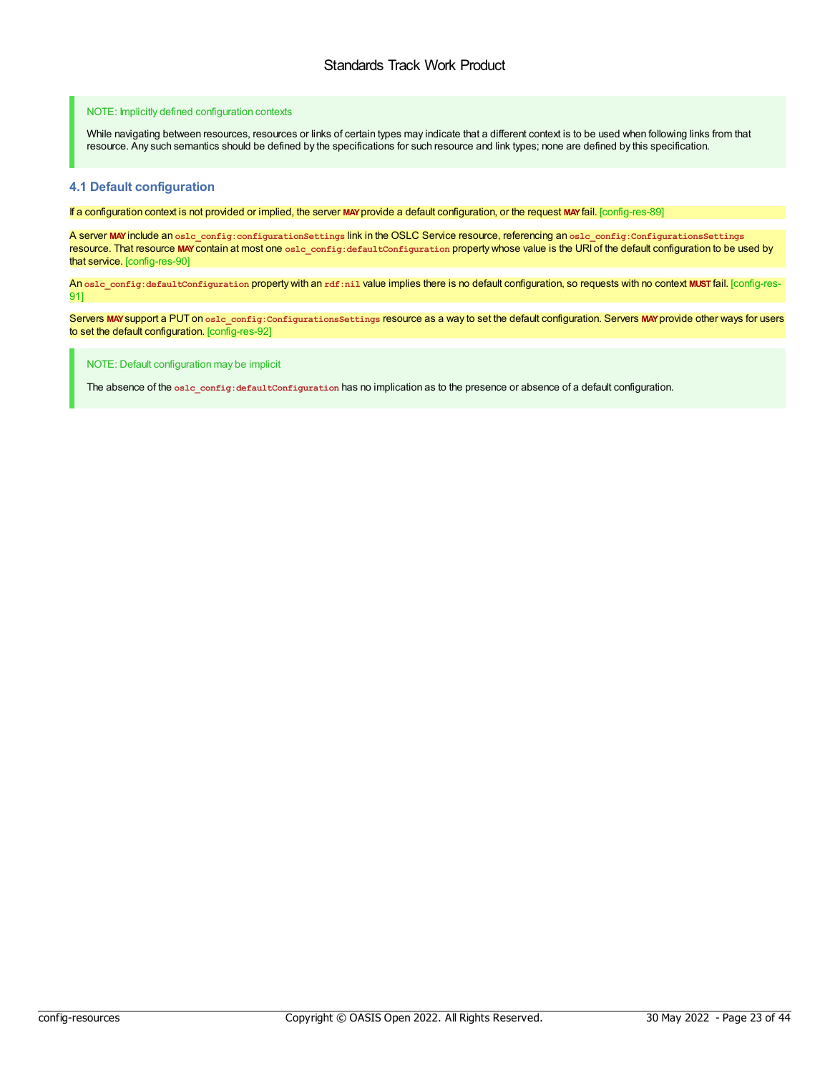#### NOTE: Implicitly defined configuration contexts

While navigating between resources, resources or links of certain types may indicate that a different context is to be used when following links from that resource. Any such semantics should be defined by the specifications for such resource and link types; none are defined by this specification.

#### <span id="page-22-0"></span>**4.1 Default configuration**

<span id="page-22-1"></span>If a configuration context is not provided or implied, the server **MAY**provide a default configuration, or the request **MAY**fail. [config-res-89]

<span id="page-22-2"></span>A server **MAY**include an **oslc\_config:configurationSettings** link in the OSLC Service resource, referencing an **oslc\_config:ConfigurationsSettings** resource. That resource **MAY**contain at most one **oslc\_config:defaultConfiguration** property whose value is the URI of the default configuration to be used by that service. [config-res-90]

<span id="page-22-3"></span>An **oslc\_config:defaultConfiguration** property with an **rdf:nil** value implies there is no default configuration, so requests with no context **MUST** fail. [config-res-91]

<span id="page-22-4"></span>Servers MAY support a PUT on oslc\_config: ConfigurationsSettings resource as a way to set the default configuration. Servers MAY provide other ways for users to set the default configuration. [config-res-92]

NOTE: Default configuration may be implicit

The absence of the **oslc\_config:defaultConfiguration** has no implication as to the presence or absence of a default configuration.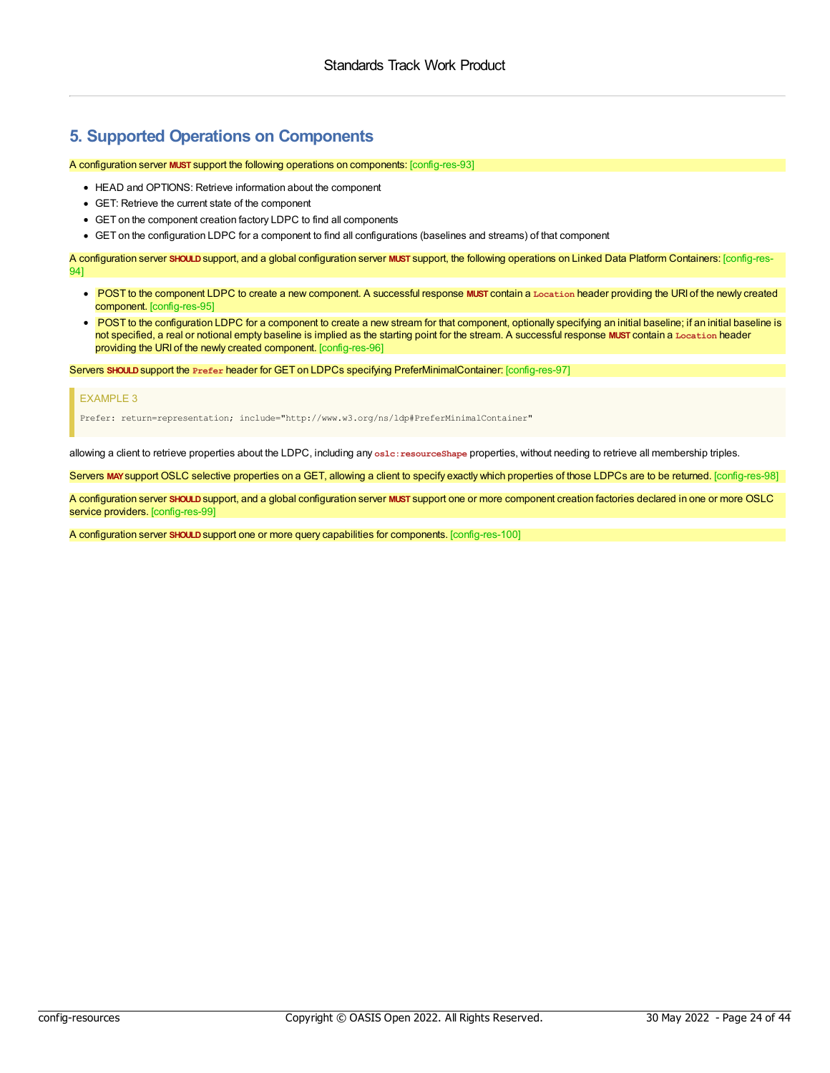### <span id="page-23-0"></span>**5. Supported Operations on Components**

#### <span id="page-23-1"></span>A configuration server **MUST** support the following operations on components: [config-res-93]

- HEAD and OPTIONS: Retrieve information about the component
- GET: Retrieve the current state of the component
- GET on the component creation factory LDPC to find all components
- GET on the configuration LDPC for a component to find all configurations (baselines and streams) of that component

<span id="page-23-2"></span>A configuration server **SHOULD**support, and a global configuration server **MUST** support, the following operations on Linked Data Platform Containers: [config-res-94]

- <span id="page-23-3"></span>POST to the component LDPC to create a new component. A successful response **MUST** contain a **Location** header providing the URI of the newly created component. [config-res-95]
- <span id="page-23-4"></span>• POST to the configuration LDPC for a component to create a new stream for that component, optionally specifying an initial baseline; if an initial baseline is not specified, a real or notional empty baseline is implied as the starting point for the stream. A successful response **MUST** contain a **Location** header providing the URI of the newly created component. [config-res-96]

<span id="page-23-5"></span>Servers **SHOULD**support the **Prefer** header for GET on LDPCs specifying PreferMinimalContainer: [config-res-97]

#### EXAMPLE 3

Prefer: return=representation; include="http://www.w3.org/ns/ldp#PreferMinimalContainer"

allowing a client to retrieve properties about the LDPC, including any oslc:resourceShape properties, without needing to retrieve all membership triples.

<span id="page-23-6"></span>Servers MAY support OSLC selective properties on a GET, allowing a client to specify exactly which properties of those LDPCs are to be returned. [config-res-98]

<span id="page-23-7"></span>A configuration server **SHOULD**support, and a global configuration server **MUST** support one or more component creation factories declared in one or more OSLC service providers. [config-res-99]

<span id="page-23-8"></span>A configuration server **SHOULD**support one or more query capabilities for components. [config-res-100]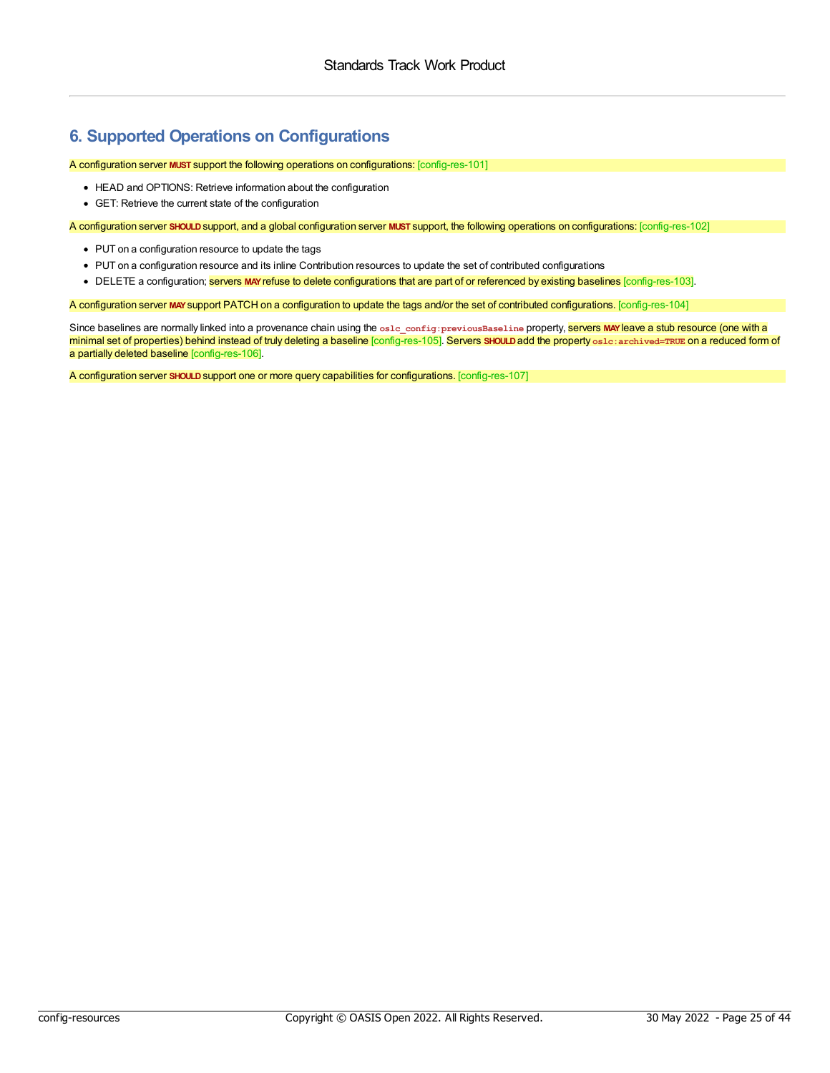# <span id="page-24-0"></span>**6. Supported Operations on Configurations**

#### <span id="page-24-1"></span>A configuration server **MUST** support the following operations on configurations: [config-res-101]

- HEAD and OPTIONS: Retrieve information about the configuration
- GET: Retrieve the current state of the configuration

<span id="page-24-2"></span>A configuration server **SHOULD**support, and a global configuration server **MUST** support, the following operations on configurations: [config-res-102]

- PUT on a configuration resource to update the tags
- <span id="page-24-3"></span>PUT on a configuration resource and its inline Contribution resources to update the set of contributed configurations
- . DELETE a configuration; **servers MAY refuse to delete configurations that are part of or referenced by existing baselines [config-res-103].**

<span id="page-24-4"></span>A configuration server **MAY**support PATCH on a configuration to update the tags and/or the set of contributed configurations. [config-res-104]

<span id="page-24-6"></span><span id="page-24-5"></span>Since baselines are normally linked into a provenance chain using the **oslc\_config:previousBaseline** property, servers **MAY**leave a stub resource (one with a minimal set of properties) behind instead of truly deleting a baseline [config-res-105]. Servers **SHOULD**add the property **oslc:archived=TRUE** on a reduced form of a partially deleted baseline [config-res-106].

<span id="page-24-7"></span>A configuration server **SHOULD**support one or more query capabilities for configurations. [config-res-107]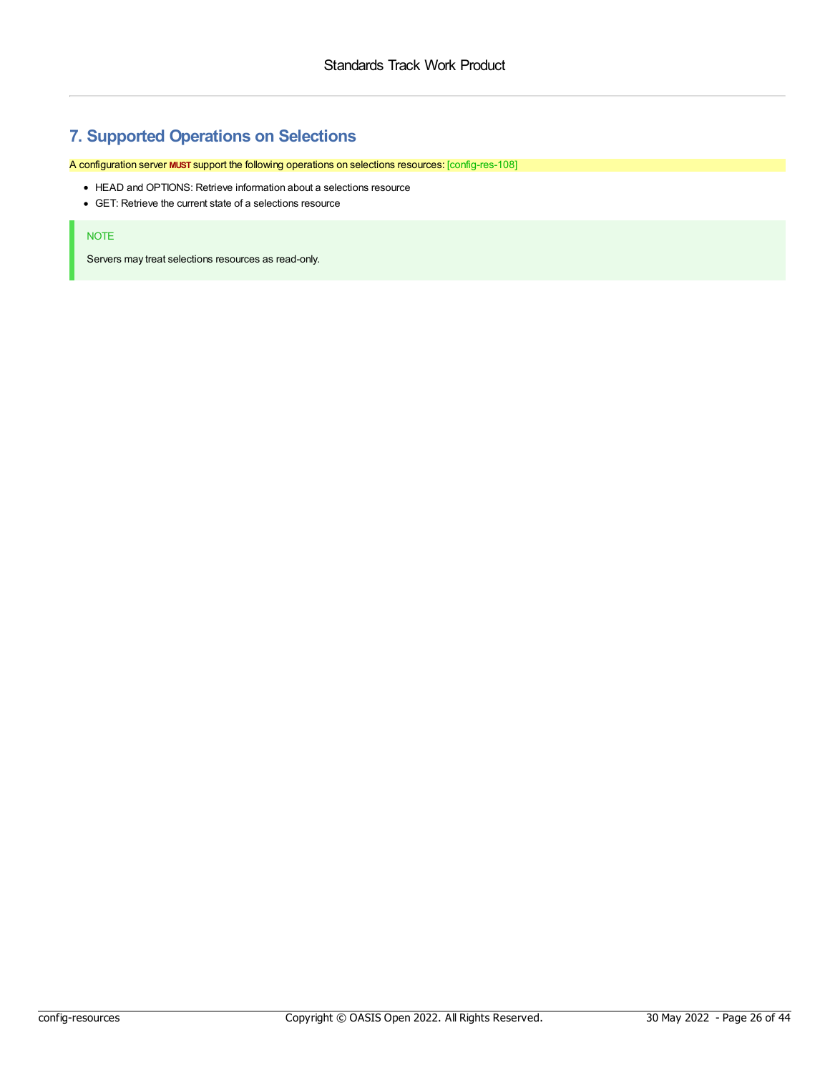# <span id="page-25-0"></span>**7. Supported Operations on Selections**

<span id="page-25-1"></span>A configuration server **MUST** support the following operations on selections resources: [config-res-108]

- HEAD and OPTIONS: Retrieve information about a selections resource
- GET: Retrieve the current state of a selections resource

#### NOTE

Servers may treat selections resources as read-only.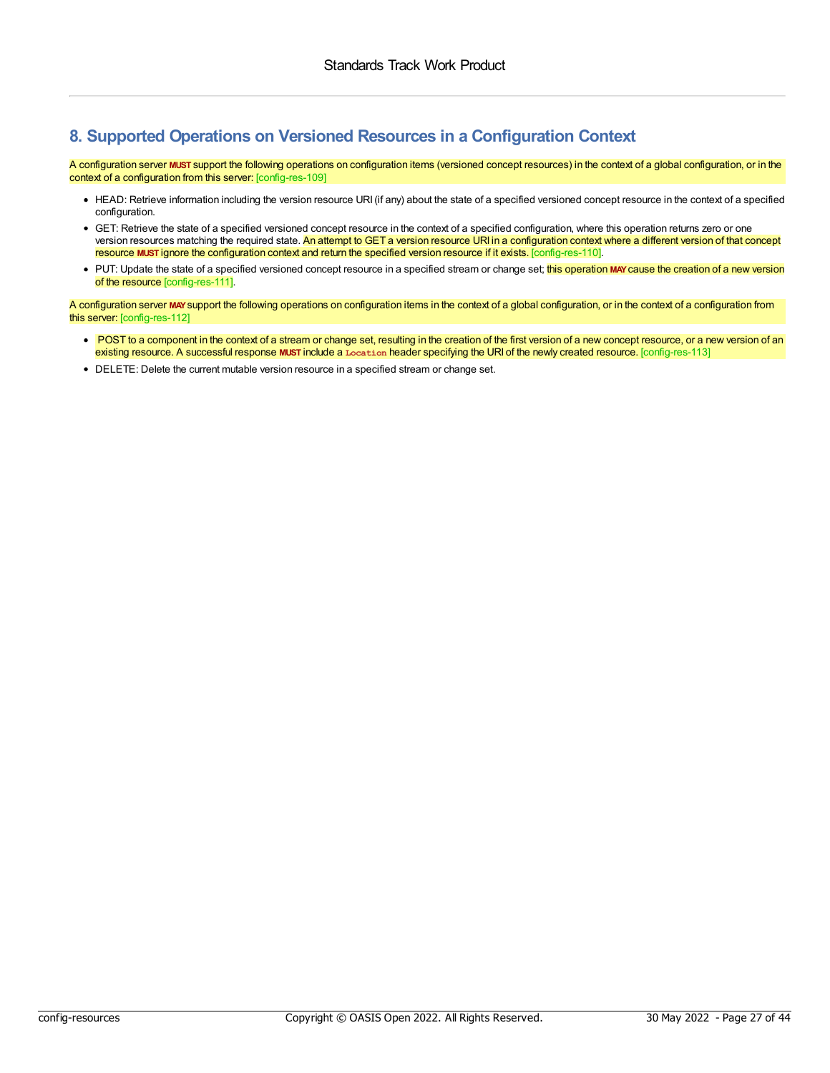# <span id="page-26-0"></span>**8. Supported Operations on Versioned Resources in a Configuration Context**

<span id="page-26-1"></span>A configuration server **MUST** support the following operations on configuration items (versioned concept resources) in the context of a global configuration, or in the context of a configuration from this server: [config-res-109]

- HEAD: Retrieve information including the version resource URI(if any) about the state of a specified versioned concept resource in the context of a specified configuration.
- <span id="page-26-2"></span>GET: Retrieve the state of a specified versioned concept resource in the context of a specified configuration, where this operation returns zero or one version resources matching the required state. An attempt to GET a version resource URI in a configuration context where a different version of that concept resource **MUST** ignore the configuration context and return the specified version resource if it exists. [config-res-110].
- <span id="page-26-3"></span>• PUT: Update the state of a specified versioned concept resource in a specified stream or change set; this operation MAY cause the creation of a new version of the resource [config-res-111].

<span id="page-26-4"></span>A configuration server **MAY**support the following operations on configuration items in the context of a global configuration, or in the context of a configuration from this server: [config-res-112]

- <span id="page-26-5"></span>• POST to a component in the context of a stream or change set, resulting in the creation of the first version of a new concept resource, or a new version of an existing resource. A successful response **MUST** include a **Location** header specifying the URI of the newly created resource. [config-res-113]
- DELETE: Delete the current mutable version resource in a specified stream or change set.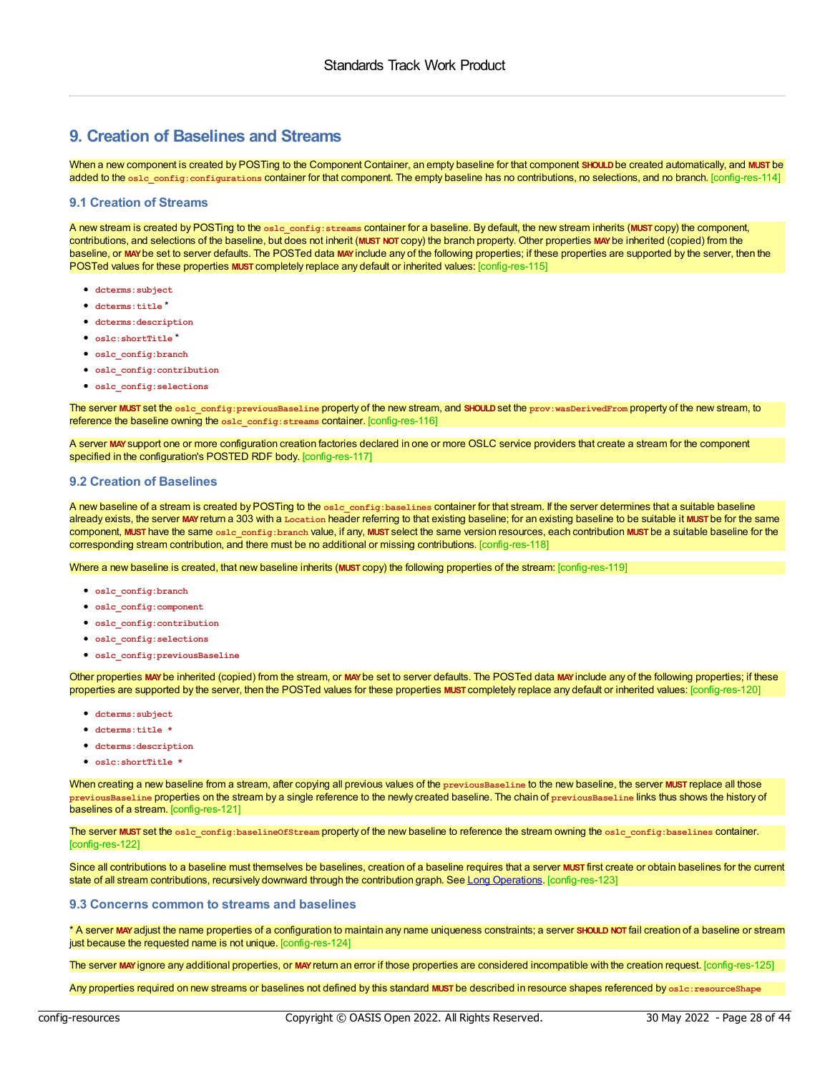# <span id="page-27-0"></span>**9. Creation of Baselines and Streams**

<span id="page-27-3"></span>When a new component is created by POSTing to the Component Container, an empty baseline for that component **SHOULD**be created automatically, and **MUST** be added to the **oslc\_config:configurations** container for that component. The empty baseline has no contributions, no selections, and no branch. [config-res-114]

#### <span id="page-27-1"></span>**9.1 Creation of Streams**

<span id="page-27-4"></span>A new stream is created by POSTing to the **oslc\_config:streams** container for a baseline. By default, the new stream inherits (**MUST** copy) the component, contributions, and selections of the baseline, but does not inherit (**MUST NOT** copy) the branch property. Other properties **MAY**be inherited (copied) from the baseline, or MAY be set to server defaults. The POSTed data MAY include any of the following properties; if these properties are supported by the server, then the POSTed values for these properties **MUST** completely replace any default or inherited values: [config-res-115]

- **dcterms:subject**
- **dcterms:title** \*
- **dcterms:description**
- **oslc:shortTitle** \*
- **oslc\_config:branch**
- **oslc\_config:contribution**
- **oslc\_config:selections**

<span id="page-27-5"></span>The server **MUST** set the **oslc\_config:previousBaseline** property of the new stream, and **SHOULD**set the **prov:wasDerivedFrom** property of the new stream, to reference the baseline owning the **oslc\_config:streams** container. [config-res-116]

<span id="page-27-6"></span>A server **MAY**support one or more configuration creation factories declared in one or more OSLC service providers that create a stream for the component specified in the configuration's POSTED RDF body. [config-res-117]

#### <span id="page-27-2"></span>**9.2 Creation of Baselines**

<span id="page-27-7"></span>A new baseline of a stream is created by POSTing to the **oslc\_config:baselines** container for that stream. If the server determines that a suitable baseline already exists, the server **MAY**return a 303 with a **Location** header referring to that existing baseline; for an existing baseline to be suitable it **MUST** be for the same component, **MUST** have the same **oslc\_config:branch** value, if any, **MUST** select the same version resources, each contribution **MUST** be a suitable baseline for the corresponding stream contribution, and there must be no additional or missing contributions. [config-res-118]

<span id="page-27-8"></span>Where a new baseline is created, that new baseline inherits (**MUST** copy) the following properties of the stream: [config-res-119]

- **oslc\_config:branch**
- **oslc\_config:component**
- **oslc\_config:contribution**
- **oslc\_config:selections**
- **oslc\_config:previousBaseline**

<span id="page-27-9"></span>Other properties **MAY**be inherited (copied) from the stream, or **MAY**be set to server defaults. The POSTed data **MAY**include any of the following properties; if these properties are supported by the server, then the POSTed values for these properties **MUST** completely replace any default or inherited values: [config-res-120]

- **dcterms:subject**
- **dcterms:title \***
- **dcterms:description**
- **oslc:shortTitle \***

<span id="page-27-10"></span>When creating a new baseline from a stream, after copying all previous values of the **previousBaseline** to the new baseline, the server **MUST** replace all those **previousBaseline** properties on the stream by a single reference to the newly created baseline. The chain of **previousBaseline** links thus shows the history of baselines of a stream. [config-res-121]

<span id="page-27-11"></span>The server **MUST** set the **oslc\_config:baselineOfStream** property of the new baseline to reference the stream owning the **oslc\_config:baselines** container. [config-res-122]

<span id="page-27-12"></span>Since all contributions to a baseline must themselves be baselines, creation of a baseline requires that a server **MUST** first create or obtain baselines for the current state of all stream contributions, recursively downward through the contribution graph. See Long [Operations](#page-37-0). [config-res-123]

#### **9.3 Concerns common to streams and baselines**

<span id="page-27-13"></span>\* A server **MAY**adjust the name properties of a configuration to maintain any name uniqueness constraints; a server **SHOULD NOT** fail creation of a baseline or stream just because the requested name is not unique. [config-res-124]

<span id="page-27-14"></span>The server **MAY**ignore any additional properties, or **MAY**return an error if those properties are considered incompatible with the creation request. [config-res-125]

<span id="page-27-15"></span>Any properties required on new streams or baselines not defined by this standard **MUST** be described in resource shapes referenced by **oslc:resourceShape**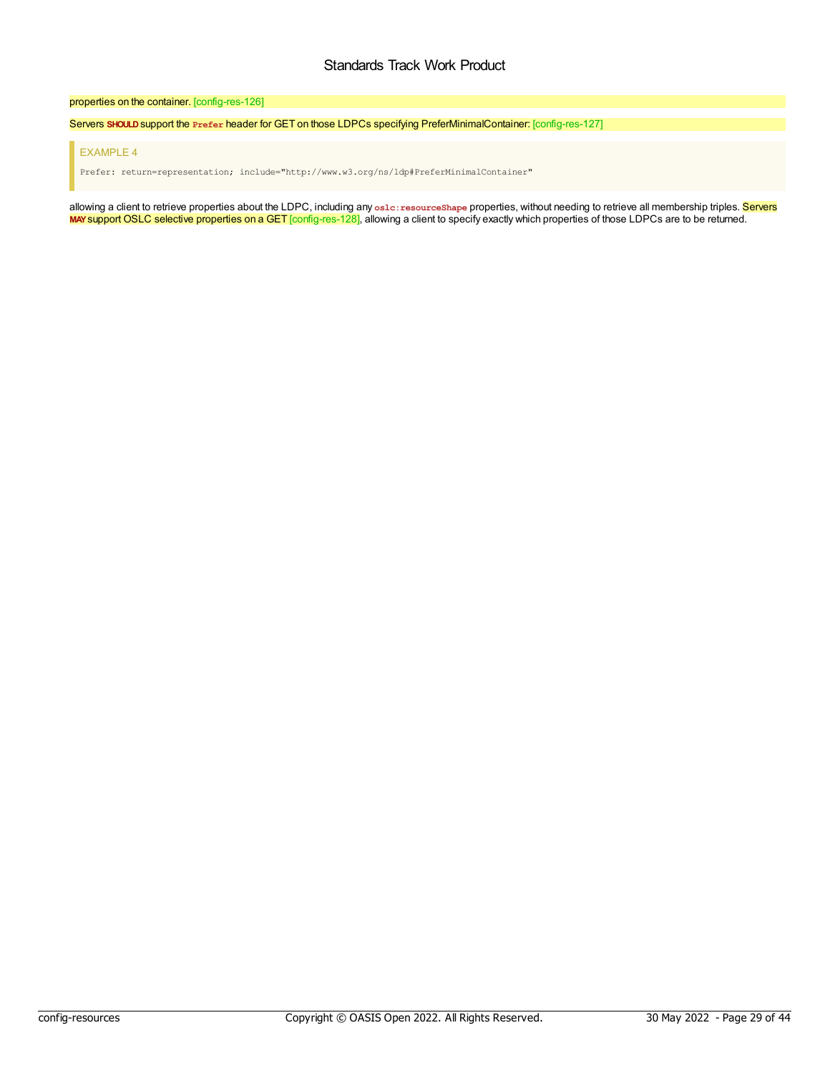#### <span id="page-28-0"></span>properties on the container. [config-res-126]

<span id="page-28-1"></span>Servers **SHOULD**support the **Prefer** header for GET on those LDPCs specifying PreferMinimalContainer: [config-res-127]

#### EXAMPLE 4

Prefer: return=representation; include="http://www.w3.org/ns/ldp#PreferMinimalContainer"

<span id="page-28-2"></span>allowing a client to retrieve properties about the LDPC, including any **oslc:resourceShape** properties, without needing to retrieve all membership triples. Servers **MAY**support OSLC selective properties on a GET [config-res-128], allowing a client to specify exactly which properties of those LDPCs are to be returned.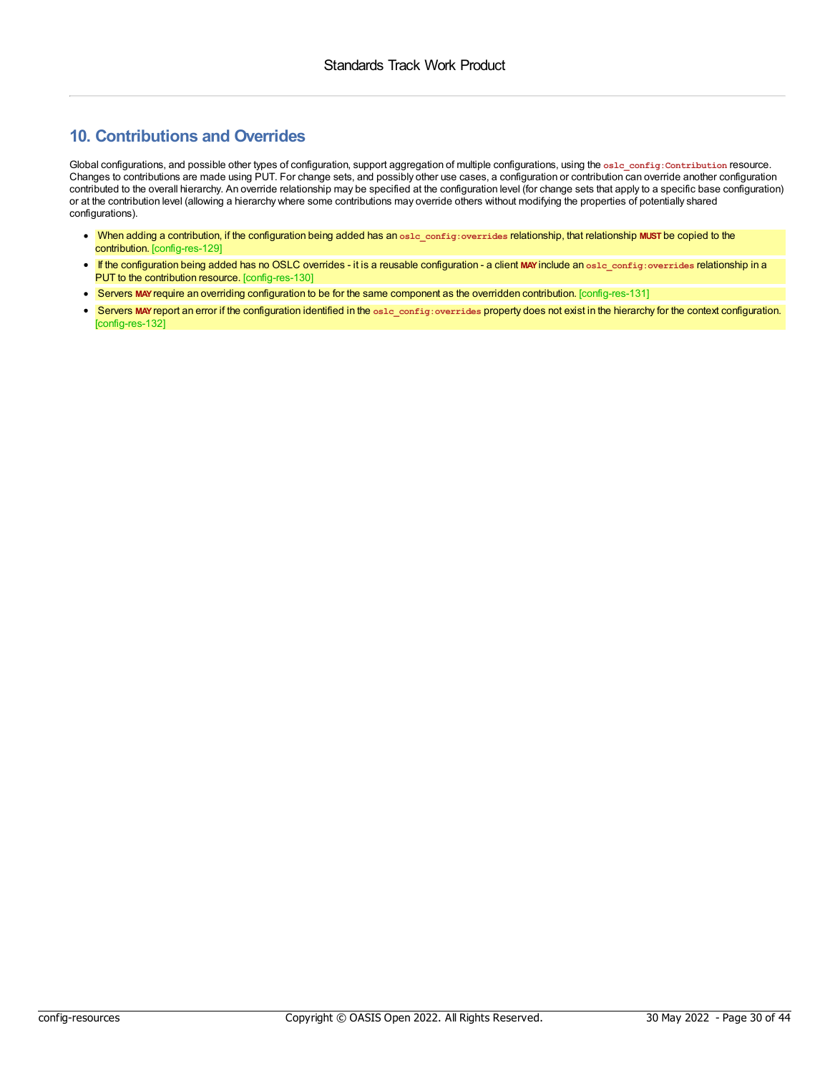# <span id="page-29-0"></span>**10. Contributions and Overrides**

Global configurations, and possible other types of configuration, support aggregation of multiple configurations, using the **oslc\_config:Contribution** resource. Changes to contributions are made using PUT. For change sets, and possibly other use cases, a configuration or contribution can override another configuration contributed to the overall hierarchy. An override relationship may be specified at the configuration level (for change sets that apply to a specific base configuration) or at the contribution level (allowing a hierarchy where some contributions may override others without modifying the properties of potentially shared configurations).

- <span id="page-29-1"></span>When adding a contribution, if the configuration being added has an **oslc\_config:overrides** relationship, that relationship **MUST** be copied to the contribution. [config-res-129]
- <span id="page-29-2"></span>If the configuration being added has no OSLC overrides - it is a reusable configuration - a client **MAY**include an **oslc\_config:overrides** relationship in a PUT to the contribution resource. [config-res-130]
- <span id="page-29-3"></span>Servers **MAY**require an overriding configuration to be for the same component as the overridden contribution. [config-res-131]
- <span id="page-29-4"></span>Servers **MAY**report an error if the configuration identified in the **oslc\_config:overrides** property does not exist in the hierarchy for the context configuration. [config-res-132]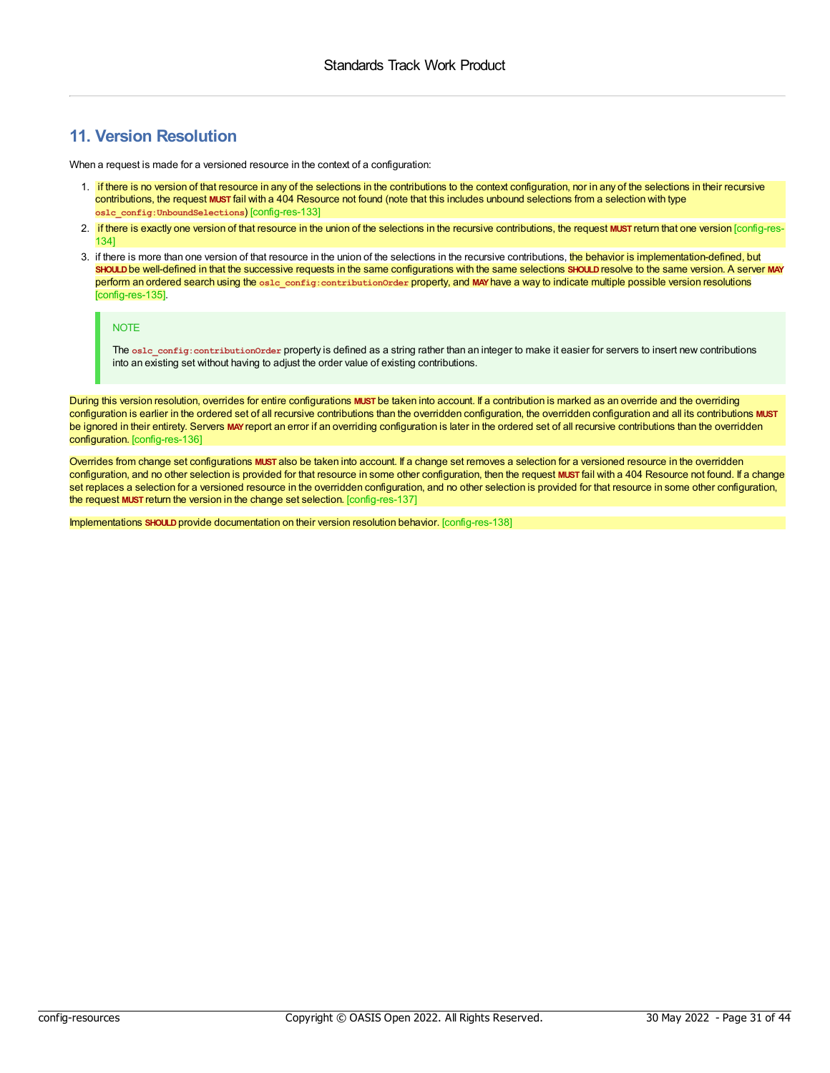# <span id="page-30-0"></span>**11. Version Resolution**

When a request is made for a versioned resource in the context of a configuration:

- <span id="page-30-1"></span>1. if there is no version of that resource in any of the selections in the contributions to the context configuration, nor in any of the selections in their recursive contributions, the request **MUST** fail with a 404 Resource not found (note that this includes unbound selections from a selection with type **oslc\_config:UnboundSelections**) [config-res-133]
- <span id="page-30-2"></span>2. if there is exactly one version of that resource in the union of the selections in the recursive contributions, the request **MUST** return that one version [config-res-134]
- <span id="page-30-3"></span>3. if there is more than one version of that resource in the union of the selections in the recursive contributions, the behavior is implementation-defined, but **SHOULD**be well-defined in that the successive requests in the same configurations with the same selections **SHOULD**resolve to the same version. A server **MAY** perform an ordered search using the **oslc\_config:contributionOrder** property, and **MAY**have a way to indicate multiple possible version resolutions [config-res-135].

#### NOTE

The **oslc\_config:contributionOrder** property is defined as a string rather than an integer to make it easier for servers to insert new contributions into an existing set without having to adjust the order value of existing contributions.

<span id="page-30-4"></span>During this version resolution, overrides for entire configurations **MUST** be taken into account. If a contribution is marked as an override and the overriding configuration is earlier in the ordered set of all recursive contributions than the overridden configuration, the overridden configuration and all its contributions **MUST** be ignored in their entirety. Servers **MAY**report an error if an overriding configuration is later in the ordered set of all recursive contributions than the overridden configuration. [config-res-136]

<span id="page-30-5"></span>Overrides from change set configurations **MUST** also be taken into account. If a change set removes a selection for a versioned resource in the overridden configuration, and no other selection is provided for that resource in some other configuration, then the request **MUST** fail with a 404 Resource not found. If a change set replaces a selection for a versioned resource in the overridden configuration, and no other selection is provided for that resource in some other configuration, the request **MUST** return the version in the change set selection. [config-res-137]

<span id="page-30-6"></span>Implementations **SHOULD**provide documentation on their version resolution behavior. [config-res-138]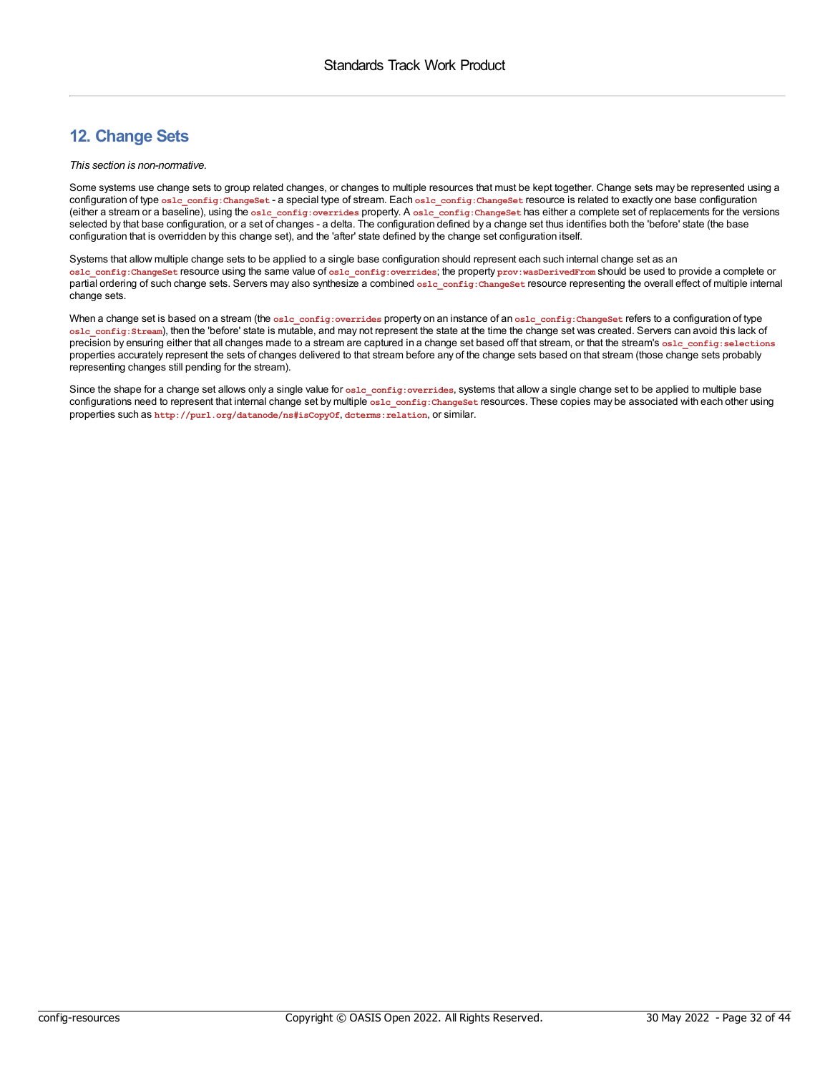# <span id="page-31-0"></span>**12. Change Sets**

#### *This section is non-normative.*

Some systems use change sets to group related changes, or changes to multiple resources that must be kept together. Change sets may be represented using a configuration of type **oslc\_config:ChangeSet** - a special type of stream. Each **oslc\_config:ChangeSet** resource is related to exactly one base configuration (either a stream or a baseline), using the **oslc\_config:overrides** property. A **oslc\_config:ChangeSet** has either a complete set of replacements for the versions selected by that base configuration, or a set of changes - a delta. The configuration defined by a change set thus identifies both the 'before' state (the base configuration that is overridden by this change set), and the 'after' state defined by the change set configuration itself.

Systems that allow multiple change sets to be applied to a single base configuration should represent each such internal change set as an **oslc\_config:ChangeSet** resource using the same value of **oslc\_config:overrides**; the property **prov:wasDerivedFrom** should be used to provide a complete or partial ordering of such change sets. Servers may also synthesize a combined **oslc\_config:ChangeSet** resource representing the overall effect of multiple internal change sets.

When a change set is based on a stream (the oslc\_config:overrides property on an instance of an oslc\_config:ChangeSet refers to a configuration of type **oslc\_config:Stream**), then the 'before' state is mutable, and may not represent the state at the time the change set was created. Servers can avoid this lack of precision by ensuring either that all changes made to a stream are captured in a change set based off that stream, or that the stream's **oslc\_config:selections** properties accurately represent the sets of changes delivered to that stream before any of the change sets based on that stream (those change sets probably representing changes still pending for the stream).

Since the shape for a change set allows only a single value for **oslc\_config:**overrides, systems that allow a single change set to be applied to multiple base configurations need to represent that internal change set by multiple **oslc\_config:ChangeSet** resources. These copies may be associated with each other using properties such as **http://purl.org/datanode/ns#isCopyOf**, **dcterms:relation**, or similar.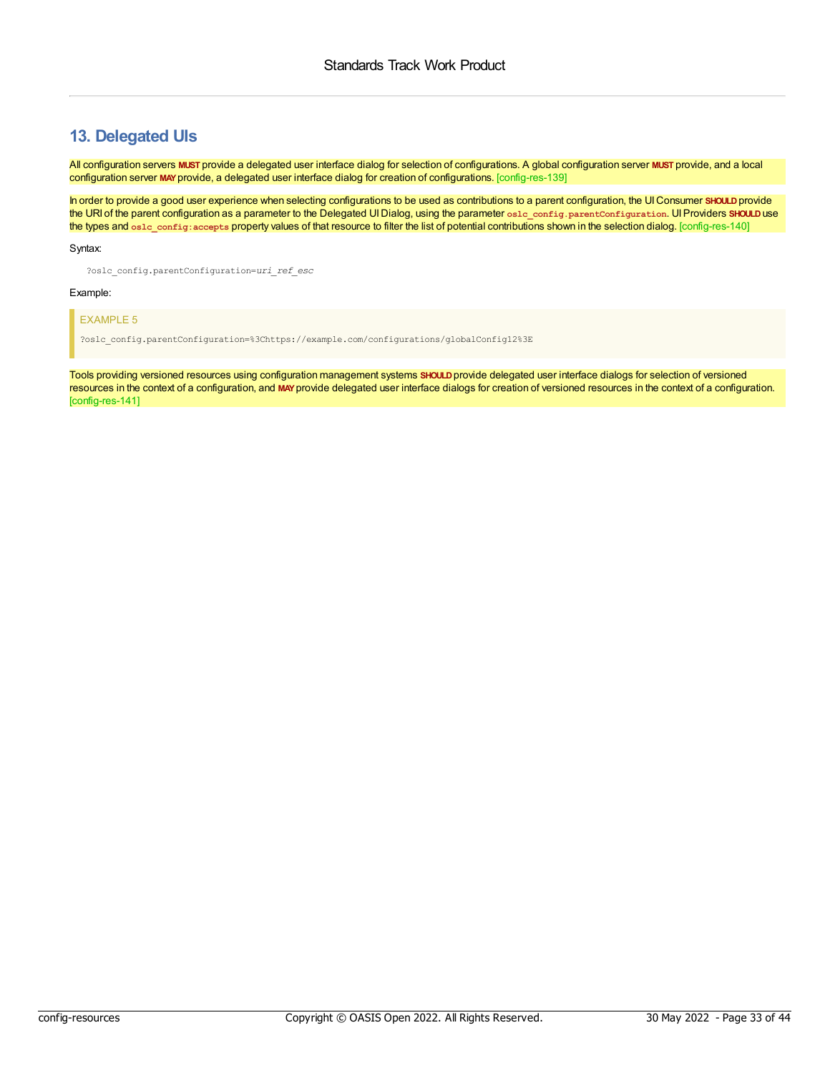### <span id="page-32-0"></span>**13. Delegated UIs**

<span id="page-32-1"></span>All configuration servers **MUST** provide a delegated user interface dialog for selection of configurations. A global configuration server **MUST** provide, and a local configuration server **MAY**provide, a delegated user interface dialog for creation of configurations. [config-res-139]

<span id="page-32-2"></span>In order to provide a good user experience when selecting configurations to be used as contributions to a parent configuration, the UIConsumer **SHOULD**provide the URI of the parent configuration as a parameter to the Delegated UIDialog, using the parameter **oslc\_config.parentConfiguration**. UIProviders **SHOULD**use the types and **oslc\_config:accepts** property values of that resource to filter the list of potential contributions shown in the selection dialog. [config-res-140]

#### Syntax:

?oslc\_config.parentConfiguration=*uri\_ref\_esc*

#### Example:

#### EXAMPLE 5

?oslc\_config.parentConfiguration=%3Chttps://example.com/configurations/globalConfig12%3E

<span id="page-32-3"></span>Tools providing versioned resources using configuration management systems **SHOULD**provide delegated user interface dialogs for selection of versioned resources in the context of a configuration, and **MAY**provide delegated user interface dialogs for creation of versioned resources in the context of a configuration. [config-res-141]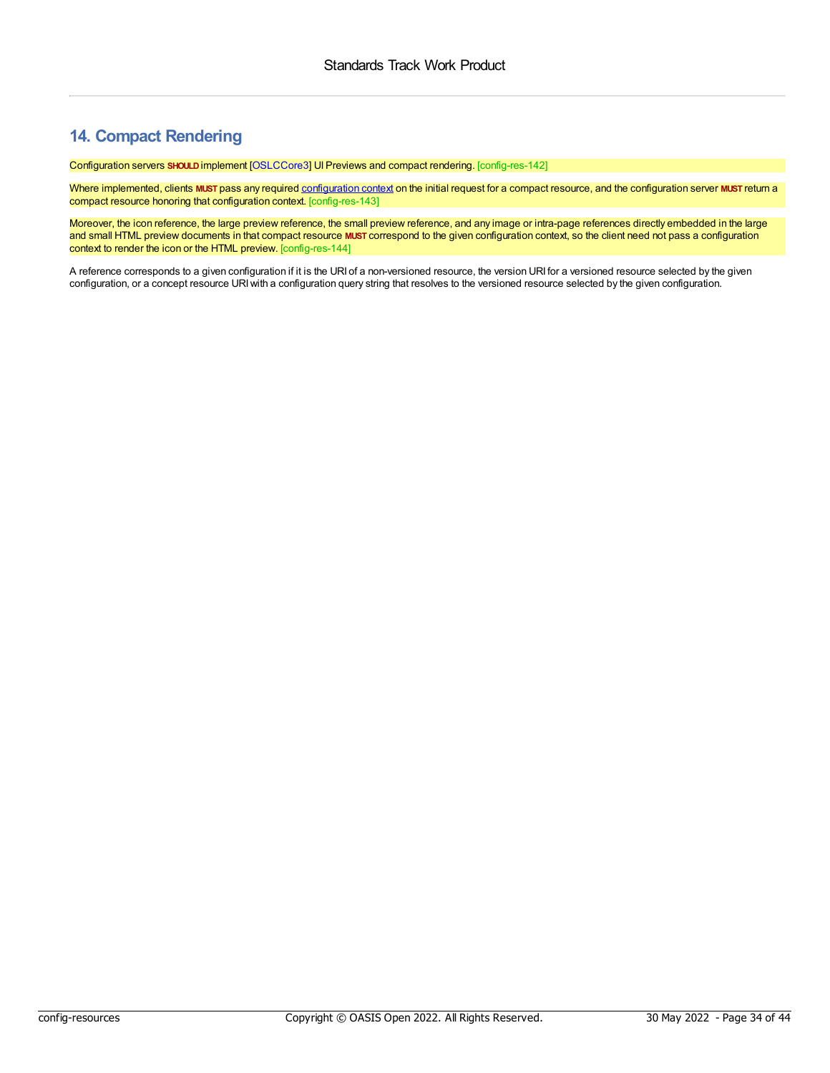# <span id="page-33-0"></span>**14. Compact Rendering**

<span id="page-33-1"></span>Configuration servers **SHOULD**implement [\[OSLCCore3](#page-4-6)] UIPreviews and compact rendering. [config-res-142]

<span id="page-33-2"></span>Where implemented, clients **MUST** pass any required [configuration](#page-21-0) context on the initial request for a compact resource, and the configuration server **MUST** return a compact resource honoring that configuration context. [config-res-143]

<span id="page-33-3"></span>Moreover, the icon reference, the large preview reference, the small preview reference, and any image or intra-page references directly embedded in the large and small HTML preview documents in that compact resource **MUST** correspond to the given configuration context, so the client need not pass a configuration context to render the icon or the HTML preview. [config-res-144]

A reference corresponds to a given configuration if it is the URI of a non-versioned resource, the version URI for a versioned resource selected by the given configuration, or a concept resource URIwith a configuration query string that resolves to the versioned resource selected by the given configuration.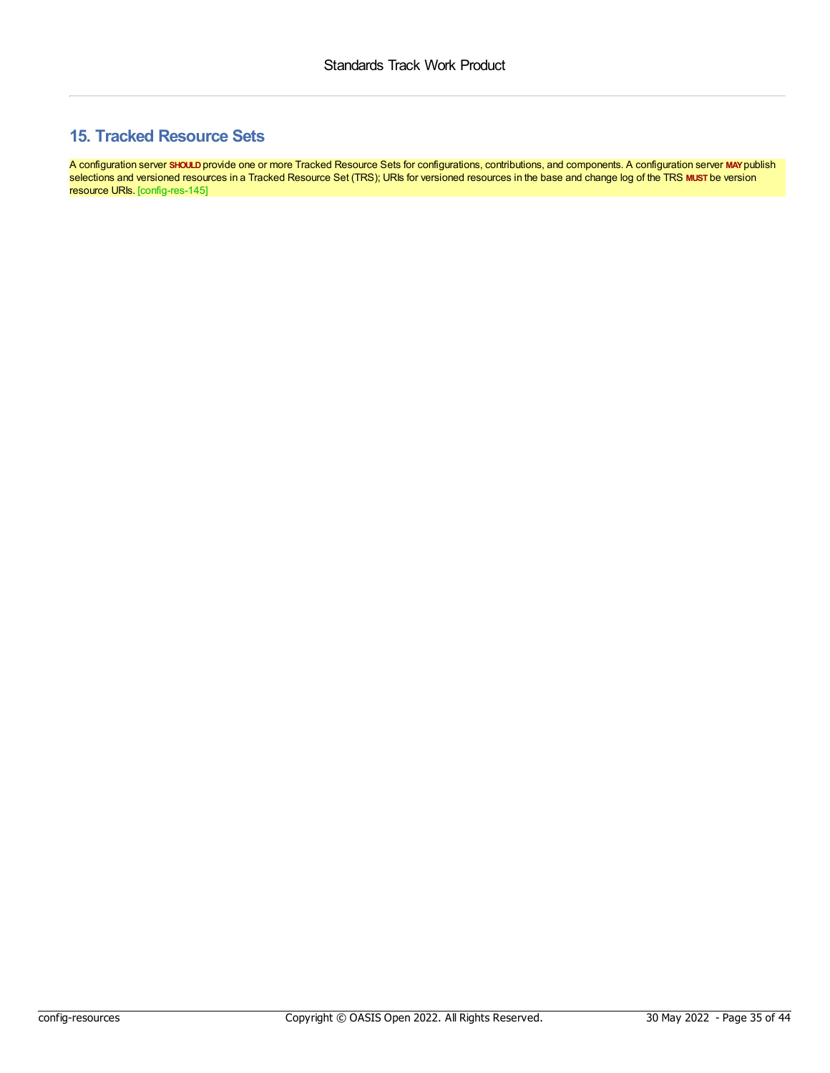# <span id="page-34-0"></span>**15. Tracked Resource Sets**

<span id="page-34-1"></span>A configuration server **SHOULD**provide one or more Tracked Resource Sets for configurations, contributions, and components. A configuration server **MAY**publish selections and versioned resources in a Tracked Resource Set (TRS); URIs for versioned resources in the base and change log of the TRS **MUST** be version resource URIs. [config-res-145]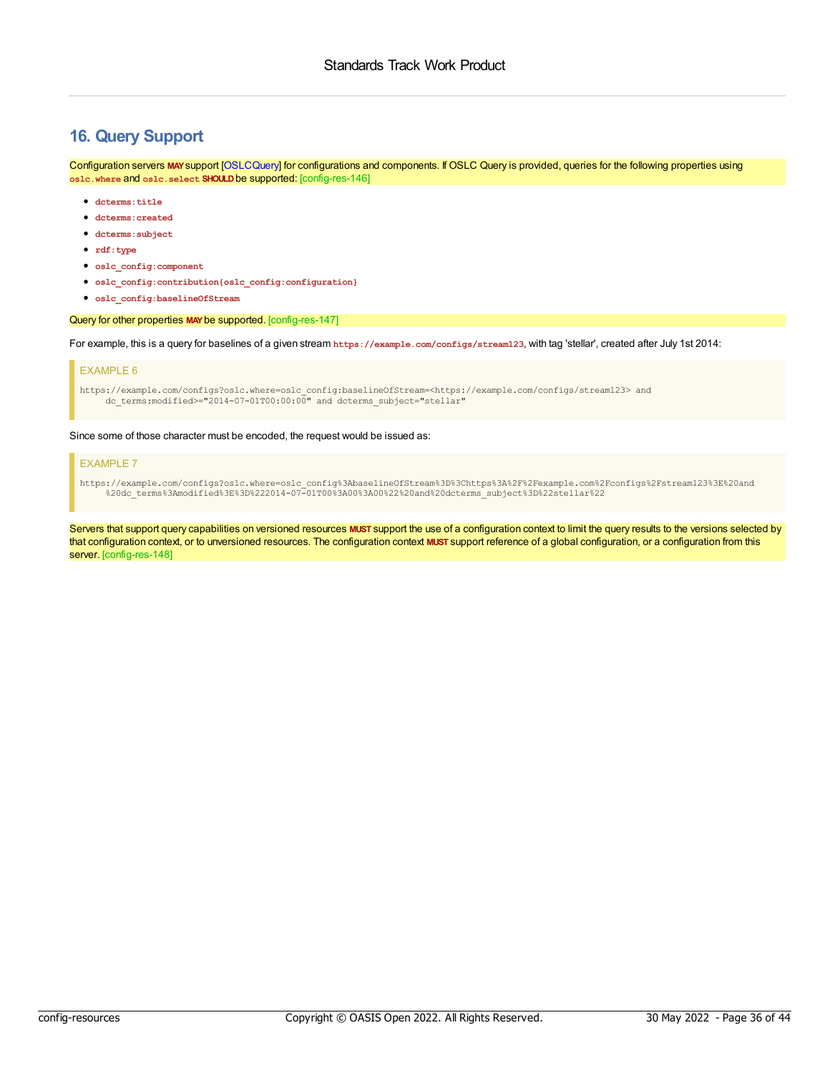# <span id="page-35-0"></span>**16. Query Support**

<span id="page-35-1"></span>Configuration servers **MAY**support [\[OSLCQuery](#page-4-10)] for configurations and components. If OSLC Query is provided, queries for the following properties using **oslc.where** and **oslc.select SHOULD**be supported: [config-res-146]

- **dcterms:title**
- **dcterms:created**
- **dcterms:subject**
- **rdf:type**
- **oslc\_config:component**
- **oslc\_config:contribution{oslc\_config:configuration}**
- **oslc\_config:baselineOfStream**

#### <span id="page-35-2"></span>Query for other properties **MAY**be supported. [config-res-147]

For example, this is a query for baselines of a given stream **https://example.com/configs/stream123**, with tag 'stellar', created after July 1st 2014:

#### EXAMPLE 6

https://example.com/configs?oslc.where=oslc\_config:baselineOfStream=<https://example.com/configs/stream123> and dc\_terms:modified>="2014-07-01T00:00:00" and dcterms\_subject="stellar"

#### Since some of those character must be encoded, the request would be issued as:

#### EXAMPLE 7

https://example.com/configs?oslc.where=oslc\_config%3AbaselineOfStream%3D%3Chttps%3A%2F%2Fexample.com%2Fconfigs%2Fstream123%3E%20and %20dc\_terms%3Amodified%3E%3D%222014-07-01T00%3A00%3A00%22%20and%20dcterms\_subject%3D%22stellar%22

<span id="page-35-3"></span>Servers that support query capabilities on versioned resources MUST support the use of a configuration context to limit the query results to the versions selected by that configuration context, or to unversioned resources. The configuration context **MUST** support reference of a global configuration, or a configuration from this server. [config-res-148]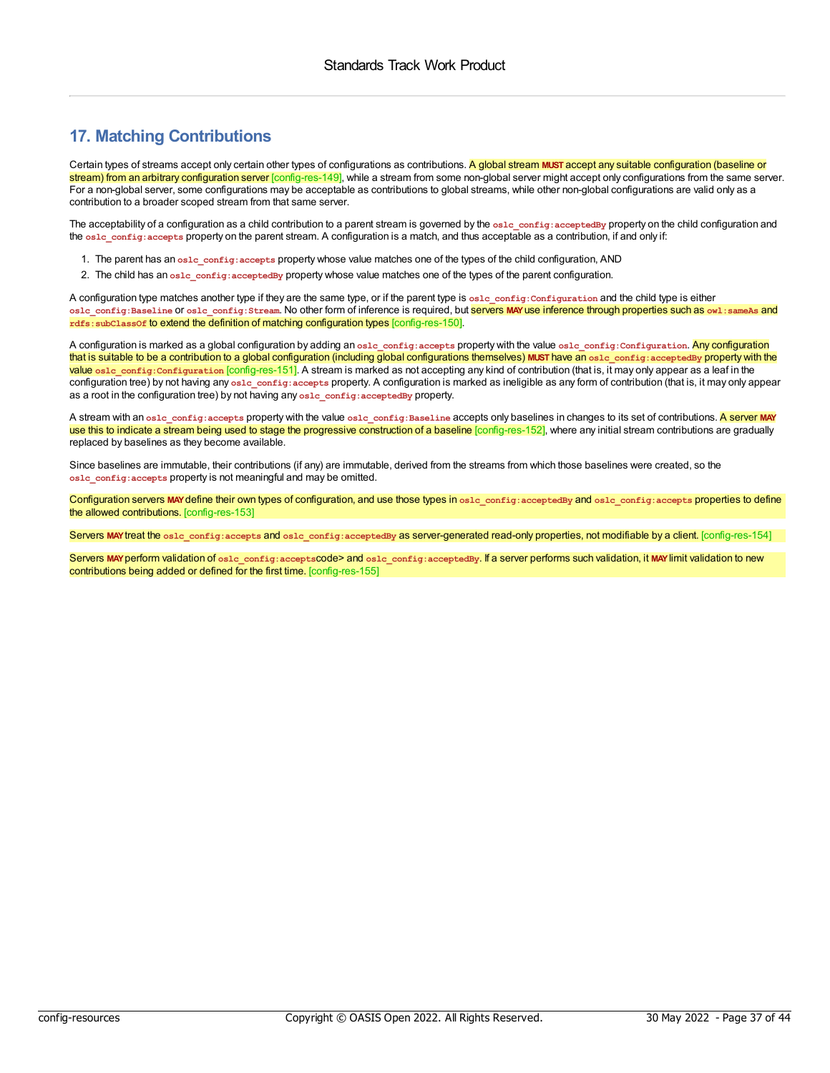# <span id="page-36-0"></span>**17. Matching Contributions**

<span id="page-36-1"></span>Certain types of streams accept only certain other types of configurations as contributions. A global stream **MUST** accept any suitable configuration (baseline or stream) from an arbitrary configuration server [config-res-149], while a stream from some non-global server might accept only configurations from the same server. For a non-global server, some configurations may be acceptable as contributions to global streams, while other non-global configurations are valid only as a contribution to a broader scoped stream from that same server.

The acceptability of a configuration as a child contribution to a parent stream is governed by the  $\frac{1}{\sqrt{2}}$  config: acceptedBy property on the child configuration and the **oslc\_config:accepts** property on the parent stream. A configuration is a match, and thus acceptable as a contribution, if and only if:

- 1. The parent has an **oslc\_config:accepts** property whose value matches one of the types of the child configuration, AND
- 2. The child has an **oslc\_config:acceptedBy** property whose value matches one of the types of the parent configuration.

<span id="page-36-2"></span>A configuration type matches another type if they are the same type, or if the parent type is **oslc\_config:Configuration** and the child type is either **oslc\_config:Baseline** or **oslc\_config:Stream**. No other form of inference is required, but servers **MAY**use inference through properties such as **owl:sameAs** and **rdfs:subClassOf** to extend the definition of matching configuration types [config-res-150].

<span id="page-36-3"></span>A configuration is marked as a global configuration by adding an **oslc\_config:accepts** property with the value **oslc\_config:Configuration**. Any configuration that is suitable to be a contribution to a global configuration (including global configurations themselves) **MUST** have an **oslc\_config:acceptedBy** property with the value osle\_config:Configuration [config-res-151]. A stream is marked as not accepting any kind of contribution (that is, it may only appear as a leaf in the configuration tree) by not having any osle config: accepts property. A configuration is marked as ineligible as any form of contribution (that is, it may only appear as a root in the configuration tree) by not having any **oslc\_config:acceptedBy** property.

<span id="page-36-4"></span>A stream with an osle config:accepts property with the value osle config:Baseline accepts only baselines in changes to its set of contributions. A server MAY use this to indicate a stream being used to stage the progressive construction of a baseline [config-res-152], where any initial stream contributions are gradually replaced by baselines as they become available.

Since baselines are immutable, their contributions (if any) are immutable, derived from the streams from which those baselines were created, so the **oslc\_config:accepts** property is not meaningful and may be omitted.

<span id="page-36-5"></span>Configuration servers **MAY**define their own types of configuration, and use those types in **oslc\_config:acceptedBy** and **oslc\_config:accepts** properties to define the allowed contributions. [config-res-153]

<span id="page-36-6"></span>Servers **MAY**treat the **oslc\_config:accepts** and **oslc\_config:acceptedBy** as server-generated read-only properties, not modifiable by a client. [config-res-154]

<span id="page-36-7"></span>Servers MAY perform validation of oslc\_config:acceptscode> and oslc\_config:acceptedBy. If a server performs such validation, it MAY limit validation to new contributions being added or defined for the first time. [config-res-155]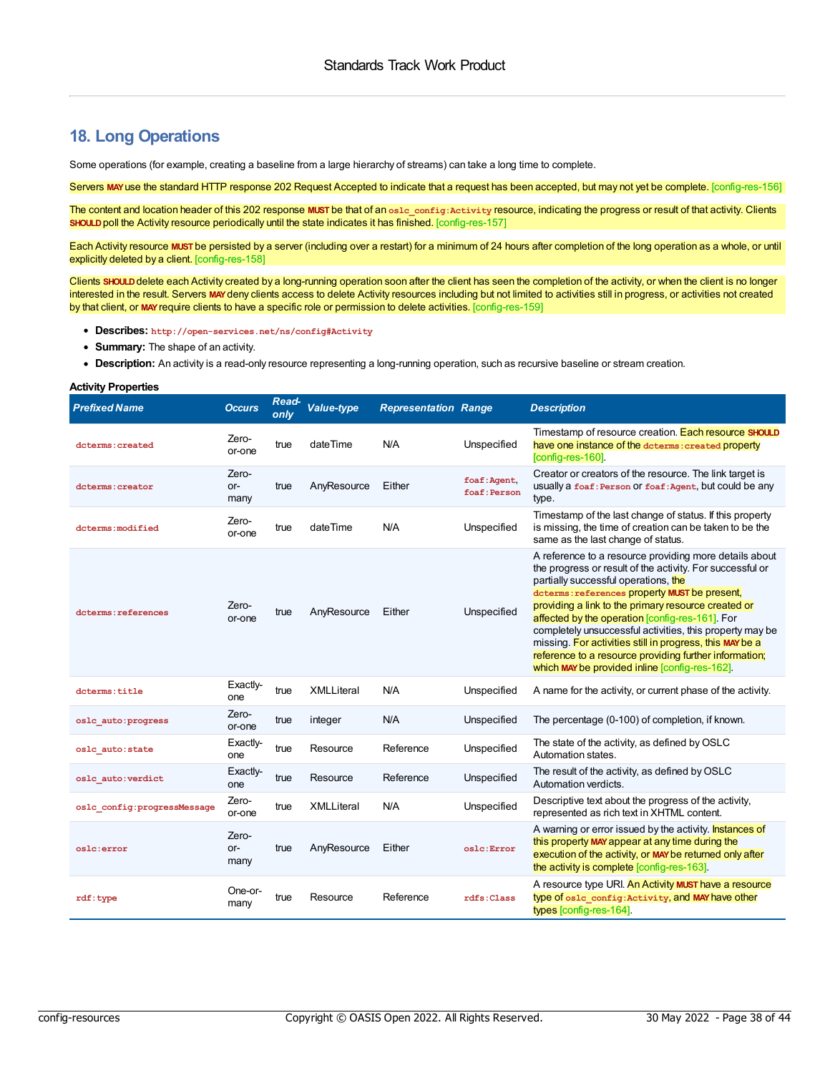### <span id="page-37-0"></span>**18. Long Operations**

Some operations (for example, creating a baseline from a large hierarchy of streams) can take a long time to complete.

<span id="page-37-1"></span>Servers MAY use the standard HTTP response 202 Request Accepted to indicate that a request has been accepted, but may not yet be complete. [config-res-156]

<span id="page-37-2"></span>The content and location header of this 202 response **MUST** be that of an **oslc\_config:Activity** resource, indicating the progress or result of that activity. Clients **SHOULD** poll the Activity resource periodically until the state indicates it has finished. [config-res-157]

<span id="page-37-3"></span>Each Activity resource **MUST** be persisted by a server (including over a restart) for a minimum of 24 hours after completion of the long operation as a whole, or until explicitly deleted by a client. [config-res-158]

<span id="page-37-4"></span>Clients SHOULD delete each Activity created by a long-running operation soon after the client has seen the completion of the activity, or when the client is no longer interested in the result. Servers MAY deny clients access to delete Activity resources including but not limited to activities still in progress, or activities not created by that client, or **MAY**require clients to have a specific role or permission to delete activities. [config-res-159]

- **Describes: http://open-services.net/ns/config#Activity**
- **Summary:** The shape of an activity.
- <span id="page-37-5"></span>**Description:** An activity is a read-only resource representing a long-running operation, such as recursive baseline or stream creation.

#### **Activity Properties**

<span id="page-37-9"></span><span id="page-37-8"></span><span id="page-37-7"></span><span id="page-37-6"></span>

| <b>Prefixed Name</b>         | <b>Occurs</b>          | Read-<br>only | <b>Value-type</b> | <b>Representation Range</b> |                              | <b>Description</b>                                                                                                                                                                                                                                                                                                                                                                                                                                                                                                                                         |
|------------------------------|------------------------|---------------|-------------------|-----------------------------|------------------------------|------------------------------------------------------------------------------------------------------------------------------------------------------------------------------------------------------------------------------------------------------------------------------------------------------------------------------------------------------------------------------------------------------------------------------------------------------------------------------------------------------------------------------------------------------------|
| dcterms: created             | Zero-<br>or-one        | true          | dateTime          | N/A                         | Unspecified                  | Timestamp of resource creation. Each resource SHOULD<br>have one instance of the determs: created property<br>[config-res-160].                                                                                                                                                                                                                                                                                                                                                                                                                            |
| dcterms: creator             | Zero-<br>$or-$<br>many | true          | AnyResource       | Either                      | foaf: Agent,<br>foaf: Person | Creator or creators of the resource. The link target is<br>usually a foaf: Person Of foaf: Agent, but could be any<br>type.                                                                                                                                                                                                                                                                                                                                                                                                                                |
| dcterms: modified            | Zero-<br>or-one        | true          | dateTime          | N/A                         | Unspecified                  | Timestamp of the last change of status. If this property<br>is missing, the time of creation can be taken to be the<br>same as the last change of status.                                                                                                                                                                                                                                                                                                                                                                                                  |
| dcterms: references          | Zero-<br>or-one        | true          | AnyResource       | Either                      | Unspecified                  | A reference to a resource providing more details about<br>the progress or result of the activity. For successful or<br>partially successful operations, the<br>dcterms: references property MUST be present,<br>providing a link to the primary resource created or<br>affected by the operation [config-res-161]. For<br>completely unsuccessful activities, this property may be<br>missing. For activities still in progress, this MAY be a<br>reference to a resource providing further information;<br>which MAY be provided inline [config-res-162]. |
| dcterms:title                | Exactly-<br>one        | true          | <b>XMLLiteral</b> | N/A                         | Unspecified                  | A name for the activity, or current phase of the activity.                                                                                                                                                                                                                                                                                                                                                                                                                                                                                                 |
| oslc auto: progress          | Zero-<br>or-one        | true          | integer           | N/A                         | Unspecified                  | The percentage (0-100) of completion, if known.                                                                                                                                                                                                                                                                                                                                                                                                                                                                                                            |
| oslc auto: state             | Exactly-<br>one        | true          | Resource          | Reference                   | Unspecified                  | The state of the activity, as defined by OSLC<br>Automation states.                                                                                                                                                                                                                                                                                                                                                                                                                                                                                        |
| oslc auto: verdict           | Exactly-<br>one        | true          | Resource          | Reference                   | Unspecified                  | The result of the activity, as defined by OSLC<br>Automation verdicts.                                                                                                                                                                                                                                                                                                                                                                                                                                                                                     |
| oslc config: progressMessage | Zero-<br>or-one        | true          | <b>XMLLiteral</b> | N/A                         | Unspecified                  | Descriptive text about the progress of the activity.<br>represented as rich text in XHTML content.                                                                                                                                                                                                                                                                                                                                                                                                                                                         |
| oslc:error                   | Zero-<br>or-<br>many   | true          | AnyResource       | Either                      | oslc:Error                   | A warning or error issued by the activity. <b>Instances of</b><br>this property MAY appear at any time during the<br>execution of the activity, or MAY be returned only after<br>the activity is complete [config-res-163].                                                                                                                                                                                                                                                                                                                                |
| rdf:type                     | One-or-<br>many        | true          | Resource          | Reference                   | rdfs: Class                  | A resource type URI. An Activity MUST have a resource<br>type of oslc config: Activity, and MAY have other<br>types [config-res-164].                                                                                                                                                                                                                                                                                                                                                                                                                      |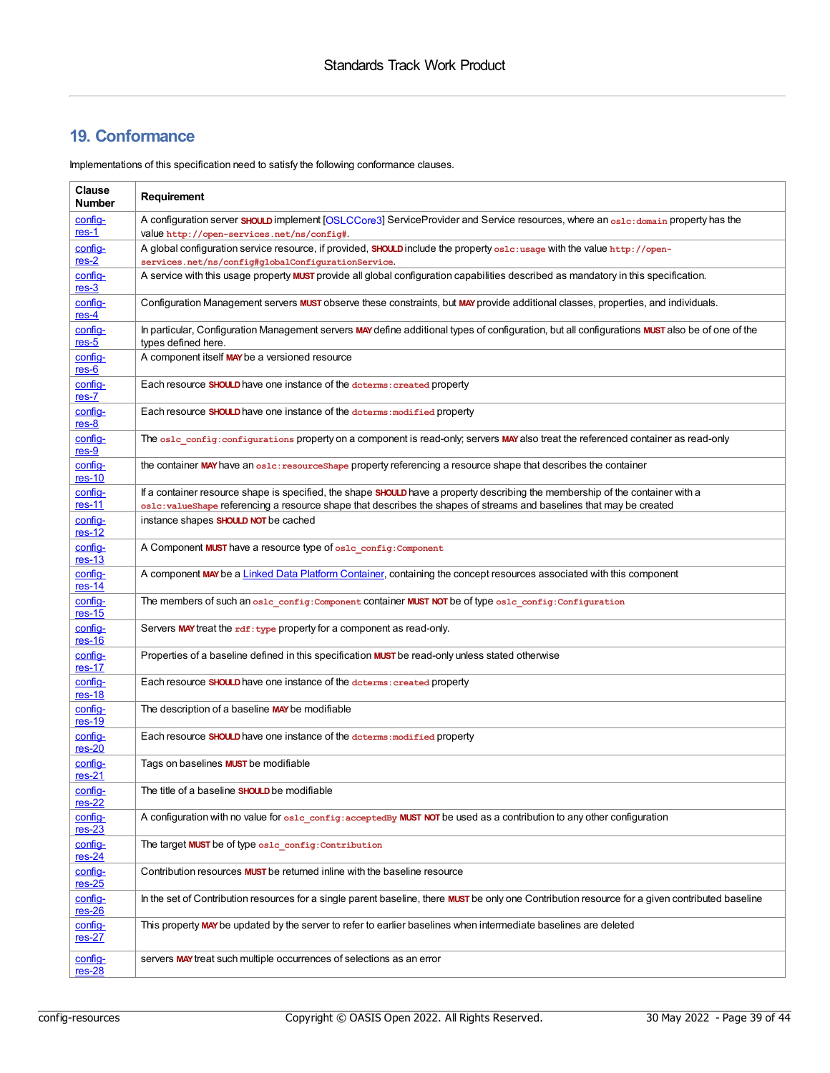# **19. Conformance**

Implementations of this specification need to satisfy the following conformance clauses.

| Clause<br><b>Number</b>    | Requirement                                                                                                                                                                                                                                           |
|----------------------------|-------------------------------------------------------------------------------------------------------------------------------------------------------------------------------------------------------------------------------------------------------|
| config-<br>$res-1$         | A configuration server SHOULD implement [OSLCCore3] ServiceProvider and Service resources, where an osle: domain property has the<br>Value http://open-services.net/ns/config#.                                                                       |
| config-<br>$res-2$         | A global configuration service resource, if provided, SHOULD include the property oslo: usage with the value http://open-<br>services.net/ns/config#globalConfigurationService.                                                                       |
| config-<br>$res-3$         | A service with this usage property <b>MUST</b> provide all global configuration capabilities described as mandatory in this specification.                                                                                                            |
| config-<br>$res-4$         | Configuration Management servers MUST observe these constraints, but MAY provide additional classes, properties, and individuals.                                                                                                                     |
| config-<br>$res-5$         | In particular, Configuration Management servers MAY define additional types of configuration, but all configurations MUST also be of one of the<br>types defined here.                                                                                |
| config-<br>$res-6$         | A component itself MAY be a versioned resource                                                                                                                                                                                                        |
| config-<br>$res-7$         | Each resource <b>SHOULD</b> have one instance of the determs: created property                                                                                                                                                                        |
| config-<br>$res-8$         | Each resource SHOULD have one instance of the determs: modified property                                                                                                                                                                              |
| config-<br>$res-9$         | The oslc config: configurations property on a component is read-only; servers MAY also treat the referenced container as read-only                                                                                                                    |
| config-<br>$res-10$        | the container MAY have an osle: resourceShape property referencing a resource shape that describes the container                                                                                                                                      |
| config-<br>$res-11$        | If a container resource shape is specified, the shape SHOULD have a property describing the membership of the container with a<br>os1c:valueShape referencing a resource shape that describes the shapes of streams and baselines that may be created |
| config-<br>$res-12$        | instance shapes SHOULD NOT be cached                                                                                                                                                                                                                  |
| config-<br>$res-13$        | A Component MUST have a resource type of oslc_config: Component                                                                                                                                                                                       |
| config-<br>$res-14$        | A component MAY be a Linked Data Platform Container, containing the concept resources associated with this component                                                                                                                                  |
| config-<br>$res-15$        | The members of such an osle config: Component CONtainer MUST NOT be of type osle config: Configuration                                                                                                                                                |
| config-<br>$res-16$        | Servers MAY treat the rdf: type property for a component as read-only.                                                                                                                                                                                |
| config-<br>$res-17$        | Properties of a baseline defined in this specification <b>MUST</b> be read-only unless stated otherwise                                                                                                                                               |
| config-<br>$res-18$        | Each resource SHOULD have one instance of the determs: created property                                                                                                                                                                               |
| config-<br>$res-19$        | The description of a baseline MAY be modifiable                                                                                                                                                                                                       |
| config-<br>$res-20$        | Each resource SHOULD have one instance of the determs: modified property                                                                                                                                                                              |
| config-<br>$res-21$        | Tags on baselines <b>MUST</b> be modifiable                                                                                                                                                                                                           |
| <u>contig-</u><br>$res-22$ | The title of a baseline <b>SHOULD</b> be modifiable                                                                                                                                                                                                   |
| config-<br>$res-23$        | A configuration with no value for oslc config: acceptedBy MUST NOT be used as a contribution to any other configuration                                                                                                                               |
| config-<br>$res-24$        | The target MUST be of type oslc config: Contribution                                                                                                                                                                                                  |
| config-<br>$res-25$        | Contribution resources <b>MUST</b> be returned inline with the baseline resource                                                                                                                                                                      |
| config-<br>$res-26$        | In the set of Contribution resources for a single parent baseline, there MUST be only one Contribution resource for a given contributed baseline                                                                                                      |
| config-<br>$res-27$        | This property MAY be updated by the server to refer to earlier baselines when intermediate baselines are deleted                                                                                                                                      |
| config-<br>$res-28$        | servers MAY treat such multiple occurrences of selections as an error                                                                                                                                                                                 |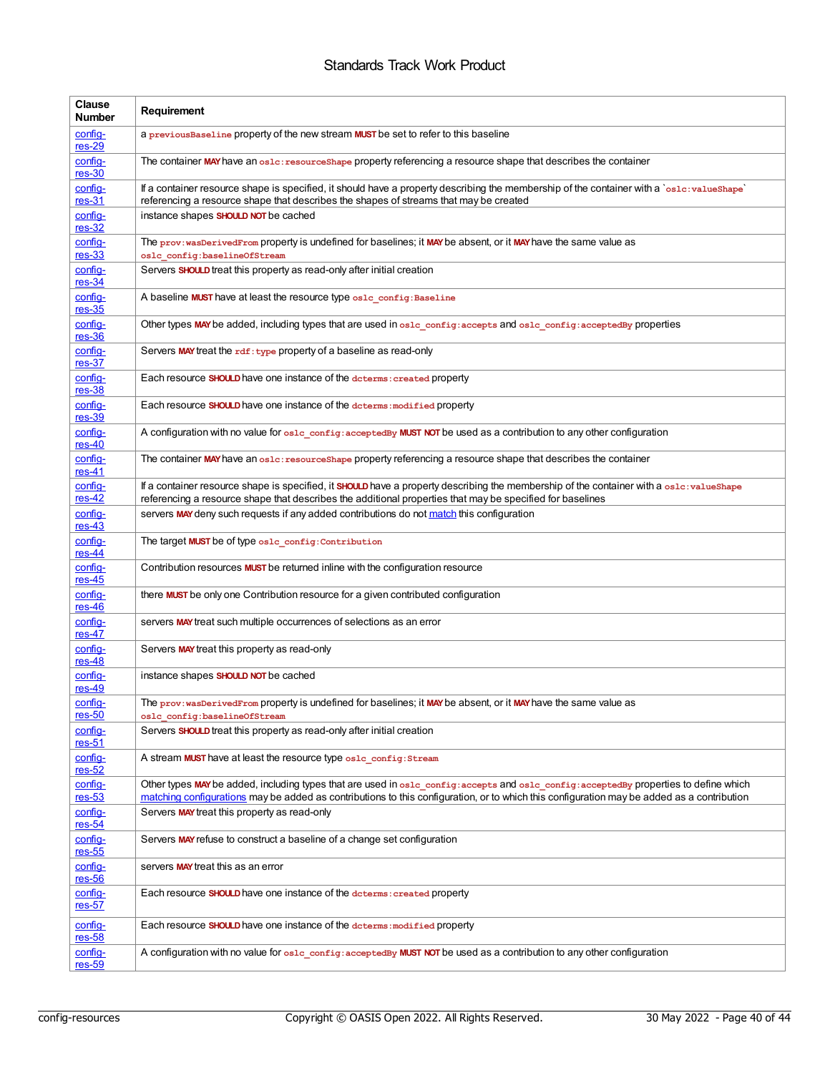| Clause<br><b>Number</b>    | Requirement                                                                                                                                                                                                                                                                        |
|----------------------------|------------------------------------------------------------------------------------------------------------------------------------------------------------------------------------------------------------------------------------------------------------------------------------|
| config-<br>$res-29$        | a previous Baseline property of the new stream MUST be set to refer to this baseline                                                                                                                                                                                               |
| config-<br>$res-30$        | The container MAY have an osle: resourceShape property referencing a resource shape that describes the container                                                                                                                                                                   |
| config-<br>$res-31$        | If a container resource shape is specified, it should have a property describing the membership of the container with a `os1c:va1ueShape`<br>referencing a resource shape that describes the shapes of streams that may be created                                                 |
| config-<br>$res-32$        | instance shapes SHOULD NOT be cached                                                                                                                                                                                                                                               |
| config-<br>$res-33$        | The prov: wasDerivedFrom property is undefined for baselines; it MAY be absent, or it MAY have the same value as<br>oslc config:baselineOfStream                                                                                                                                   |
| config-<br>$res-34$        | Servers <b>SHOULD</b> treat this property as read-only after initial creation                                                                                                                                                                                                      |
| config-<br>$res-35$        | A baseline MUST have at least the resource type oslc config: Baseline                                                                                                                                                                                                              |
| config-<br>$res-36$        | Other types MAY be added, including types that are used in oslc_config: accepts and oslc_config: acceptedBy properties                                                                                                                                                             |
| config-<br>$res-37$        | Servers MAY treat the rdf: type property of a baseline as read-only                                                                                                                                                                                                                |
| config-<br>$res-38$        | Each resource SHOULD have one instance of the determs: created property                                                                                                                                                                                                            |
| config-<br>$res-39$        | Each resource SHOULD have one instance of the determs: modified property                                                                                                                                                                                                           |
| config-<br>$res-40$        | A configuration with no value for oslc_config: acceptedBy MUST NOT be used as a contribution to any other configuration                                                                                                                                                            |
| config-<br>$res-41$        | The container MAY have an oslc: resourceShape property referencing a resource shape that describes the container                                                                                                                                                                   |
| config-<br>$res-42$        | If a container resource shape is specified, it SHOULD have a property describing the membership of the container with a oslc: valueShape<br>referencing a resource shape that describes the additional properties that may be specified for baselines                              |
| config-<br>$res-43$        | servers MAY deny such requests if any added contributions do not match this configuration                                                                                                                                                                                          |
| config-<br>$res-44$        | The target MUST be of type oslc config: Contribution                                                                                                                                                                                                                               |
| config-<br>$res-45$        | Contribution resources <b>MUST</b> be returned inline with the configuration resource                                                                                                                                                                                              |
| config-<br>$res-46$        | there <b>MUST</b> be only one Contribution resource for a given contributed configuration                                                                                                                                                                                          |
| config-<br>$res-47$        | servers MAY treat such multiple occurrences of selections as an error                                                                                                                                                                                                              |
| config-<br>$res-48$        | Servers MAY treat this property as read-only                                                                                                                                                                                                                                       |
| <u>config-</u><br>$res-49$ | instance shapes <b>SHOULD NOT</b> be cached                                                                                                                                                                                                                                        |
| config-<br>$res-50$        | The prov: wasDerivedFrom property is undefined for baselines; it MAY be absent, or it MAY have the same value as<br>oslc config:baselineOfStream                                                                                                                                   |
| config-<br>$res-51$        | Servers SHOULD treat this property as read-only after initial creation                                                                                                                                                                                                             |
| config-<br>$res-52$        | A stream MUST have at least the resource type oslc config: Stream                                                                                                                                                                                                                  |
| config-<br>$res-53$        | Other types MAY be added, including types that are used in oslc_config:accepts and oslc_config:acceptedBy properties to define which<br>matching configurations may be added as contributions to this configuration, or to which this configuration may be added as a contribution |
| config-<br>$res-54$        | Servers MAY treat this property as read-only                                                                                                                                                                                                                                       |
| config-<br>$res-55$        | Servers MAY refuse to construct a baseline of a change set configuration                                                                                                                                                                                                           |
| config-<br>$res-56$        | servers MAY treat this as an error                                                                                                                                                                                                                                                 |
| config-<br>$res-57$        | Each resource SHOULD have one instance of the determs: created property                                                                                                                                                                                                            |
| config-<br>$res-58$        | Each resource SHOULD have one instance of the dcterms: modified property                                                                                                                                                                                                           |
| <u>config-</u><br>$res-59$ | A configuration with no value for oslc_config:acceptedBy MUST NOT be used as a contribution to any other configuration                                                                                                                                                             |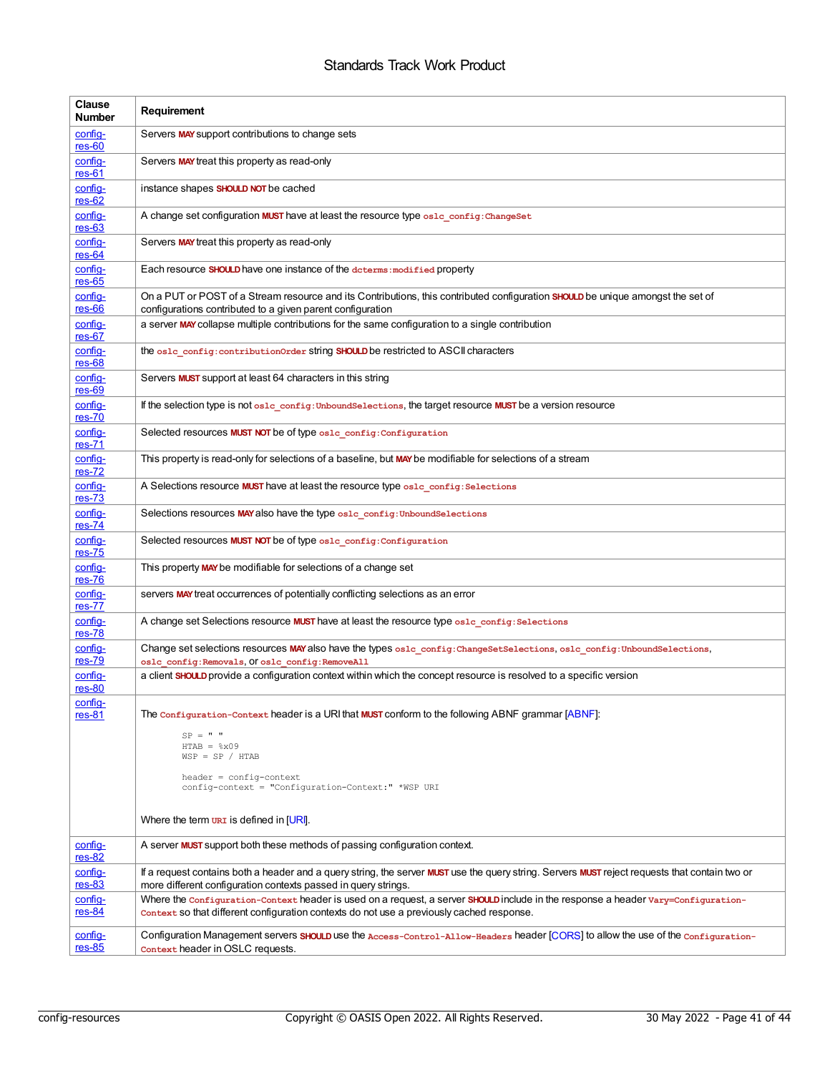<span id="page-40-0"></span>

| Clause<br><b>Number</b>  | Requirement                                                                                                                                                                                                                    |
|--------------------------|--------------------------------------------------------------------------------------------------------------------------------------------------------------------------------------------------------------------------------|
| config-<br>$res-60$      | Servers MAY support contributions to change sets                                                                                                                                                                               |
| config-<br>$res-61$      | Servers MAY treat this property as read-only                                                                                                                                                                                   |
| config-<br>$res-62$      | instance shapes SHOULD NOT be cached                                                                                                                                                                                           |
| config-<br>$res-63$      | A change set configuration MUST have at least the resource type osld config: ChangeSet                                                                                                                                         |
| config-<br>$res-64$      | Servers MAY treat this property as read-only                                                                                                                                                                                   |
| config-<br>$res-65$      | Each resource SHOULD have one instance of the determs: modified property                                                                                                                                                       |
| config-<br>$res-66$      | On a PUT or POST of a Stream resource and its Contributions, this contributed configuration SHOULD be unique amongst the set of<br>configurations contributed to a given parent configuration                                  |
| config-<br>$res-67$      | a server MAY collapse multiple contributions for the same configuration to a single contribution                                                                                                                               |
| config-<br>$res-68$      | the oslc config: contribution Order string SHOULD be restricted to ASCII characters                                                                                                                                            |
| config-<br>$res-69$      | Servers <b>MUST</b> support at least 64 characters in this string                                                                                                                                                              |
| config-<br>$res-70$      | If the selection type is not oslc config: UnboundSelections, the target resource MUST be a version resource                                                                                                                    |
| config-<br>$res-71$      | Selected resources MUST NOT be of type oslc config: Configuration                                                                                                                                                              |
| config-<br>$res-72$      | This property is read-only for selections of a baseline, but MAY be modifiable for selections of a stream                                                                                                                      |
| config-<br>$res-73$      | A Selections resource MUST have at least the resource type oslc_config: Selections                                                                                                                                             |
| config-<br>$res-74$      | Selections resources MAY also have the type osle config: Unbound Selections                                                                                                                                                    |
| config-<br>$res-75$      | Selected resources MUST NOT be of type oslc config: Configuration                                                                                                                                                              |
| config-<br>$res-76$      | This property MAY be modifiable for selections of a change set                                                                                                                                                                 |
| config-<br>$res-77$      | servers MAY treat occurrences of potentially conflicting selections as an error                                                                                                                                                |
| config-<br>$res-78$      | A change set Selections resource MUST have at least the resource type oslc config: Selections                                                                                                                                  |
| config-<br>$res-79$      | Change set selections resources MAY also have the types oslo_config: ChangeSetSelections, oslo_config: UnboundSelections,<br>oslc config: Removals, Of oslc config: RemoveAll                                                  |
| config-<br>$res-80$      | a client SHOULD provide a configuration context within which the concept resource is resolved to a specific version                                                                                                            |
| config-<br><u>res-81</u> | The configuration-context header is a URI that MUST conform to the following ABNF grammar [ABNF]:                                                                                                                              |
|                          | $SP = " "$<br>$HTAB = 8x09$<br>$WSP = SP / HTABLE$                                                                                                                                                                             |
|                          | $header = config-context$<br>config-context = "Configuration-Context:" *WSP URI                                                                                                                                                |
|                          | Where the term $\overline{v}$ is defined in $[UR]$ .                                                                                                                                                                           |
| config-<br>$res-82$      | A server <b>MUST</b> support both these methods of passing configuration context.                                                                                                                                              |
| config-<br>$res-83$      | If a request contains both a header and a query string, the server MUST use the query string. Servers MUST reject requests that contain two or<br>more different configuration contexts passed in query strings.               |
| config-<br>$res-84$      | Where the configuration-Context header is used on a request, a server SHOULD include in the response a header vary=Configuration-<br>context so that different configuration contexts do not use a previously cached response. |
| config-<br>$res-85$      | Configuration Management servers SHOULD use the Access-Control-Allow-Headers header [CORS] to allow the use of the Configuration-<br>Context header in OSLC requests.                                                          |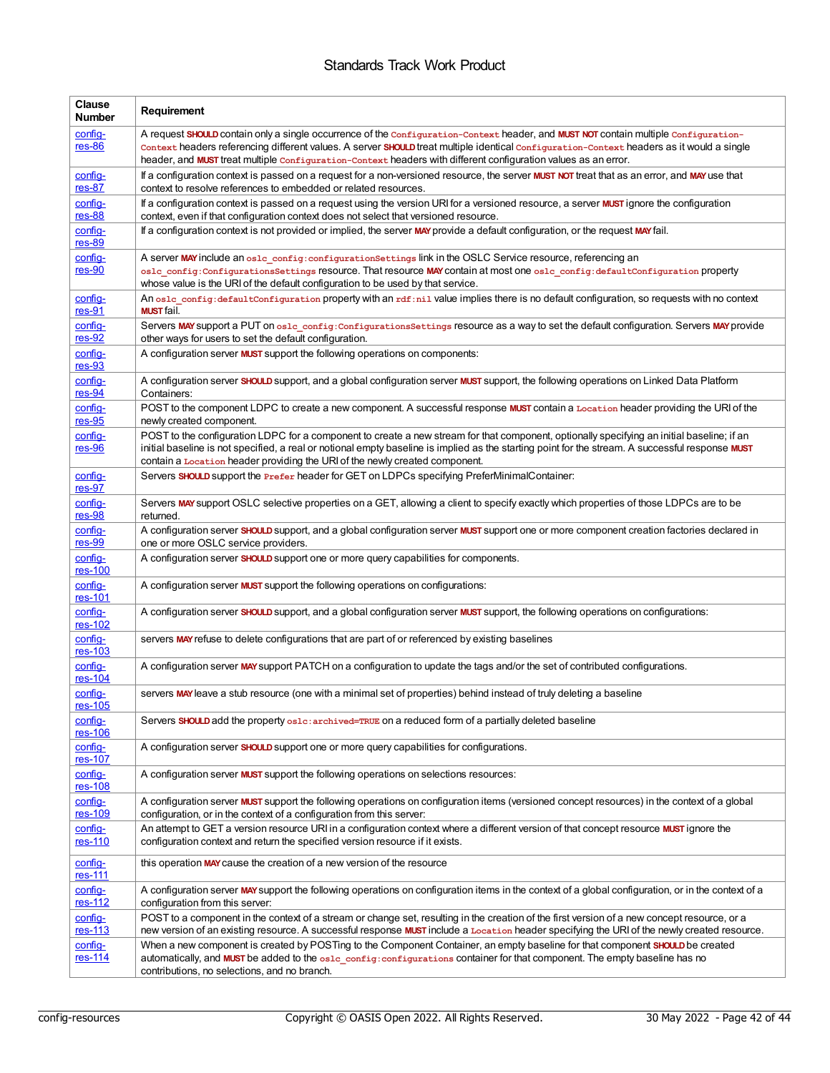| <b>Clause</b><br><b>Number</b> | Requirement                                                                                                                                                                                                                                                                                                                                                                                        |
|--------------------------------|----------------------------------------------------------------------------------------------------------------------------------------------------------------------------------------------------------------------------------------------------------------------------------------------------------------------------------------------------------------------------------------------------|
| config-<br>$res-86$            | A request SHOULD contain only a single occurrence of the configuration-context header, and MUST NOT contain multiple configuration-<br>Context headers referencing different values. A server SHOULD treat multiple identical configuration-context headers as it would a single<br>header, and MUST treat multiple configuration-context headers with different configuration values as an error. |
| config-<br>$res-87$            | If a configuration context is passed on a request for a non-versioned resource, the server MUST NOT treat that as an error, and MAY use that<br>context to resolve references to embedded or related resources.                                                                                                                                                                                    |
| config-<br>$res-88$            | If a configuration context is passed on a request using the version URI for a versioned resource, a server MUST ignore the configuration<br>context, even if that configuration context does not select that versioned resource.                                                                                                                                                                   |
| config-<br>$res-89$            | If a configuration context is not provided or implied, the server MAY provide a default configuration, or the request MAY fail.                                                                                                                                                                                                                                                                    |
| config-<br>$res-90$            | A server MAY include an osle config: configuration Settings link in the OSLC Service resource, referencing an<br>oslc config:ConfigurationsSettings resource. That resource MAY contain at most one oslc config:defaultConfiguration property<br>whose value is the URI of the default configuration to be used by that service.                                                                   |
| config-<br>$res-91$            | An oslc config: defaultConfiguration property with an rdf:nil value implies there is no default configuration, so requests with no context<br><b>MUST</b> fail.                                                                                                                                                                                                                                    |
| config-<br>$res-92$            | Servers MAY support a PUT on osle config: Configurations Settings resource as a way to set the default configuration. Servers MAY provide<br>other ways for users to set the default configuration.                                                                                                                                                                                                |
| config-<br>$res-93$            | A configuration server <b>MUST</b> support the following operations on components:                                                                                                                                                                                                                                                                                                                 |
| config-<br>$res-94$            | A configuration server SHOULD support, and a global configuration server MUST support, the following operations on Linked Data Platform<br>Containers:                                                                                                                                                                                                                                             |
| config-<br>$res-95$            | POST to the component LDPC to create a new component. A successful response MUST contain a Location header providing the URI of the<br>newly created component.                                                                                                                                                                                                                                    |
| config-<br>$res-96$            | POST to the configuration LDPC for a component to create a new stream for that component, optionally specifying an initial baseline; if an<br>initial baseline is not specified, a real or notional empty baseline is implied as the starting point for the stream. A successful response MUST<br>contain a Location header providing the URI of the newly created component.                      |
| config-<br>$res-97$            | Servers SHOULD support the Prefer header for GET on LDPCs specifying PreferMinimalContainer:                                                                                                                                                                                                                                                                                                       |
| config-<br>$res-98$            | Servers MAY support OSLC selective properties on a GET, allowing a client to specify exactly which properties of those LDPCs are to be<br>returned.                                                                                                                                                                                                                                                |
| config-<br>$res-99$            | A configuration server SHOULD support, and a global configuration server MUST support one or more component creation factories declared in<br>one or more OSLC service providers.                                                                                                                                                                                                                  |
| config-<br>$res-100$           | A configuration server SHOULD support one or more query capabilities for components.                                                                                                                                                                                                                                                                                                               |
| config-<br>res-101             | A configuration server <b>MUST</b> support the following operations on configurations:                                                                                                                                                                                                                                                                                                             |
| config-<br>res-102             | A configuration server SHOULD support, and a global configuration server MUST support, the following operations on configurations:                                                                                                                                                                                                                                                                 |
| config-<br>$res-103$           | servers MAY refuse to delete configurations that are part of or referenced by existing baselines                                                                                                                                                                                                                                                                                                   |
| config-<br>$res-104$           | A configuration server MAY support PATCH on a configuration to update the tags and/or the set of contributed configurations.                                                                                                                                                                                                                                                                       |
| config-<br>$res-105$           | servers MAY leave a stub resource (one with a minimal set of properties) behind instead of truly deleting a baseline                                                                                                                                                                                                                                                                               |
| config-<br>res-106             | Servers SHOULD add the property oslc: archived=TRUE on a reduced form of a partially deleted baseline                                                                                                                                                                                                                                                                                              |
| config-<br>res-107             | A configuration server <b>SHOULD</b> support one or more query capabilities for configurations.                                                                                                                                                                                                                                                                                                    |
| config-<br>res-108             | A configuration server <b>MUST</b> support the following operations on selections resources:                                                                                                                                                                                                                                                                                                       |
| config-<br>res-109             | A configuration server <b>MUST</b> support the following operations on configuration items (versioned concept resources) in the context of a global<br>configuration, or in the context of a configuration from this server:                                                                                                                                                                       |
| config-<br>res-110             | An attempt to GET a version resource URI in a configuration context where a different version of that concept resource MUST ignore the<br>configuration context and return the specified version resource if it exists.                                                                                                                                                                            |
| config-<br>res-111             | this operation MAY cause the creation of a new version of the resource                                                                                                                                                                                                                                                                                                                             |
| config-<br>$res-112$           | A configuration server MAY support the following operations on configuration items in the context of a global configuration, or in the context of a<br>configuration from this server:                                                                                                                                                                                                             |
| config-<br><u>res-113</u>      | POST to a component in the context of a stream or change set, resulting in the creation of the first version of a new concept resource, or a<br>new version of an existing resource. A successful response MUST include a Location header specifying the URI of the newly created resource.                                                                                                        |
| config-<br>res-114             | When a new component is created by POSTing to the Component Container, an empty baseline for that component SHOULD be created<br>automatically, and MUST be added to the oslc config: configurations container for that component. The empty baseline has no<br>contributions, no selections, and no branch.                                                                                       |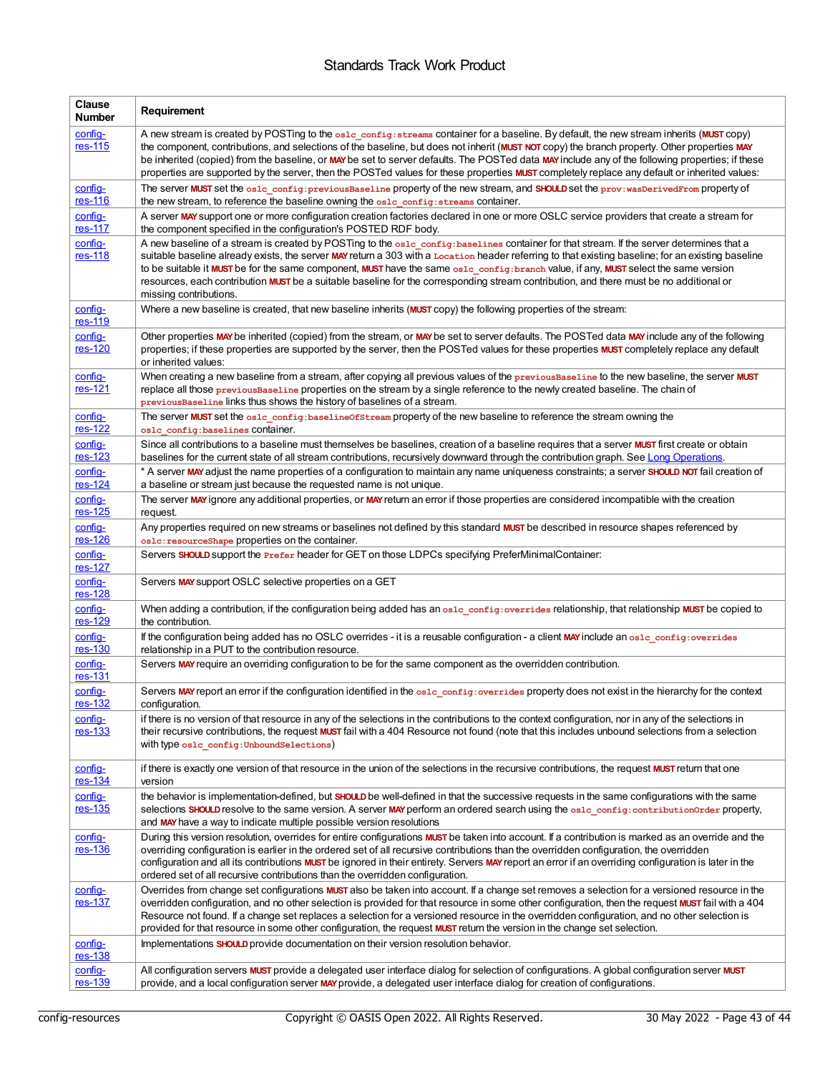| <b>Clause</b><br><b>Number</b> | Requirement                                                                                                                                                                                                                                                                                                                                                                                                                                                                                                                                                                                                 |
|--------------------------------|-------------------------------------------------------------------------------------------------------------------------------------------------------------------------------------------------------------------------------------------------------------------------------------------------------------------------------------------------------------------------------------------------------------------------------------------------------------------------------------------------------------------------------------------------------------------------------------------------------------|
| config-<br>res-115             | A new stream is created by POSTing to the oslc_config: streams container for a baseline. By default, the new stream inherits (MUST copy)<br>the component, contributions, and selections of the baseline, but does not inherit (MUST NOT copy) the branch property. Other properties MAY<br>be inherited (copied) from the baseline, or MAY be set to server defaults. The POSTed data MAY include any of the following properties; if these<br>properties are supported by the server, then the POSTed values for these properties MUST completely replace any default or inherited values:                |
| config-<br>$res-116$           | The server MUST set the oslc_config: previous Baseline property of the new stream, and SHOULD set the prov: wasDerivedFrom property of<br>the new stream, to reference the baseline owning the oslc config: streams container.                                                                                                                                                                                                                                                                                                                                                                              |
| config-<br>res-117             | A server MAY support one or more configuration creation factories declared in one or more OSLC service providers that create a stream for<br>the component specified in the configuration's POSTED RDF body.                                                                                                                                                                                                                                                                                                                                                                                                |
| config-<br>res-118             | A new baseline of a stream is created by POSTing to the oslc_config: baselines container for that stream. If the server determines that a<br>suitable baseline already exists, the server MAY return a 303 with a Location header referring to that existing baseline; for an existing baseline<br>to be suitable it MUST be for the same component, MUST have the same osld config: branch value, if any, MUST select the same version<br>resources, each contribution MUST be a suitable baseline for the corresponding stream contribution, and there must be no additional or<br>missing contributions. |
| config-<br>res-119             | Where a new baseline is created, that new baseline inherits (MUST copy) the following properties of the stream:                                                                                                                                                                                                                                                                                                                                                                                                                                                                                             |
| config-<br>res-120             | Other properties MAY be inherited (copied) from the stream, or MAY be set to server defaults. The POSTed data MAY include any of the following<br>properties; if these properties are supported by the server, then the POSTed values for these properties MUST completely replace any default<br>or inherited values:                                                                                                                                                                                                                                                                                      |
| config-<br>res-121             | When creating a new baseline from a stream, after copying all previous values of the previous Baseline to the new baseline, the server MUST<br>replace all those previous Baseline properties on the stream by a single reference to the newly created baseline. The chain of<br>previous Baseline links thus shows the history of baselines of a stream.                                                                                                                                                                                                                                                   |
| config-<br>res-122             | The server MUST set the osld config: baseline Of Stream property of the new baseline to reference the stream owning the<br>oslc config: baselines CONtainer.                                                                                                                                                                                                                                                                                                                                                                                                                                                |
| config-<br>res-123             | Since all contributions to a baseline must themselves be baselines, creation of a baseline requires that a server MUST first create or obtain<br>baselines for the current state of all stream contributions, recursively downward through the contribution graph. See Long Operations.                                                                                                                                                                                                                                                                                                                     |
| config-<br>res-124             | * A server MAY adjust the name properties of a configuration to maintain any name uniqueness constraints; a server SHOULD NOT fail creation of<br>a baseline or stream just because the requested name is not unique.                                                                                                                                                                                                                                                                                                                                                                                       |
| config-<br>$res-125$           | The server MAY ignore any additional properties, or MAY return an error if those properties are considered incompatible with the creation<br>request.                                                                                                                                                                                                                                                                                                                                                                                                                                                       |
| config-<br>$res-126$           | Any properties required on new streams or baselines not defined by this standard <b>MUST</b> be described in resource shapes referenced by<br>os1c: resourceShape properties on the container.                                                                                                                                                                                                                                                                                                                                                                                                              |
| config-<br>res-127             | Servers SHOULD support the <b>Prefer header for GET</b> on those LDPCs specifying PreferMinimalContainer:                                                                                                                                                                                                                                                                                                                                                                                                                                                                                                   |
| config-<br>$res-128$           | Servers MAY support OSLC selective properties on a GET                                                                                                                                                                                                                                                                                                                                                                                                                                                                                                                                                      |
| config-<br>res-129             | When adding a contribution, if the configuration being added has an osle config: overrides relationship, that relationship MUST be copied to<br>the contribution.                                                                                                                                                                                                                                                                                                                                                                                                                                           |
| config-<br>$res-130$           | If the configuration being added has no OSLC overrides - it is a reusable configuration - a client MAY include an oslc config: overrides<br>relationship in a PUT to the contribution resource.                                                                                                                                                                                                                                                                                                                                                                                                             |
| config-<br>res-131             | Servers MAY require an overriding configuration to be for the same component as the overridden contribution.                                                                                                                                                                                                                                                                                                                                                                                                                                                                                                |
| config-<br>res-132             | Servers MAY report an error if the configuration identified in the osle config: overrides property does not exist in the hierarchy for the context<br>configuration.                                                                                                                                                                                                                                                                                                                                                                                                                                        |
| config-<br>$res-133$           | if there is no version of that resource in any of the selections in the contributions to the context configuration, nor in any of the selections in<br>their recursive contributions, the request MUST fail with a 404 Resource not found (note that this includes unbound selections from a selection<br>with type oslc config: UnboundSelections)                                                                                                                                                                                                                                                         |
| config-<br><u>res-134</u>      | if there is exactly one version of that resource in the union of the selections in the recursive contributions, the request MUST return that one<br>version                                                                                                                                                                                                                                                                                                                                                                                                                                                 |
| config-<br>$res-135$           | the behavior is implementation-defined, but SHOULD be well-defined in that the successive requests in the same configurations with the same<br>selections SHOULD resolve to the same version. A server MAY perform an ordered search using the oslc_config:contributionOrder property,<br>and <b>MAY</b> have a way to indicate multiple possible version resolutions                                                                                                                                                                                                                                       |
| config-<br>$res-136$           | During this version resolution, overrides for entire configurations MUST be taken into account. If a contribution is marked as an override and the<br>overriding configuration is earlier in the ordered set of all recursive contributions than the overridden configuration, the overridden<br>configuration and all its contributions <b>MUST</b> be ignored in their entirety. Servers MAY report an error if an overriding configuration is later in the<br>ordered set of all recursive contributions than the overridden configuration.                                                              |
| config-<br>res-137             | Overrides from change set configurations <b>MUST</b> also be taken into account. If a change set removes a selection for a versioned resource in the<br>overridden configuration, and no other selection is provided for that resource in some other configuration, then the request MUST fail with a 404<br>Resource not found. If a change set replaces a selection for a versioned resource in the overridden configuration, and no other selection is<br>provided for that resource in some other configuration, the request MUST return the version in the change set selection.                       |
| <u>config-</u><br>$res-138$    | Implementations SHOULD provide documentation on their version resolution behavior.                                                                                                                                                                                                                                                                                                                                                                                                                                                                                                                          |
| config-<br>$res-139$           | All configuration servers MUST provide a delegated user interface dialog for selection of configurations. A global configuration server MUST<br>provide, and a local configuration server MAY provide, a delegated user interface dialog for creation of configurations.                                                                                                                                                                                                                                                                                                                                    |